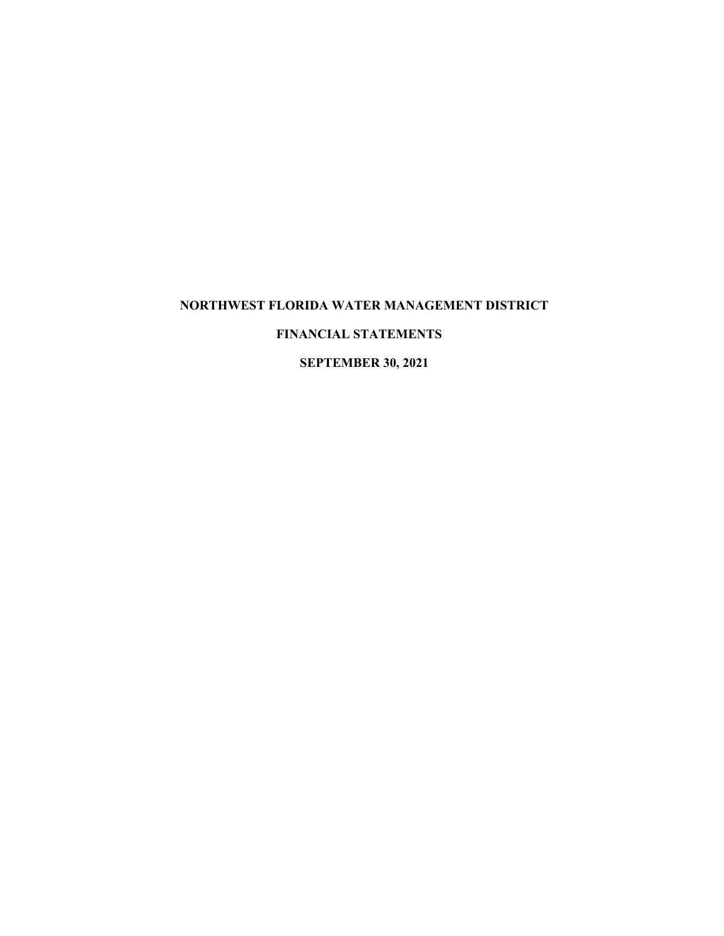# **NORTHWEST FLORIDA WATER MANAGEMENT DISTRICT**

# **FINANCIAL STATEMENTS**

**SEPTEMBER 30, 2021**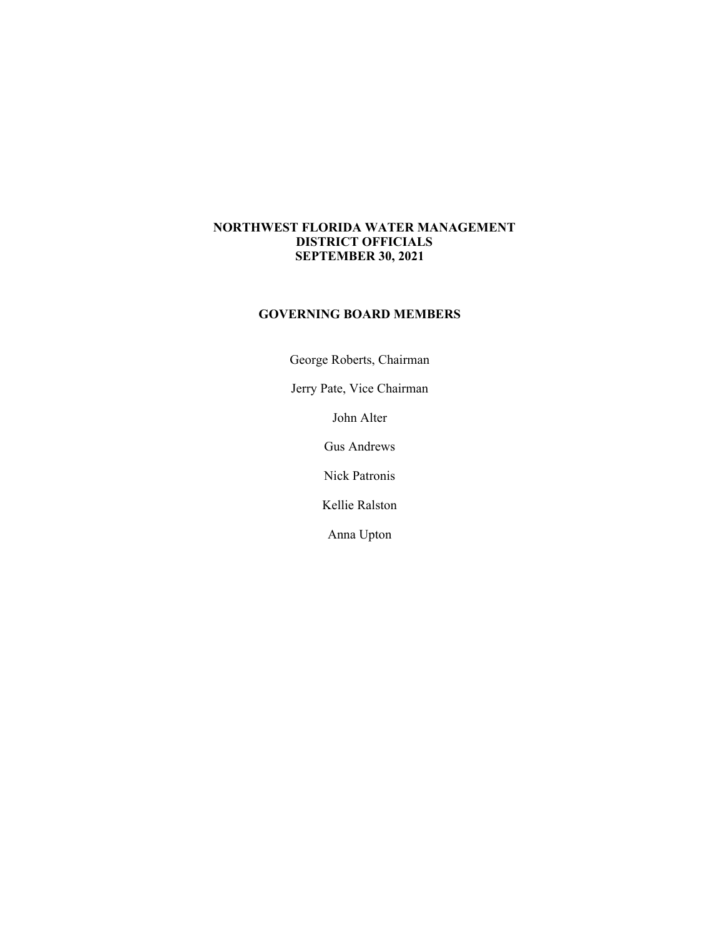#### **NORTHWEST FLORIDA WATER MANAGEMENT DISTRICT OFFICIALS SEPTEMBER 30, 2021**

# **GOVERNING BOARD MEMBERS**

George Roberts, Chairman

Jerry Pate, Vice Chairman

John Alter

Gus Andrews

Nick Patronis

Kellie Ralston

Anna Upton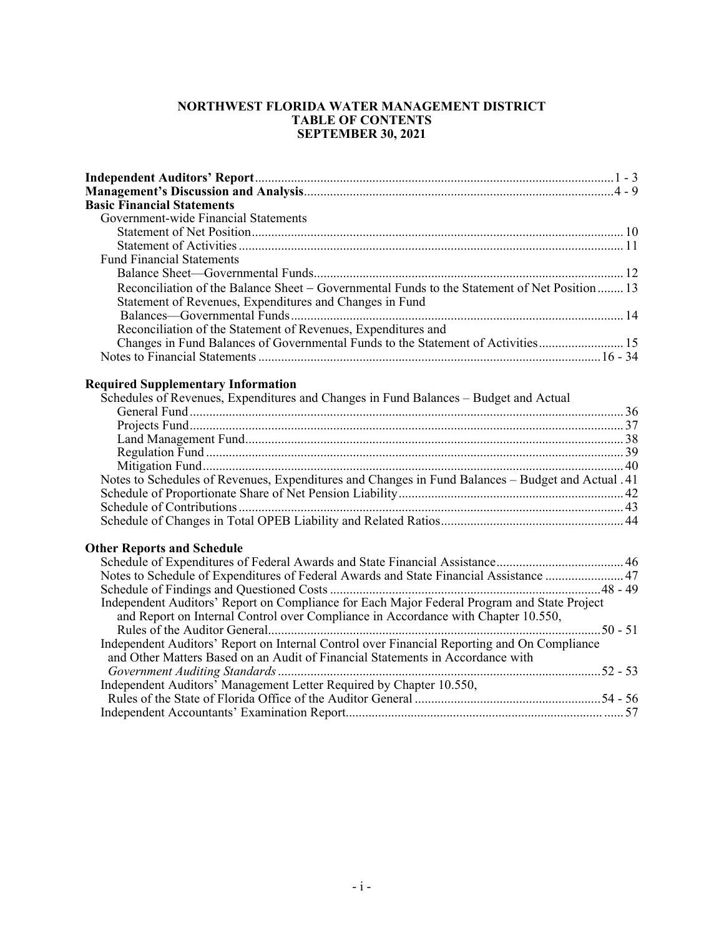#### **NORTHWEST FLORIDA WATER MANAGEMENT DISTRICT TABLE OF CONTENTS SEPTEMBER 30, 2021**

| <b>Basic Financial Statements</b>                                                            |
|----------------------------------------------------------------------------------------------|
| Government-wide Financial Statements                                                         |
|                                                                                              |
|                                                                                              |
| <b>Fund Financial Statements</b>                                                             |
|                                                                                              |
| Reconciliation of the Balance Sheet – Governmental Funds to the Statement of Net Position 13 |
| Statement of Revenues, Expenditures and Changes in Fund                                      |
|                                                                                              |
| Reconciliation of the Statement of Revenues, Expenditures and                                |
| Changes in Fund Balances of Governmental Funds to the Statement of Activities 15             |
|                                                                                              |

# **Required Supplementary Information**

| Schedules of Revenues, Expenditures and Changes in Fund Balances – Budget and Actual              |  |
|---------------------------------------------------------------------------------------------------|--|
|                                                                                                   |  |
|                                                                                                   |  |
|                                                                                                   |  |
|                                                                                                   |  |
|                                                                                                   |  |
| Notes to Schedules of Revenues, Expenditures and Changes in Fund Balances - Budget and Actual .41 |  |
|                                                                                                   |  |
|                                                                                                   |  |
|                                                                                                   |  |

# **Other Reports and Schedule**

| Notes to Schedule of Expenditures of Federal Awards and State Financial Assistance  47      |  |
|---------------------------------------------------------------------------------------------|--|
|                                                                                             |  |
| Independent Auditors' Report on Compliance for Each Major Federal Program and State Project |  |
| and Report on Internal Control over Compliance in Accordance with Chapter 10.550,           |  |
|                                                                                             |  |
| Independent Auditors' Report on Internal Control over Financial Reporting and On Compliance |  |
| and Other Matters Based on an Audit of Financial Statements in Accordance with              |  |
|                                                                                             |  |
| Independent Auditors' Management Letter Required by Chapter 10.550,                         |  |
|                                                                                             |  |
|                                                                                             |  |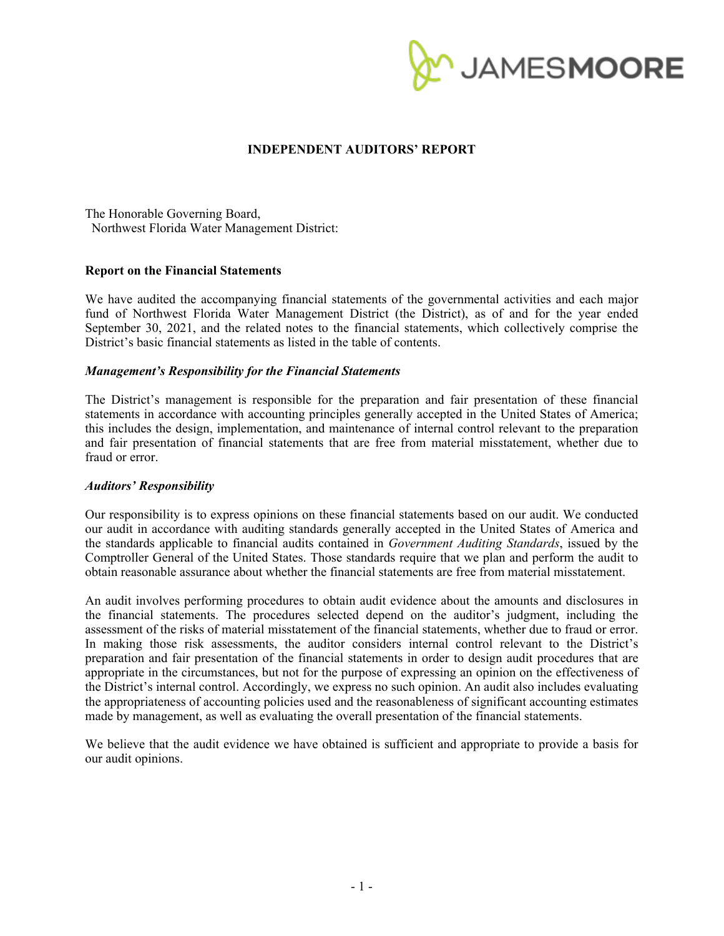

#### **INDEPENDENT AUDITORS' REPORT**

The Honorable Governing Board, Northwest Florida Water Management District:

#### **Report on the Financial Statements**

We have audited the accompanying financial statements of the governmental activities and each major fund of Northwest Florida Water Management District (the District), as of and for the year ended September 30, 2021, and the related notes to the financial statements, which collectively comprise the District's basic financial statements as listed in the table of contents.

#### *Management's Responsibility for the Financial Statements*

The District's management is responsible for the preparation and fair presentation of these financial statements in accordance with accounting principles generally accepted in the United States of America; this includes the design, implementation, and maintenance of internal control relevant to the preparation and fair presentation of financial statements that are free from material misstatement, whether due to fraud or error.

#### *Auditors' Responsibility*

Our responsibility is to express opinions on these financial statements based on our audit. We conducted our audit in accordance with auditing standards generally accepted in the United States of America and the standards applicable to financial audits contained in *Government Auditing Standards*, issued by the Comptroller General of the United States. Those standards require that we plan and perform the audit to obtain reasonable assurance about whether the financial statements are free from material misstatement.

An audit involves performing procedures to obtain audit evidence about the amounts and disclosures in the financial statements. The procedures selected depend on the auditor's judgment, including the assessment of the risks of material misstatement of the financial statements, whether due to fraud or error. In making those risk assessments, the auditor considers internal control relevant to the District's preparation and fair presentation of the financial statements in order to design audit procedures that are appropriate in the circumstances, but not for the purpose of expressing an opinion on the effectiveness of the District's internal control. Accordingly, we express no such opinion. An audit also includes evaluating the appropriateness of accounting policies used and the reasonableness of significant accounting estimates made by management, as well as evaluating the overall presentation of the financial statements.

We believe that the audit evidence we have obtained is sufficient and appropriate to provide a basis for our audit opinions.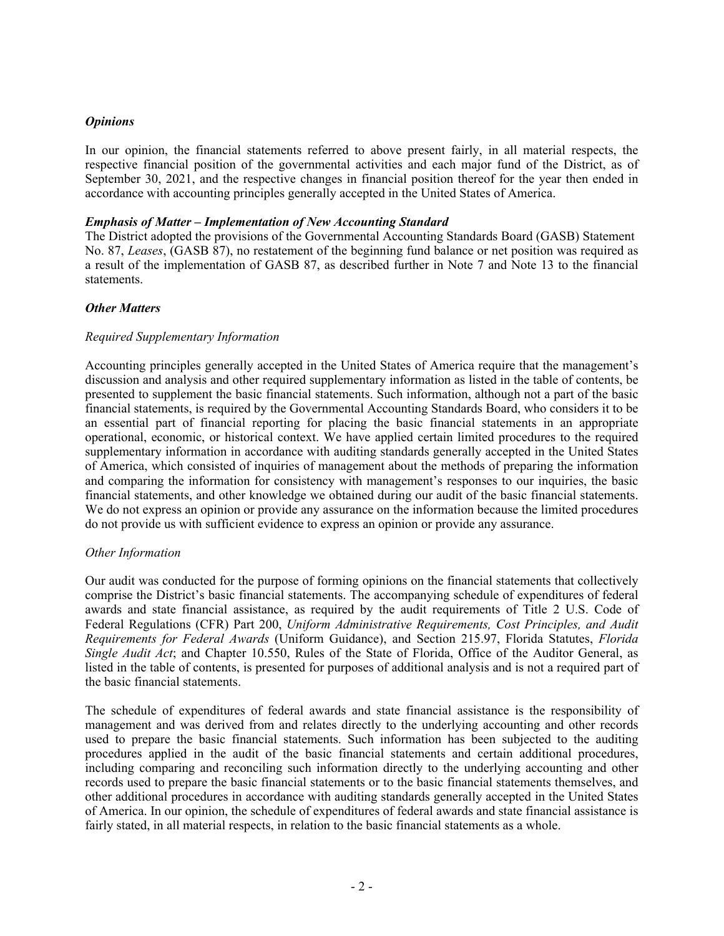#### *Opinions*

In our opinion, the financial statements referred to above present fairly, in all material respects, the respective financial position of the governmental activities and each major fund of the District, as of September 30, 2021, and the respective changes in financial position thereof for the year then ended in accordance with accounting principles generally accepted in the United States of America.

#### *Emphasis of Matter – Implementation of New Accounting Standard*

The District adopted the provisions of the Governmental Accounting Standards Board (GASB) Statement No. 87, *Leases*, (GASB 87), no restatement of the beginning fund balance or net position was required as a result of the implementation of GASB 87, as described further in Note 7 and Note 13 to the financial statements.

#### *Other Matters*

#### *Required Supplementary Information*

Accounting principles generally accepted in the United States of America require that the management's discussion and analysis and other required supplementary information as listed in the table of contents, be presented to supplement the basic financial statements. Such information, although not a part of the basic financial statements, is required by the Governmental Accounting Standards Board, who considers it to be an essential part of financial reporting for placing the basic financial statements in an appropriate operational, economic, or historical context. We have applied certain limited procedures to the required supplementary information in accordance with auditing standards generally accepted in the United States of America, which consisted of inquiries of management about the methods of preparing the information and comparing the information for consistency with management's responses to our inquiries, the basic financial statements, and other knowledge we obtained during our audit of the basic financial statements. We do not express an opinion or provide any assurance on the information because the limited procedures do not provide us with sufficient evidence to express an opinion or provide any assurance.

#### *Other Information*

Our audit was conducted for the purpose of forming opinions on the financial statements that collectively comprise the District's basic financial statements. The accompanying schedule of expenditures of federal awards and state financial assistance, as required by the audit requirements of Title 2 U.S. Code of Federal Regulations (CFR) Part 200, *Uniform Administrative Requirements, Cost Principles, and Audit Requirements for Federal Awards* (Uniform Guidance), and Section 215.97, Florida Statutes, *Florida Single Audit Act*; and Chapter 10.550, Rules of the State of Florida, Office of the Auditor General, as listed in the table of contents, is presented for purposes of additional analysis and is not a required part of the basic financial statements.

The schedule of expenditures of federal awards and state financial assistance is the responsibility of management and was derived from and relates directly to the underlying accounting and other records used to prepare the basic financial statements. Such information has been subjected to the auditing procedures applied in the audit of the basic financial statements and certain additional procedures, including comparing and reconciling such information directly to the underlying accounting and other records used to prepare the basic financial statements or to the basic financial statements themselves, and other additional procedures in accordance with auditing standards generally accepted in the United States of America. In our opinion, the schedule of expenditures of federal awards and state financial assistance is fairly stated, in all material respects, in relation to the basic financial statements as a whole.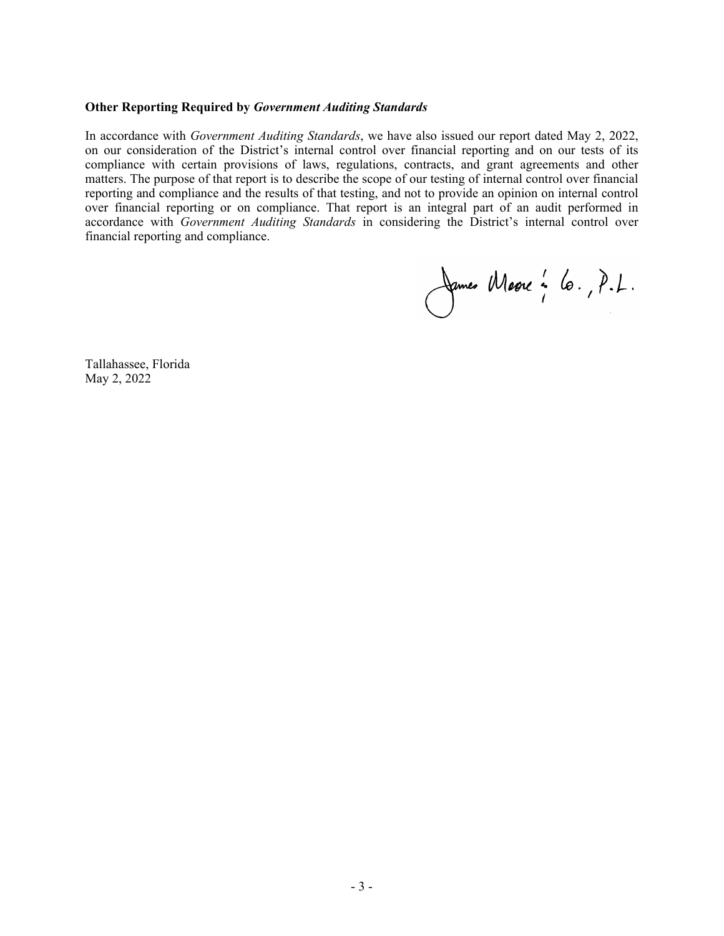#### **Other Reporting Required by** *Government Auditing Standards*

In accordance with *Government Auditing Standards*, we have also issued our report dated May 2, 2022, on our consideration of the District's internal control over financial reporting and on our tests of its compliance with certain provisions of laws, regulations, contracts, and grant agreements and other matters. The purpose of that report is to describe the scope of our testing of internal control over financial reporting and compliance and the results of that testing, and not to provide an opinion on internal control over financial reporting or on compliance. That report is an integral part of an audit performed in accordance with *Government Auditing Standards* in considering the District's internal control over financial reporting and compliance.

James Marre : 6., P.L.

Tallahassee, Florida May 2, 2022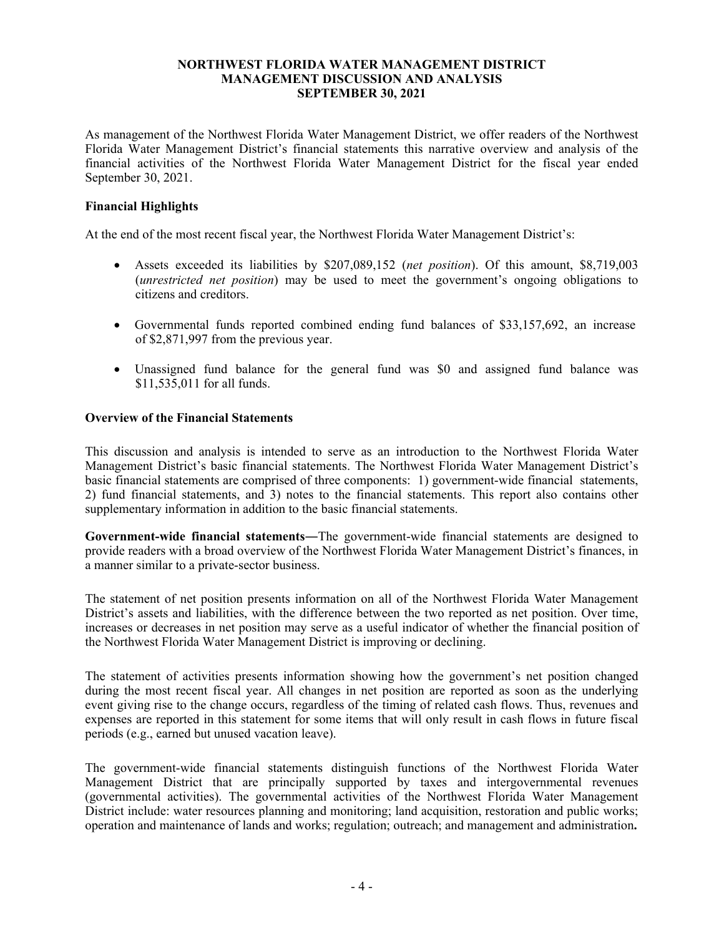As management of the Northwest Florida Water Management District, we offer readers of the Northwest Florida Water Management District's financial statements this narrative overview and analysis of the financial activities of the Northwest Florida Water Management District for the fiscal year ended September 30, 2021.

#### **Financial Highlights**

At the end of the most recent fiscal year, the Northwest Florida Water Management District's:

- Assets exceeded its liabilities by \$207,089,152 (*net position*). Of this amount, \$8,719,003 (*unrestricted net position*) may be used to meet the government's ongoing obligations to citizens and creditors.
- Governmental funds reported combined ending fund balances of \$33,157,692, an increase of \$2,871,997 from the previous year.
- Unassigned fund balance for the general fund was \$0 and assigned fund balance was \$11,535,011 for all funds.

#### **Overview of the Financial Statements**

This discussion and analysis is intended to serve as an introduction to the Northwest Florida Water Management District's basic financial statements. The Northwest Florida Water Management District's basic financial statements are comprised of three components: 1) government-wide financial statements, 2) fund financial statements, and 3) notes to the financial statements. This report also contains other supplementary information in addition to the basic financial statements.

**Government-wide financial statements**―The government-wide financial statements are designed to provide readers with a broad overview of the Northwest Florida Water Management District's finances, in a manner similar to a private-sector business.

The statement of net position presents information on all of the Northwest Florida Water Management District's assets and liabilities, with the difference between the two reported as net position. Over time, increases or decreases in net position may serve as a useful indicator of whether the financial position of the Northwest Florida Water Management District is improving or declining.

The statement of activities presents information showing how the government's net position changed during the most recent fiscal year. All changes in net position are reported as soon as the underlying event giving rise to the change occurs, regardless of the timing of related cash flows. Thus, revenues and expenses are reported in this statement for some items that will only result in cash flows in future fiscal periods (e.g., earned but unused vacation leave).

The government-wide financial statements distinguish functions of the Northwest Florida Water Management District that are principally supported by taxes and intergovernmental revenues (governmental activities). The governmental activities of the Northwest Florida Water Management District include: water resources planning and monitoring; land acquisition, restoration and public works; operation and maintenance of lands and works; regulation; outreach; and management and administration**.**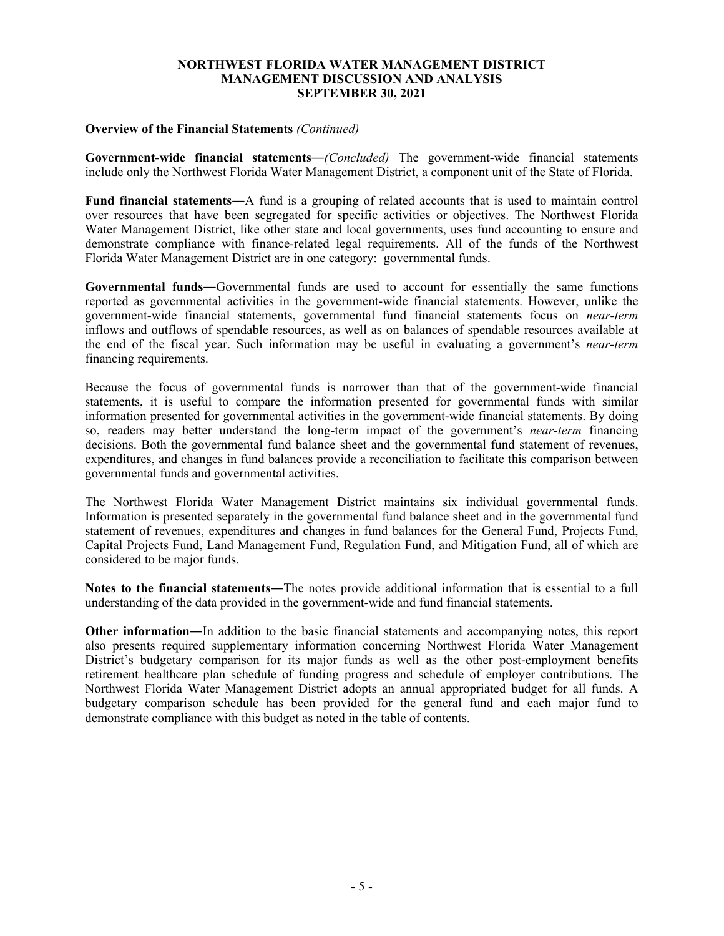#### **Overview of the Financial Statements** *(Continued)*

**Government-wide financial statements―***(Concluded)* The government-wide financial statements include only the Northwest Florida Water Management District, a component unit of the State of Florida.

**Fund financial statements―**A fund is a grouping of related accounts that is used to maintain control over resources that have been segregated for specific activities or objectives. The Northwest Florida Water Management District, like other state and local governments, uses fund accounting to ensure and demonstrate compliance with finance-related legal requirements. All of the funds of the Northwest Florida Water Management District are in one category: governmental funds.

**Governmental funds**―Governmental funds are used to account for essentially the same functions reported as governmental activities in the government-wide financial statements. However, unlike the government-wide financial statements, governmental fund financial statements focus on *near-term*  inflows and outflows of spendable resources, as well as on balances of spendable resources available at the end of the fiscal year. Such information may be useful in evaluating a government's *near-term*  financing requirements.

Because the focus of governmental funds is narrower than that of the government-wide financial statements, it is useful to compare the information presented for governmental funds with similar information presented for governmental activities in the government-wide financial statements. By doing so, readers may better understand the long-term impact of the government's *near-term* financing decisions. Both the governmental fund balance sheet and the governmental fund statement of revenues, expenditures, and changes in fund balances provide a reconciliation to facilitate this comparison between governmental funds and governmental activities.

The Northwest Florida Water Management District maintains six individual governmental funds. Information is presented separately in the governmental fund balance sheet and in the governmental fund statement of revenues, expenditures and changes in fund balances for the General Fund, Projects Fund, Capital Projects Fund, Land Management Fund, Regulation Fund, and Mitigation Fund, all of which are considered to be major funds.

**Notes to the financial statements―**The notes provide additional information that is essential to a full understanding of the data provided in the government-wide and fund financial statements.

**Other information―**In addition to the basic financial statements and accompanying notes, this report also presents required supplementary information concerning Northwest Florida Water Management District's budgetary comparison for its major funds as well as the other post-employment benefits retirement healthcare plan schedule of funding progress and schedule of employer contributions. The Northwest Florida Water Management District adopts an annual appropriated budget for all funds. A budgetary comparison schedule has been provided for the general fund and each major fund to demonstrate compliance with this budget as noted in the table of contents.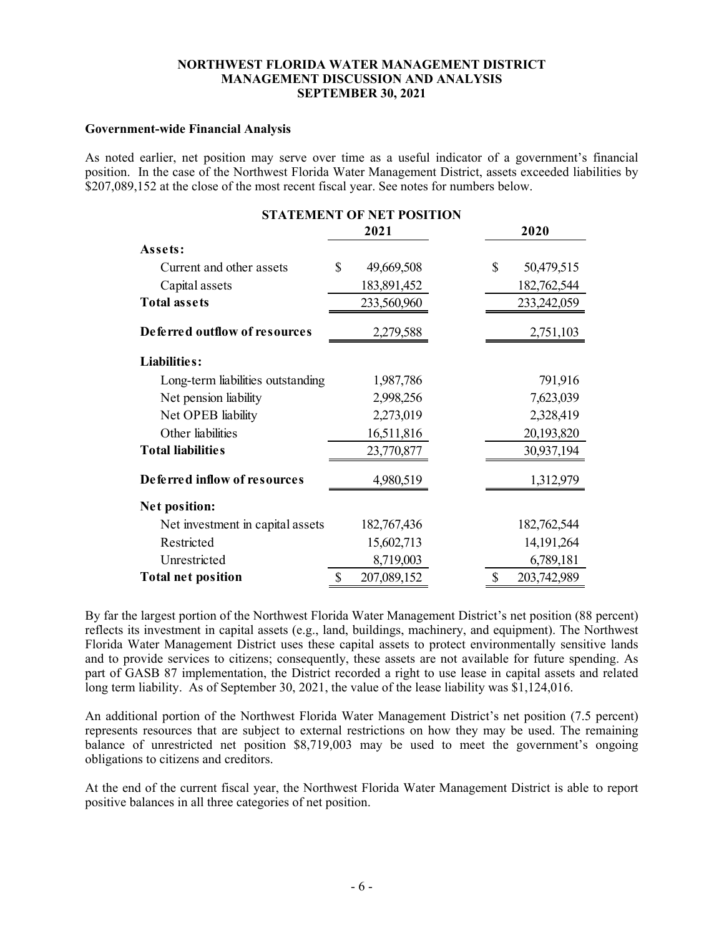#### **Government-wide Financial Analysis**

As noted earlier, net position may serve over time as a useful indicator of a government's financial position. In the case of the Northwest Florida Water Management District, assets exceeded liabilities by \$207,089,152 at the close of the most recent fiscal year. See notes for numbers below.

|                                   | <b>STATEMENT OF NET POSITION</b> |    |              |
|-----------------------------------|----------------------------------|----|--------------|
|                                   | 2021                             |    | 2020         |
| Assets:                           |                                  |    |              |
| Current and other assets          | \$<br>49,669,508                 | \$ | 50,479,515   |
| Capital assets                    | 183,891,452                      |    | 182,762,544  |
| <b>Total assets</b>               | 233,560,960                      |    | 233,242,059  |
| Deferred outflow of resources     | 2,279,588                        |    | 2,751,103    |
| Liabilities:                      |                                  |    |              |
| Long-term liabilities outstanding | 1,987,786                        |    | 791,916      |
| Net pension liability             | 2,998,256                        |    | 7,623,039    |
| Net OPEB liability                | 2,273,019                        |    | 2,328,419    |
| Other liabilities                 | 16,511,816                       |    | 20,193,820   |
| <b>Total liabilities</b>          | 23,770,877                       |    | 30,937,194   |
| Deferred inflow of resources      | 4,980,519                        |    | 1,312,979    |
| Net position:                     |                                  |    |              |
| Net investment in capital assets  | 182,767,436                      |    | 182,762,544  |
| Restricted                        | 15,602,713                       |    | 14, 191, 264 |
| Unrestricted                      | 8,719,003                        |    | 6,789,181    |
| <b>Total net position</b>         | \$<br>207,089,152                | \$ | 203,742,989  |

By far the largest portion of the Northwest Florida Water Management District's net position (88 percent) reflects its investment in capital assets (e.g., land, buildings, machinery, and equipment). The Northwest Florida Water Management District uses these capital assets to protect environmentally sensitive lands and to provide services to citizens; consequently, these assets are not available for future spending. As part of GASB 87 implementation, the District recorded a right to use lease in capital assets and related long term liability. As of September 30, 2021, the value of the lease liability was \$1,124,016.

An additional portion of the Northwest Florida Water Management District's net position (7.5 percent) represents resources that are subject to external restrictions on how they may be used. The remaining balance of unrestricted net position \$8,719,003 may be used to meet the government's ongoing obligations to citizens and creditors.

At the end of the current fiscal year, the Northwest Florida Water Management District is able to report positive balances in all three categories of net position.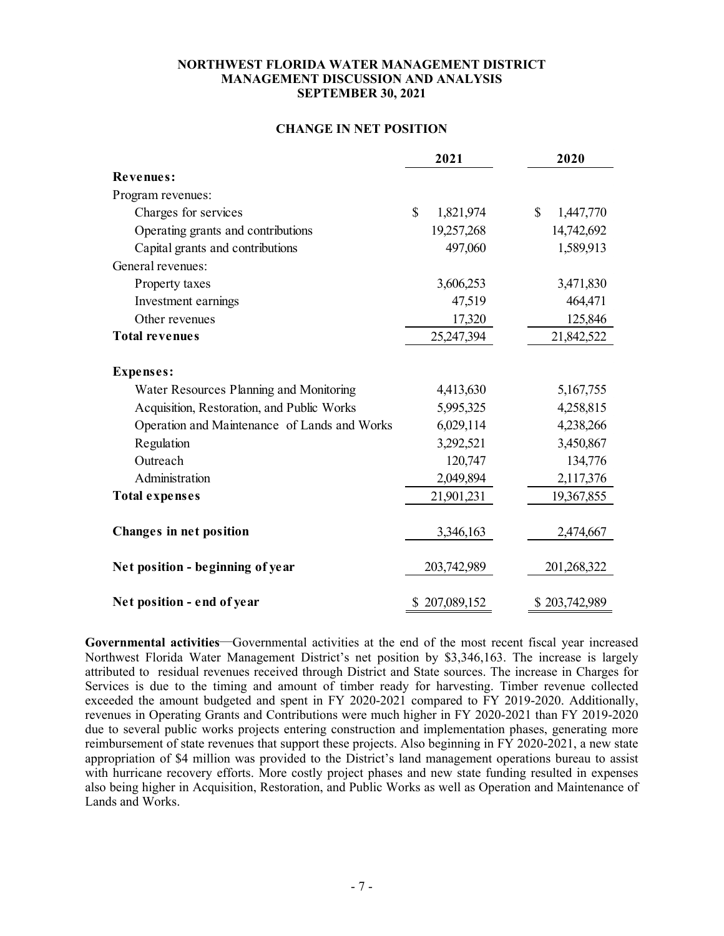#### **CHANGE IN NET POSITION**

|                                              | 2021                      | 2020                      |
|----------------------------------------------|---------------------------|---------------------------|
| <b>Revenues:</b>                             |                           |                           |
| Program revenues:                            |                           |                           |
| Charges for services                         | $\mathbb{S}$<br>1,821,974 | $\mathbb{S}$<br>1,447,770 |
| Operating grants and contributions           | 19,257,268                | 14,742,692                |
| Capital grants and contributions             | 497,060                   | 1,589,913                 |
| General revenues:                            |                           |                           |
| Property taxes                               | 3,606,253                 | 3,471,830                 |
| Investment earnings                          | 47,519                    | 464,471                   |
| Other revenues                               | 17,320                    | 125,846                   |
| <b>Total revenues</b>                        | 25,247,394                | 21,842,522                |
|                                              |                           |                           |
| <b>Expenses:</b>                             |                           |                           |
| Water Resources Planning and Monitoring      | 4,413,630                 | 5,167,755                 |
| Acquisition, Restoration, and Public Works   | 5,995,325                 | 4,258,815                 |
| Operation and Maintenance of Lands and Works | 6,029,114                 | 4,238,266                 |
| Regulation                                   | 3,292,521                 | 3,450,867                 |
| Outreach                                     | 120,747                   | 134,776                   |
| Administration                               | 2,049,894                 | 2,117,376                 |
| <b>Total expenses</b>                        | 21,901,231                | 19,367,855                |
|                                              |                           |                           |
| <b>Changes in net position</b>               | 3,346,163                 | 2,474,667                 |
|                                              |                           |                           |
| Net position - beginning of year             | 203,742,989               | 201,268,322               |
|                                              |                           |                           |
| Net position - end of year                   | \$207,089,152             | \$203,742,989             |

**Governmental activities**―Governmental activities at the end of the most recent fiscal year increased Northwest Florida Water Management District's net position by \$3,346,163. The increase is largely attributed to residual revenues received through District and State sources. The increase in Charges for Services is due to the timing and amount of timber ready for harvesting. Timber revenue collected exceeded the amount budgeted and spent in FY 2020-2021 compared to FY 2019-2020. Additionally, revenues in Operating Grants and Contributions were much higher in FY 2020-2021 than FY 2019-2020 due to several public works projects entering construction and implementation phases, generating more reimbursement of state revenues that support these projects. Also beginning in FY 2020-2021, a new state appropriation of \$4 million was provided to the District's land management operations bureau to assist with hurricane recovery efforts. More costly project phases and new state funding resulted in expenses also being higher in Acquisition, Restoration, and Public Works as well as Operation and Maintenance of Lands and Works.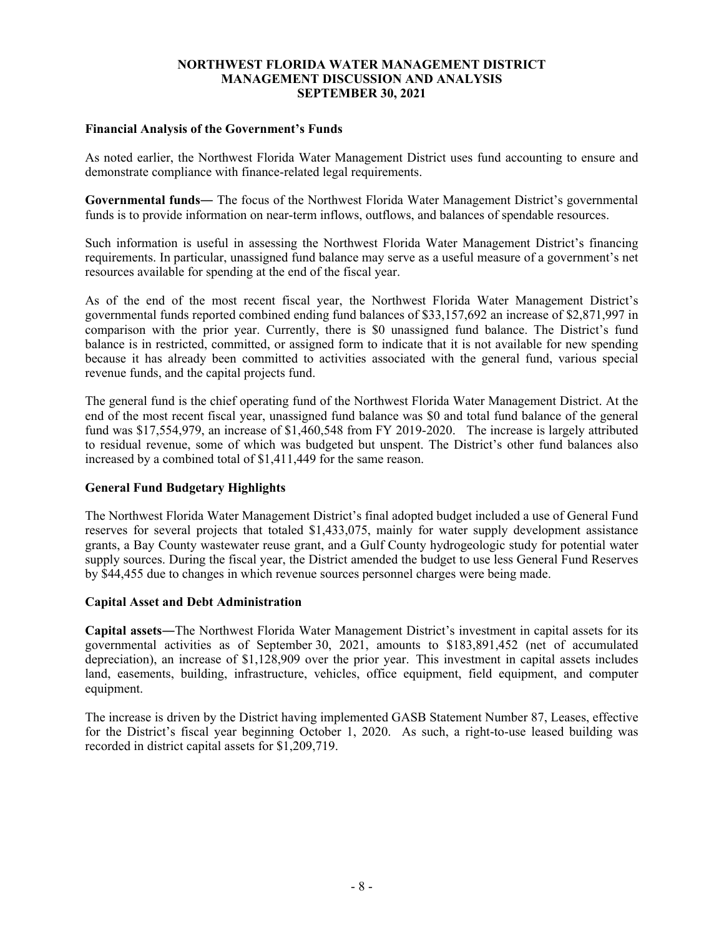#### **Financial Analysis of the Government's Funds**

As noted earlier, the Northwest Florida Water Management District uses fund accounting to ensure and demonstrate compliance with finance-related legal requirements.

**Governmental funds**― The focus of the Northwest Florida Water Management District's governmental funds is to provide information on near-term inflows, outflows, and balances of spendable resources.

Such information is useful in assessing the Northwest Florida Water Management District's financing requirements. In particular, unassigned fund balance may serve as a useful measure of a government's net resources available for spending at the end of the fiscal year.

As of the end of the most recent fiscal year, the Northwest Florida Water Management District's governmental funds reported combined ending fund balances of \$33,157,692 an increase of \$2,871,997 in comparison with the prior year. Currently, there is \$0 unassigned fund balance. The District's fund balance is in restricted, committed, or assigned form to indicate that it is not available for new spending because it has already been committed to activities associated with the general fund, various special revenue funds, and the capital projects fund.

The general fund is the chief operating fund of the Northwest Florida Water Management District. At the end of the most recent fiscal year, unassigned fund balance was \$0 and total fund balance of the general fund was \$17,554,979, an increase of \$1,460,548 from FY 2019-2020. The increase is largely attributed to residual revenue, some of which was budgeted but unspent. The District's other fund balances also increased by a combined total of \$1,411,449 for the same reason.

#### **General Fund Budgetary Highlights**

The Northwest Florida Water Management District's final adopted budget included a use of General Fund reserves for several projects that totaled \$1,433,075, mainly for water supply development assistance grants, a Bay County wastewater reuse grant, and a Gulf County hydrogeologic study for potential water supply sources. During the fiscal year, the District amended the budget to use less General Fund Reserves by \$44,455 due to changes in which revenue sources personnel charges were being made.

#### **Capital Asset and Debt Administration**

**Capital assets**―The Northwest Florida Water Management District's investment in capital assets for its governmental activities as of September 30, 2021, amounts to \$183,891,452 (net of accumulated depreciation), an increase of \$1,128,909 over the prior year. This investment in capital assets includes land, easements, building, infrastructure, vehicles, office equipment, field equipment, and computer equipment.

The increase is driven by the District having implemented GASB Statement Number 87, Leases, effective for the District's fiscal year beginning October 1, 2020. As such, a right-to-use leased building was recorded in district capital assets for \$1,209,719.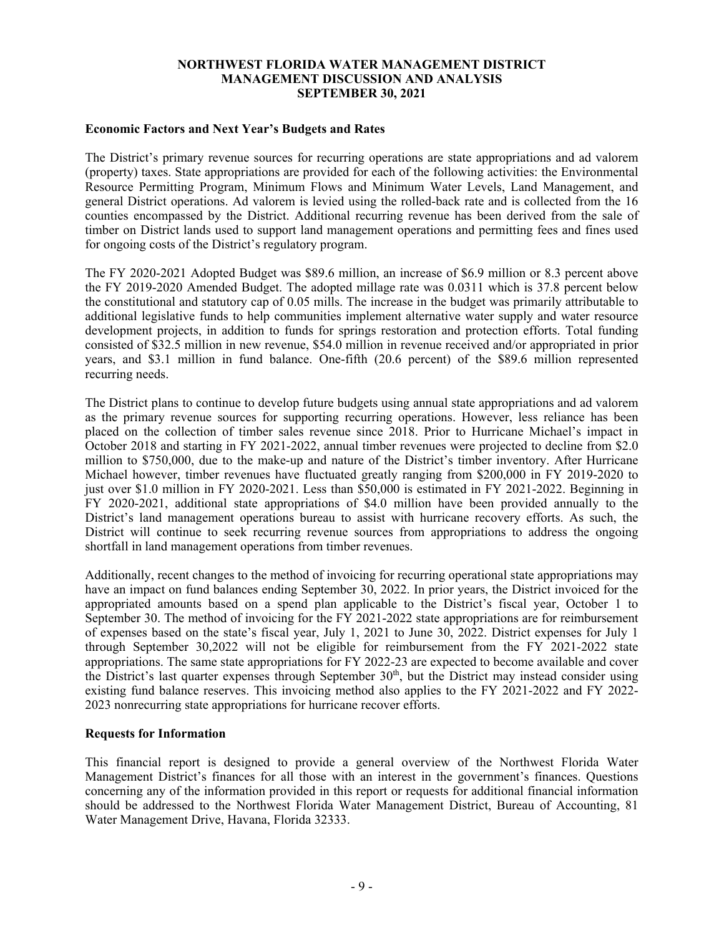#### **Economic Factors and Next Year's Budgets and Rates**

The District's primary revenue sources for recurring operations are state appropriations and ad valorem (property) taxes. State appropriations are provided for each of the following activities: the Environmental Resource Permitting Program, Minimum Flows and Minimum Water Levels, Land Management, and general District operations. Ad valorem is levied using the rolled-back rate and is collected from the 16 counties encompassed by the District. Additional recurring revenue has been derived from the sale of timber on District lands used to support land management operations and permitting fees and fines used for ongoing costs of the District's regulatory program.

The FY 2020-2021 Adopted Budget was \$89.6 million, an increase of \$6.9 million or 8.3 percent above the FY 2019-2020 Amended Budget. The adopted millage rate was 0.0311 which is 37.8 percent below the constitutional and statutory cap of 0.05 mills. The increase in the budget was primarily attributable to additional legislative funds to help communities implement alternative water supply and water resource development projects, in addition to funds for springs restoration and protection efforts. Total funding consisted of \$32.5 million in new revenue, \$54.0 million in revenue received and/or appropriated in prior years, and \$3.1 million in fund balance. One-fifth (20.6 percent) of the \$89.6 million represented recurring needs.

The District plans to continue to develop future budgets using annual state appropriations and ad valorem as the primary revenue sources for supporting recurring operations. However, less reliance has been placed on the collection of timber sales revenue since 2018. Prior to Hurricane Michael's impact in October 2018 and starting in FY 2021-2022, annual timber revenues were projected to decline from \$2.0 million to \$750,000, due to the make-up and nature of the District's timber inventory. After Hurricane Michael however, timber revenues have fluctuated greatly ranging from \$200,000 in FY 2019-2020 to just over \$1.0 million in FY 2020-2021. Less than \$50,000 is estimated in FY 2021-2022. Beginning in FY 2020-2021, additional state appropriations of \$4.0 million have been provided annually to the District's land management operations bureau to assist with hurricane recovery efforts. As such, the District will continue to seek recurring revenue sources from appropriations to address the ongoing shortfall in land management operations from timber revenues.

Additionally, recent changes to the method of invoicing for recurring operational state appropriations may have an impact on fund balances ending September 30, 2022. In prior years, the District invoiced for the appropriated amounts based on a spend plan applicable to the District's fiscal year, October 1 to September 30. The method of invoicing for the FY 2021-2022 state appropriations are for reimbursement of expenses based on the state's fiscal year, July 1, 2021 to June 30, 2022. District expenses for July 1 through September 30,2022 will not be eligible for reimbursement from the FY 2021-2022 state appropriations. The same state appropriations for FY 2022-23 are expected to become available and cover the District's last quarter expenses through September  $30<sup>th</sup>$ , but the District may instead consider using existing fund balance reserves. This invoicing method also applies to the FY 2021-2022 and FY 2022- 2023 nonrecurring state appropriations for hurricane recover efforts.

#### **Requests for Information**

This financial report is designed to provide a general overview of the Northwest Florida Water Management District's finances for all those with an interest in the government's finances. Questions concerning any of the information provided in this report or requests for additional financial information should be addressed to the Northwest Florida Water Management District, Bureau of Accounting, 81 Water Management Drive, Havana, Florida 32333.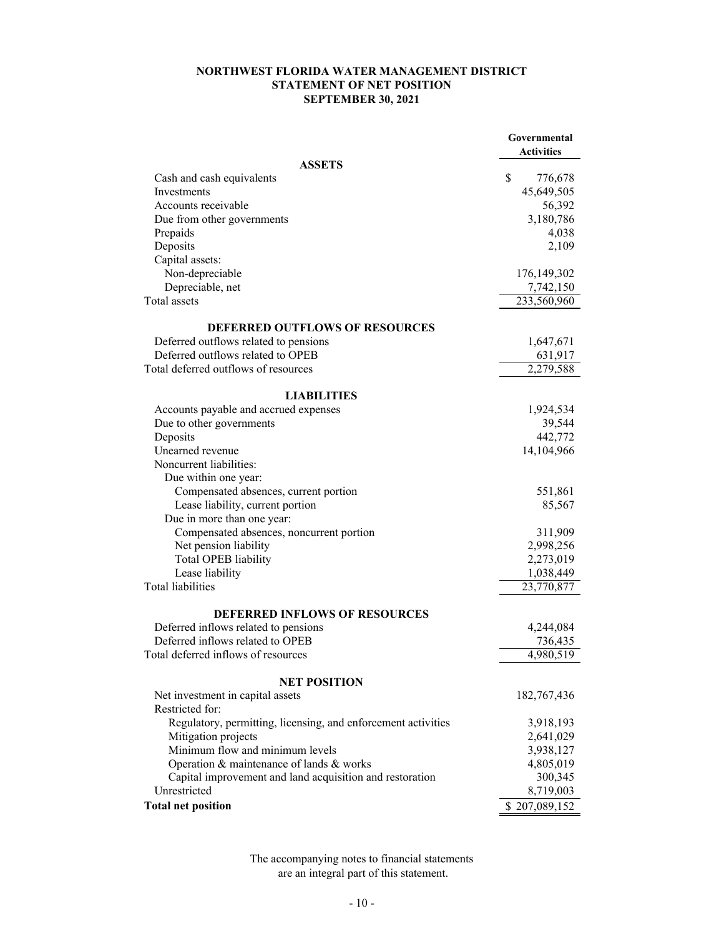#### **NORTHWEST FLORIDA WATER MANAGEMENT DISTRICT STATEMENT OF NET POSITION SEPTEMBER 30, 2021**

|                                                               | Governmental<br><b>Activities</b> |
|---------------------------------------------------------------|-----------------------------------|
| <b>ASSETS</b>                                                 |                                   |
| Cash and cash equivalents                                     | \$<br>776,678                     |
| Investments                                                   | 45,649,505                        |
| Accounts receivable                                           | 56,392                            |
| Due from other governments                                    | 3,180,786                         |
| Prepaids                                                      | 4,038                             |
| Deposits                                                      | 2,109                             |
| Capital assets:                                               |                                   |
| Non-depreciable                                               | 176, 149, 302                     |
| Depreciable, net                                              | 7,742,150                         |
| <b>Total</b> assets                                           | 233,560,960                       |
| <b>DEFERRED OUTFLOWS OF RESOURCES</b>                         |                                   |
| Deferred outflows related to pensions                         | 1,647,671                         |
| Deferred outflows related to OPEB                             | 631,917                           |
| Total deferred outflows of resources                          | 2,279,588                         |
| <b>LIABILITIES</b>                                            |                                   |
| Accounts payable and accrued expenses                         | 1,924,534                         |
| Due to other governments                                      | 39,544                            |
| Deposits                                                      | 442,772                           |
| Unearned revenue                                              | 14, 104, 966                      |
| Noncurrent liabilities:                                       |                                   |
| Due within one year:                                          |                                   |
| Compensated absences, current portion                         | 551,861                           |
| Lease liability, current portion                              | 85,567                            |
| Due in more than one year:                                    |                                   |
| Compensated absences, noncurrent portion                      | 311,909                           |
| Net pension liability                                         | 2,998,256                         |
| Total OPEB liability                                          | 2,273,019                         |
| Lease liability                                               | 1,038,449                         |
| <b>Total liabilities</b>                                      | 23,770,877                        |
| <b>DEFERRED INFLOWS OF RESOURCES</b>                          |                                   |
| Deferred inflows related to pensions                          | 4,244,084                         |
| Deferred inflows related to OPEB                              | 736,435                           |
| Total deferred inflows of resources                           | 4,980,519                         |
| <b>NET POSITION</b>                                           |                                   |
| Net investment in capital assets                              | 182,767,436                       |
| Restricted for:                                               |                                   |
| Regulatory, permitting, licensing, and enforcement activities | 3,918,193                         |
| Mitigation projects                                           | 2,641,029                         |
| Minimum flow and minimum levels                               | 3,938,127                         |
| Operation & maintenance of lands & works                      | 4,805,019                         |
| Capital improvement and land acquisition and restoration      | 300,345                           |
| Unrestricted                                                  | 8,719,003                         |
| <b>Total net position</b>                                     | \$207,089,152                     |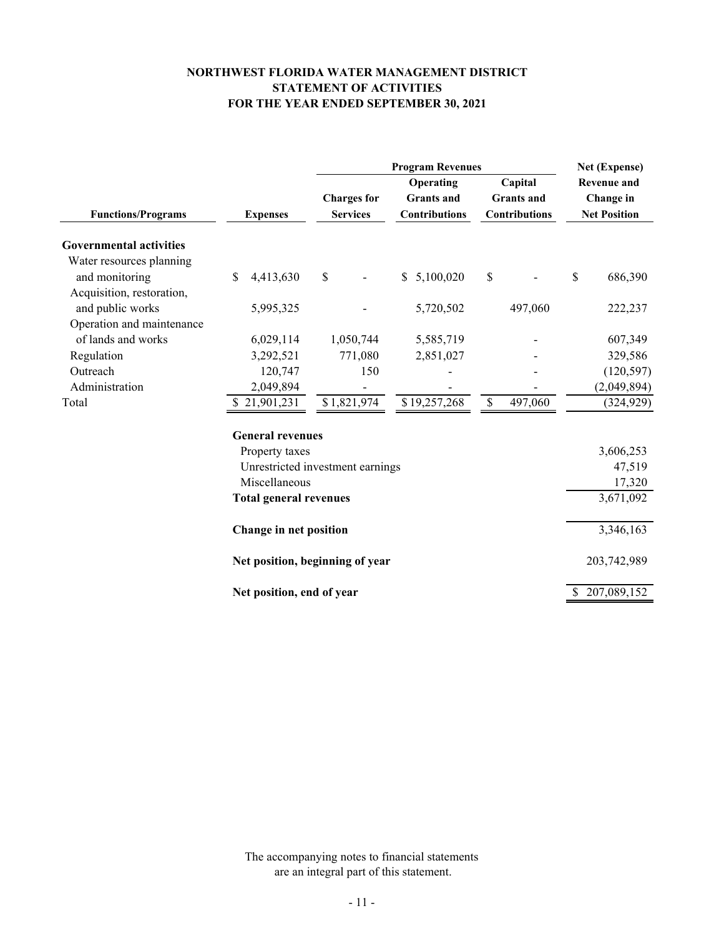### **NORTHWEST FLORIDA WATER MANAGEMENT DISTRICT STATEMENT OF ACTIVITIES FOR THE YEAR ENDED SEPTEMBER 30, 2021**

|                                |                               | <b>Program Revenues</b>          |               |                                         |    |                                |                      |                              |                                 | Net (Expense) |  |
|--------------------------------|-------------------------------|----------------------------------|---------------|-----------------------------------------|----|--------------------------------|----------------------|------------------------------|---------------------------------|---------------|--|
|                                |                               |                                  |               | <b>Charges</b> for                      |    | Operating<br><b>Grants</b> and |                      | Capital<br><b>Grants</b> and | <b>Revenue and</b><br>Change in |               |  |
| <b>Functions/Programs</b>      |                               | <b>Expenses</b>                  |               | <b>Contributions</b><br><b>Services</b> |    |                                | <b>Contributions</b> | <b>Net Position</b>          |                                 |               |  |
| <b>Governmental activities</b> |                               |                                  |               |                                         |    |                                |                      |                              |                                 |               |  |
| Water resources planning       |                               |                                  |               |                                         |    |                                |                      |                              |                                 |               |  |
| and monitoring                 | \$                            | 4,413,630                        | $\mathcal{S}$ |                                         | \$ | 5,100,020                      | $\mathbb{S}$         |                              | $\mathcal{S}$                   | 686,390       |  |
| Acquisition, restoration,      |                               |                                  |               |                                         |    |                                |                      |                              |                                 |               |  |
| and public works               |                               | 5,995,325                        |               |                                         |    | 5,720,502                      |                      | 497,060                      |                                 | 222,237       |  |
| Operation and maintenance      |                               |                                  |               |                                         |    |                                |                      |                              |                                 |               |  |
| of lands and works             |                               | 6,029,114                        |               | 1,050,744                               |    | 5,585,719                      |                      |                              |                                 | 607,349       |  |
| Regulation                     |                               | 3,292,521                        |               | 771,080                                 |    | 2,851,027                      |                      |                              |                                 | 329,586       |  |
| Outreach                       |                               | 120,747                          |               | 150                                     |    |                                |                      |                              |                                 | (120, 597)    |  |
| Administration                 |                               | 2,049,894                        |               |                                         |    |                                |                      |                              |                                 | (2,049,894)   |  |
| Total                          |                               | \$21,901,231                     |               | \$1,821,974                             |    | $\overline{$}19,257,268$       | \$                   | 497,060                      |                                 | (324, 929)    |  |
|                                |                               | <b>General revenues</b>          |               |                                         |    |                                |                      |                              |                                 |               |  |
|                                |                               | Property taxes                   |               |                                         |    |                                |                      |                              |                                 | 3,606,253     |  |
|                                |                               | Unrestricted investment earnings |               |                                         |    |                                |                      |                              |                                 | 47,519        |  |
|                                |                               | Miscellaneous                    |               |                                         |    |                                |                      |                              |                                 | 17,320        |  |
|                                | <b>Total general revenues</b> |                                  |               |                                         |    |                                |                      |                              | 3,671,092                       |               |  |
|                                | Change in net position        |                                  |               |                                         |    |                                |                      | 3,346,163                    |                                 |               |  |
|                                |                               | Net position, beginning of year  |               |                                         |    |                                |                      |                              |                                 | 203,742,989   |  |
|                                |                               | Net position, end of year        |               |                                         |    |                                |                      |                              | S                               | 207,089,152   |  |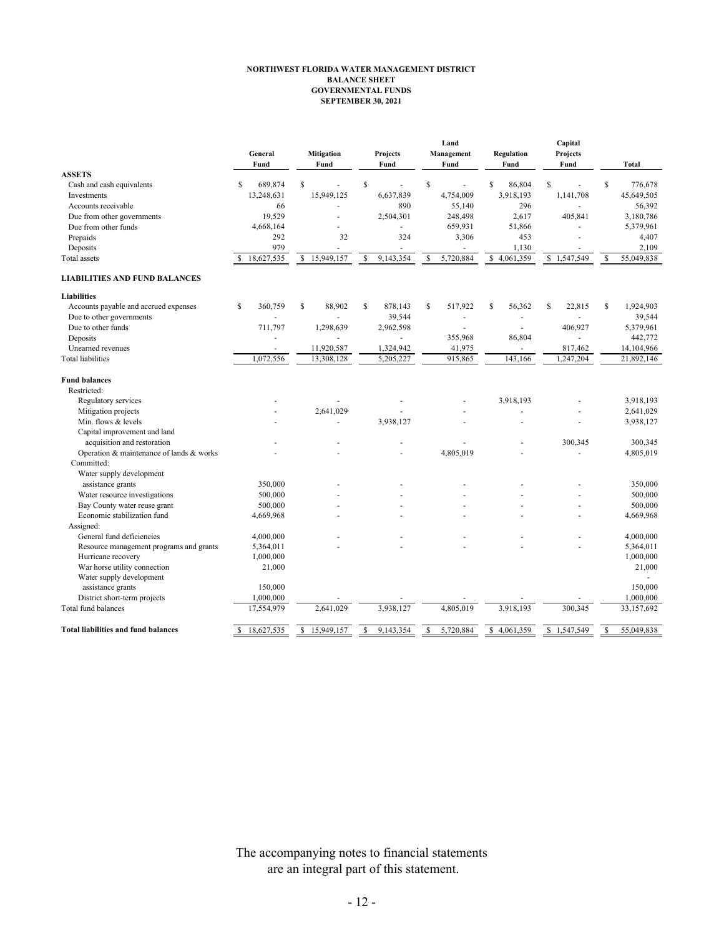#### **NORTHWEST FLORIDA WATER MANAGEMENT DISTRICT BALANCE SHEET GOVERNMENTAL FUNDS SEPTEMBER 30, 2021**

|                                                   |              | General                  |   | <b>Mitigation</b> |             | Projects  |              | Land<br>Management |    | Capital<br>Regulation<br>Projects |          |           |             |            |  |
|---------------------------------------------------|--------------|--------------------------|---|-------------------|-------------|-----------|--------------|--------------------|----|-----------------------------------|----------|-----------|-------------|------------|--|
|                                                   |              | Fund                     |   | Fund              |             | Fund      |              | Fund               |    | Fund                              |          | Fund      |             | Total      |  |
| <b>ASSETS</b>                                     |              |                          |   |                   |             |           |              |                    |    |                                   |          |           |             |            |  |
| Cash and cash equivalents                         | S            | 689,874                  | S |                   | $\mathbf S$ |           | S            |                    | \$ | 86,804                            | <b>S</b> |           | $\mathbf S$ | 776,678    |  |
| Investments                                       |              | 13,248,631               |   | 15.949.125        |             | 6.637.839 |              | 4,754,009          |    | 3.918.193                         |          | 1.141.708 |             | 45,649,505 |  |
| Accounts receivable                               |              | 66                       |   |                   |             | 890       |              | 55,140             |    | 296                               |          |           |             | 56,392     |  |
| Due from other governments                        |              | 19,529                   |   |                   |             | 2,504,301 |              | 248,498            |    | 2,617                             |          | 405,841   |             | 3,180,786  |  |
| Due from other funds                              |              | 4,668,164                |   |                   |             | ä,        |              | 659,931            |    | 51,866                            |          |           |             | 5,379,961  |  |
| Prepaids                                          |              | 292                      |   | 32                |             | 324       |              | 3,306              |    | 453                               |          |           |             | 4,407      |  |
| Deposits                                          |              | 979                      |   |                   |             | ÷,        |              | ÷,                 |    | 1,130                             |          |           |             | 2,109      |  |
| Total assets                                      |              | 18,627,535               | S | 15.949.157        | S           | 9.143.354 |              | 5.720.884          | \$ | 4,061,359                         | Ŝ.       | 1,547,549 | ፍ           | 55,049,838 |  |
| <b>LIABILITIES AND FUND BALANCES</b>              |              |                          |   |                   |             |           |              |                    |    |                                   |          |           |             |            |  |
| <b>Liabilities</b>                                |              |                          |   |                   |             |           |              |                    |    |                                   |          |           |             |            |  |
| Accounts payable and accrued expenses             | $\mathbb{S}$ | 360,759                  | s | 88,902            | s           | 878,143   | $\mathbb{S}$ | 517,922            | \$ | 56,362                            | S        | 22,815    | s           | 1,924,903  |  |
| Due to other governments                          |              |                          |   |                   |             | 39,544    |              |                    |    | ä,                                |          |           |             | 39,544     |  |
| Due to other funds                                |              | 711,797                  |   | 1,298,639         |             | 2,962,598 |              |                    |    | ä,                                |          | 406,927   |             | 5,379,961  |  |
| Deposits                                          |              |                          |   |                   |             |           |              | 355,968            |    | 86,804                            |          |           |             | 442,772    |  |
| Unearned revenues                                 |              | $\overline{\phantom{a}}$ |   | 11,920,587        |             | 1,324,942 |              | 41,975             |    |                                   |          | 817,462   |             | 14,104,966 |  |
| <b>Total liabilities</b>                          |              | 1,072,556                |   | 13,308,128        |             | 5,205,227 |              | 915,865            |    | 143,166                           |          | 1,247,204 |             | 21,892,146 |  |
| <b>Fund balances</b>                              |              |                          |   |                   |             |           |              |                    |    |                                   |          |           |             |            |  |
| Restricted:                                       |              |                          |   |                   |             |           |              |                    |    |                                   |          |           |             |            |  |
| Regulatory services                               |              |                          |   |                   |             |           |              |                    |    | 3,918,193                         |          |           |             | 3.918.193  |  |
| Mitigation projects                               |              |                          |   | 2,641,029         |             |           |              |                    |    |                                   |          |           |             | 2,641,029  |  |
| Min. flows & levels                               |              |                          |   |                   |             | 3,938,127 |              |                    |    |                                   |          |           |             | 3,938,127  |  |
| Capital improvement and land                      |              |                          |   |                   |             |           |              |                    |    |                                   |          |           |             |            |  |
| acquisition and restoration                       |              |                          |   |                   |             |           |              |                    |    |                                   |          | 300,345   |             | 300,345    |  |
| Operation & maintenance of lands & works          |              |                          |   |                   |             |           |              | 4,805,019          |    |                                   |          |           |             | 4,805,019  |  |
| Committed:                                        |              |                          |   |                   |             |           |              |                    |    |                                   |          |           |             |            |  |
| Water supply development                          |              |                          |   |                   |             |           |              |                    |    |                                   |          |           |             |            |  |
| assistance grants                                 |              | 350,000                  |   |                   |             |           |              |                    |    |                                   |          |           |             | 350,000    |  |
| Water resource investigations                     |              | 500,000                  |   |                   |             |           |              |                    |    |                                   |          |           |             | 500,000    |  |
| Bay County water reuse grant                      |              | 500,000                  |   |                   |             |           |              |                    |    |                                   |          |           |             | 500,000    |  |
| Economic stabilization fund                       |              | 4,669,968                |   |                   |             |           |              |                    |    |                                   |          |           |             | 4,669,968  |  |
| Assigned:                                         |              |                          |   |                   |             |           |              |                    |    |                                   |          |           |             |            |  |
| General fund deficiencies                         |              | 4,000,000                |   |                   |             |           |              |                    |    |                                   |          |           |             | 4,000,000  |  |
| Resource management programs and grants           |              | 5,364,011                |   |                   |             |           |              |                    |    |                                   |          |           |             | 5,364,011  |  |
| Hurricane recovery                                |              | 1,000,000                |   |                   |             |           |              |                    |    |                                   |          |           |             | 1,000,000  |  |
| War horse utility connection                      |              | 21,000                   |   |                   |             |           |              |                    |    |                                   |          |           |             | 21,000     |  |
| Water supply development                          |              | 150,000                  |   |                   |             |           |              |                    |    |                                   |          |           |             | 150,000    |  |
| assistance grants<br>District short-term projects |              | 1,000,000                |   |                   |             |           |              |                    |    |                                   |          |           |             | 1,000,000  |  |
| Total fund balances                               |              | 17,554,979               |   | 2,641,029         |             | 3,938,127 |              | 4,805,019          |    | 3,918,193                         |          | 300,345   |             | 33,157,692 |  |
|                                                   |              |                          |   |                   |             |           |              |                    |    |                                   |          |           |             |            |  |
| <b>Total liabilities and fund balances</b>        |              | 18,627,535               |   | 15,949,157        |             | 9,143,354 |              | 5,720,884          | \$ | 4,061,359                         | S        | 1,547,549 |             | 55,049,838 |  |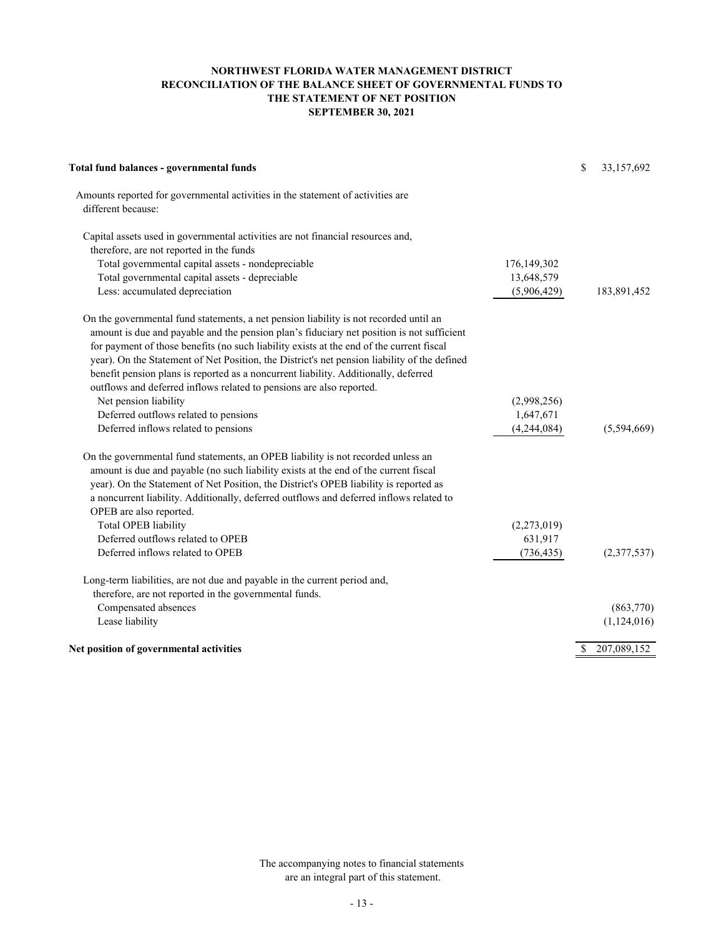#### **NORTHWEST FLORIDA WATER MANAGEMENT DISTRICT RECONCILIATION OF THE BALANCE SHEET OF GOVERNMENTAL FUNDS TO THE STATEMENT OF NET POSITION SEPTEMBER 30, 2021**

| Total fund balances - governmental funds                                                              |             | \$<br>33,157,692 |
|-------------------------------------------------------------------------------------------------------|-------------|------------------|
| Amounts reported for governmental activities in the statement of activities are<br>different because: |             |                  |
| Capital assets used in governmental activities are not financial resources and,                       |             |                  |
| therefore, are not reported in the funds                                                              |             |                  |
| Total governmental capital assets - nondepreciable                                                    | 176,149,302 |                  |
| Total governmental capital assets - depreciable                                                       | 13,648,579  |                  |
| Less: accumulated depreciation                                                                        | (5,906,429) | 183,891,452      |
| On the governmental fund statements, a net pension liability is not recorded until an                 |             |                  |
| amount is due and payable and the pension plan's fiduciary net position is not sufficient             |             |                  |
| for payment of those benefits (no such liability exists at the end of the current fiscal              |             |                  |
| year). On the Statement of Net Position, the District's net pension liability of the defined          |             |                  |
| benefit pension plans is reported as a noncurrent liability. Additionally, deferred                   |             |                  |
| outflows and deferred inflows related to pensions are also reported.                                  |             |                  |
| Net pension liability                                                                                 | (2,998,256) |                  |
| Deferred outflows related to pensions                                                                 | 1,647,671   |                  |
| Deferred inflows related to pensions                                                                  | (4,244,084) | (5,594,669)      |
| On the governmental fund statements, an OPEB liability is not recorded unless an                      |             |                  |
| amount is due and payable (no such liability exists at the end of the current fiscal                  |             |                  |
| year). On the Statement of Net Position, the District's OPEB liability is reported as                 |             |                  |
| a noncurrent liability. Additionally, deferred outflows and deferred inflows related to               |             |                  |
| OPEB are also reported.                                                                               |             |                  |
| Total OPEB liability                                                                                  | (2,273,019) |                  |
| Deferred outflows related to OPEB                                                                     | 631,917     |                  |
| Deferred inflows related to OPEB                                                                      | (736, 435)  | (2,377,537)      |
| Long-term liabilities, are not due and payable in the current period and,                             |             |                  |
| therefore, are not reported in the governmental funds.                                                |             |                  |
| Compensated absences                                                                                  |             | (863,770)        |
| Lease liability                                                                                       |             | (1,124,016)      |
| Net position of governmental activities                                                               |             | \$ 207,089,152   |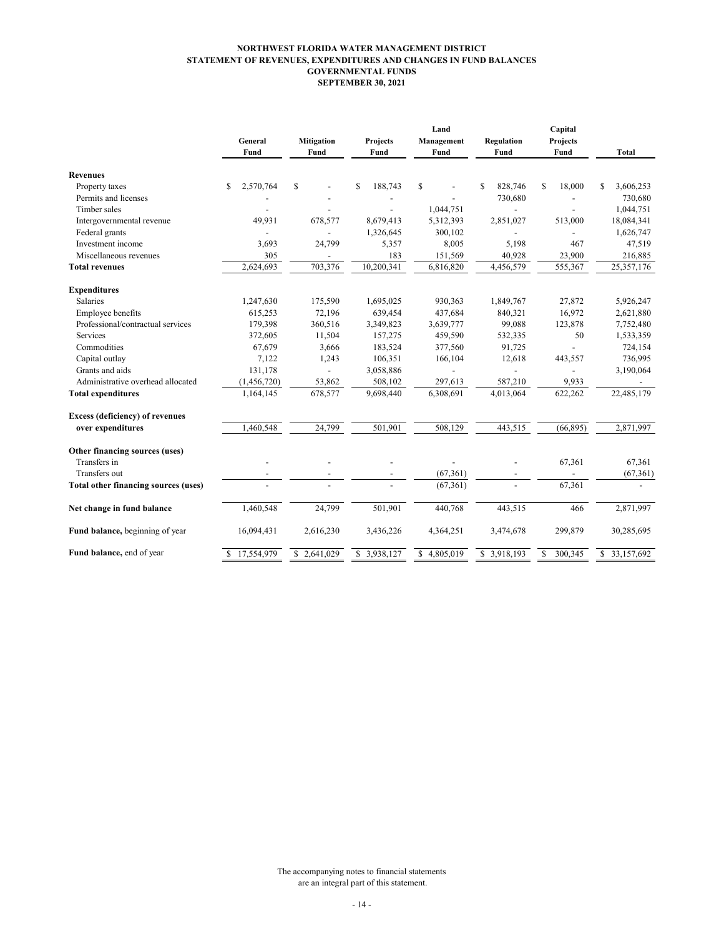#### **SEPTEMBER 30, 2021 GOVERNMENTAL FUNDS STATEMENT OF REVENUES, EXPENDITURES AND CHANGES IN FUND BALANCES NORTHWEST FLORIDA WATER MANAGEMENT DISTRICT**

|                                        | General<br>Fund | <b>Mitigation</b><br>Fund | Projects<br>Fund | Land<br>Management<br>Fund | Regulation<br>Fund | Capital<br>Projects<br>Fund | Total            |
|----------------------------------------|-----------------|---------------------------|------------------|----------------------------|--------------------|-----------------------------|------------------|
| <b>Revenues</b>                        |                 |                           |                  |                            |                    |                             |                  |
| Property taxes                         | 2,570,764<br>S  | S                         | S<br>188,743     | S                          | S<br>828,746       | S<br>18,000                 | 3,606,253<br>\$  |
| Permits and licenses                   |                 |                           |                  |                            | 730,680            |                             | 730,680          |
| Timber sales                           |                 |                           |                  | 1,044,751                  | $\overline{a}$     |                             | 1,044,751        |
| Intergovernmental revenue              | 49,931          | 678,577                   | 8.679.413        | 5,312,393                  | 2,851,027          | 513,000                     | 18,084,341       |
| Federal grants                         | $\overline{a}$  | $\overline{a}$            | 1,326,645        | 300,102                    |                    |                             | 1,626,747        |
| Investment income                      | 3,693           | 24,799                    | 5,357            | 8,005                      | 5,198              | 467                         | 47,519           |
| Miscellaneous revenues                 | 305             |                           | 183              | 151,569                    | 40,928             | 23,900                      | 216,885          |
| <b>Total revenues</b>                  | 2,624,693       | 703,376                   | 10,200,341       | 6,816,820                  | 4,456,579          | 555,367                     | 25,357,176       |
| <b>Expenditures</b>                    |                 |                           |                  |                            |                    |                             |                  |
| Salaries                               | 1,247,630       | 175,590                   | 1,695,025        | 930,363                    | 1,849,767          | 27,872                      | 5,926,247        |
| Employee benefits                      | 615,253         | 72,196                    | 639,454          | 437,684                    | 840,321            | 16,972                      | 2,621,880        |
| Professional/contractual services      | 179,398         | 360,516                   | 3,349,823        | 3,639,777                  | 99.088             | 123,878                     | 7,752,480        |
| Services                               | 372,605         | 11,504                    | 157,275          | 459,590                    | 532,335            | 50                          | 1,533,359        |
| Commodities                            | 67,679          | 3,666                     | 183,524          | 377,560                    | 91,725             |                             | 724,154          |
| Capital outlay                         | 7,122           | 1,243                     | 106,351          | 166,104                    | 12,618             | 443,557                     | 736,995          |
| Grants and aids                        | 131,178         | $\overline{\phantom{a}}$  | 3,058,886        |                            | $\overline{a}$     |                             | 3,190,064        |
| Administrative overhead allocated      | (1,456,720)     | 53,862                    | 508,102          | 297,613                    | 587,210            | 9,933                       |                  |
| <b>Total expenditures</b>              | 1,164,145       | 678,577                   | 9,698,440        | 6,308,691                  | 4,013,064          | 622,262                     | 22,485,179       |
| <b>Excess (deficiency) of revenues</b> |                 |                           |                  |                            |                    |                             |                  |
| over expenditures                      | 1,460,548       | 24,799                    | 501,901          | 508,129                    | 443,515            | (66, 895)                   | 2,871,997        |
| Other financing sources (uses)         |                 |                           |                  |                            |                    |                             |                  |
| Transfers in                           |                 |                           |                  |                            |                    | 67,361                      | 67,361           |
| <b>Transfers</b> out                   |                 |                           |                  | (67, 361)                  |                    |                             | (67, 361)        |
| Total other financing sources (uses)   |                 |                           |                  | (67, 361)                  |                    | 67,361                      |                  |
| Net change in fund balance             | 1,460,548       | 24,799                    | 501,901          | 440,768                    | 443,515            | 466                         | 2,871,997        |
| Fund balance, beginning of year        | 16,094,431      | 2,616,230                 | 3,436,226        | 4,364,251                  | 3,474,678          | 299,879                     | 30,285,695       |
| Fund balance, end of year              | 17,554,979      | \$2,641,029               | \$3,938,127      | 4,805,019<br>S             | \$3,918,193        | \$<br>300,345               | \$<br>33,157,692 |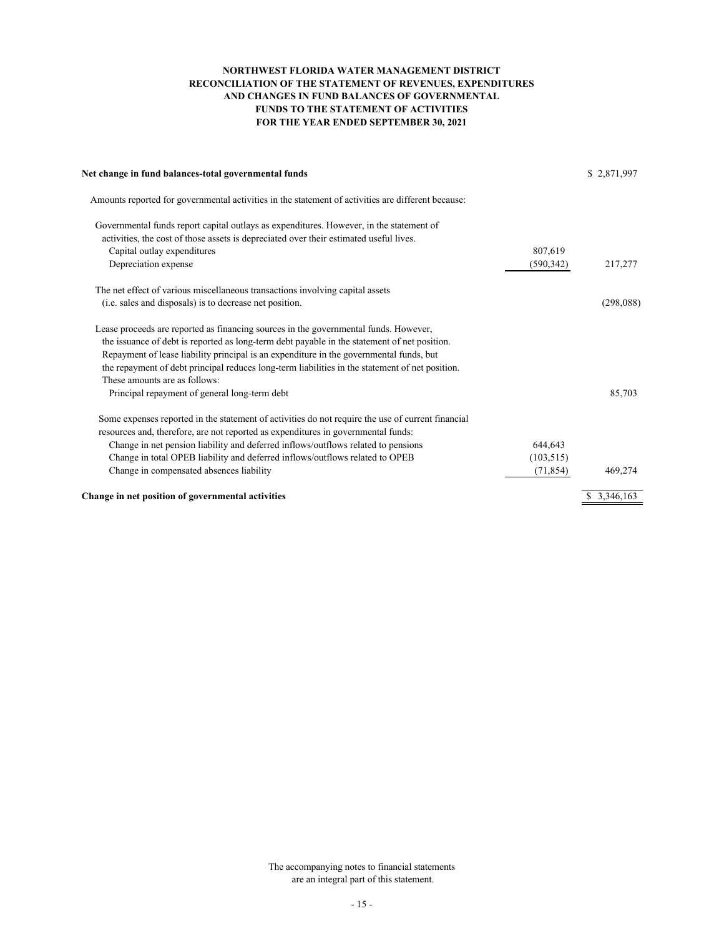#### **NORTHWEST FLORIDA WATER MANAGEMENT DISTRICT RECONCILIATION OF THE STATEMENT OF REVENUES, EXPENDITURES AND CHANGES IN FUND BALANCES OF GOVERNMENTAL FOR THE YEAR ENDED SEPTEMBER 30, 2021 FUNDS TO THE STATEMENT OF ACTIVITIES**

| Net change in fund balances-total governmental funds                                               |            | \$2,871,997 |
|----------------------------------------------------------------------------------------------------|------------|-------------|
| Amounts reported for governmental activities in the statement of activities are different because: |            |             |
| Governmental funds report capital outlays as expenditures. However, in the statement of            |            |             |
| activities, the cost of those assets is depreciated over their estimated useful lives.             |            |             |
| Capital outlay expenditures                                                                        | 807,619    |             |
| Depreciation expense                                                                               | (590, 342) | 217,277     |
| The net effect of various miscellaneous transactions involving capital assets                      |            |             |
| (i.e. sales and disposals) is to decrease net position.                                            |            | (298,088)   |
| Lease proceeds are reported as financing sources in the governmental funds. However,               |            |             |
| the issuance of debt is reported as long-term debt payable in the statement of net position.       |            |             |
| Repayment of lease liability principal is an expenditure in the governmental funds, but            |            |             |
| the repayment of debt principal reduces long-term liabilities in the statement of net position.    |            |             |
| These amounts are as follows:                                                                      |            |             |
| Principal repayment of general long-term debt                                                      |            | 85,703      |
| Some expenses reported in the statement of activities do not require the use of current financial  |            |             |
| resources and, therefore, are not reported as expenditures in governmental funds:                  |            |             |
| Change in net pension liability and deferred inflows/outflows related to pensions                  | 644,643    |             |
| Change in total OPEB liability and deferred inflows/outflows related to OPEB                       | (103, 515) |             |
| Change in compensated absences liability                                                           | (71, 854)  | 469,274     |
| Change in net position of governmental activities                                                  |            | \$3,346,163 |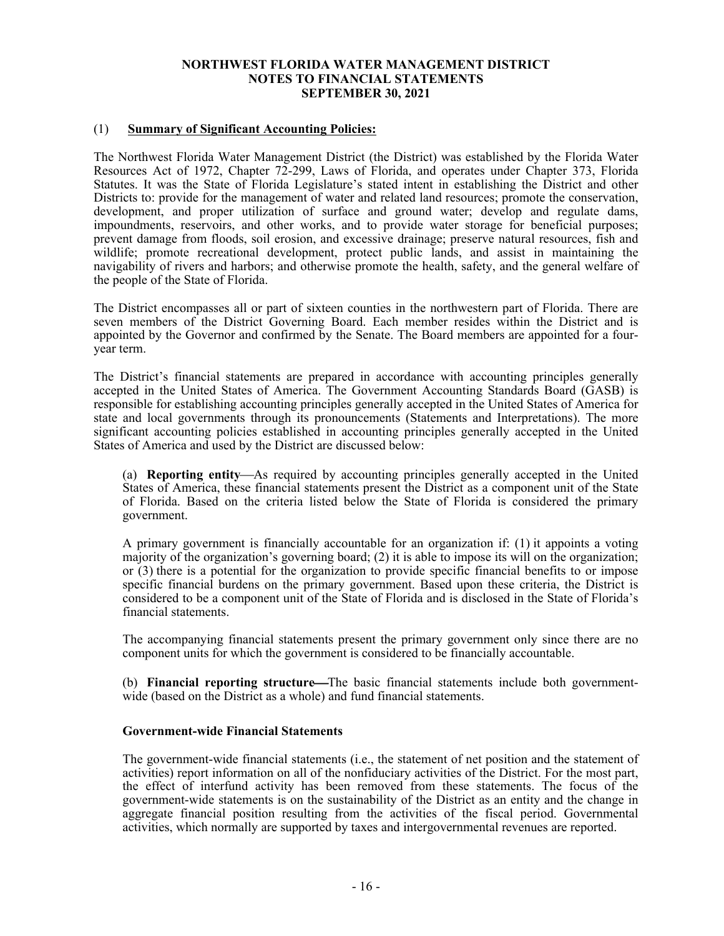#### (1) **Summary of Significant Accounting Policies:**

The Northwest Florida Water Management District (the District) was established by the Florida Water Resources Act of 1972, Chapter 72-299, Laws of Florida, and operates under Chapter 373, Florida Statutes. It was the State of Florida Legislature's stated intent in establishing the District and other Districts to: provide for the management of water and related land resources; promote the conservation, development, and proper utilization of surface and ground water; develop and regulate dams, impoundments, reservoirs, and other works, and to provide water storage for beneficial purposes; prevent damage from floods, soil erosion, and excessive drainage; preserve natural resources, fish and wildlife; promote recreational development, protect public lands, and assist in maintaining the navigability of rivers and harbors; and otherwise promote the health, safety, and the general welfare of the people of the State of Florida.

The District encompasses all or part of sixteen counties in the northwestern part of Florida. There are seven members of the District Governing Board. Each member resides within the District and is appointed by the Governor and confirmed by the Senate. The Board members are appointed for a fouryear term.

The District's financial statements are prepared in accordance with accounting principles generally accepted in the United States of America. The Government Accounting Standards Board (GASB) is responsible for establishing accounting principles generally accepted in the United States of America for state and local governments through its pronouncements (Statements and Interpretations). The more significant accounting policies established in accounting principles generally accepted in the United States of America and used by the District are discussed below:

(a) **Reporting entity**—As required by accounting principles generally accepted in the United States of America, these financial statements present the District as a component unit of the State of Florida. Based on the criteria listed below the State of Florida is considered the primary government.

A primary government is financially accountable for an organization if: (1) it appoints a voting majority of the organization's governing board; (2) it is able to impose its will on the organization; or (3) there is a potential for the organization to provide specific financial benefits to or impose specific financial burdens on the primary government. Based upon these criteria, the District is considered to be a component unit of the State of Florida and is disclosed in the State of Florida's financial statements.

The accompanying financial statements present the primary government only since there are no component units for which the government is considered to be financially accountable.

(b) **Financial reporting structure—**The basic financial statements include both governmentwide (based on the District as a whole) and fund financial statements.

#### **Government-wide Financial Statements**

The government-wide financial statements (i.e., the statement of net position and the statement of activities) report information on all of the nonfiduciary activities of the District. For the most part, the effect of interfund activity has been removed from these statements. The focus of the government-wide statements is on the sustainability of the District as an entity and the change in aggregate financial position resulting from the activities of the fiscal period. Governmental activities, which normally are supported by taxes and intergovernmental revenues are reported.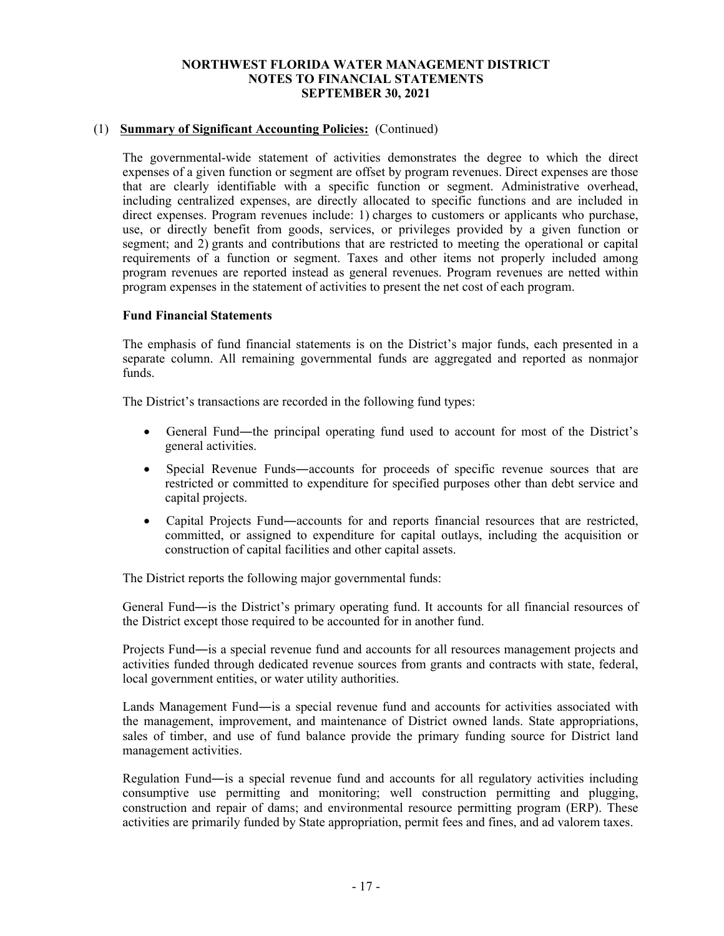#### (1) **Summary of Significant Accounting Policies:** (Continued)

The governmental-wide statement of activities demonstrates the degree to which the direct expenses of a given function or segment are offset by program revenues. Direct expenses are those that are clearly identifiable with a specific function or segment. Administrative overhead, including centralized expenses, are directly allocated to specific functions and are included in direct expenses. Program revenues include: 1) charges to customers or applicants who purchase, use, or directly benefit from goods, services, or privileges provided by a given function or segment; and 2) grants and contributions that are restricted to meeting the operational or capital requirements of a function or segment. Taxes and other items not properly included among program revenues are reported instead as general revenues. Program revenues are netted within program expenses in the statement of activities to present the net cost of each program.

#### **Fund Financial Statements**

The emphasis of fund financial statements is on the District's major funds, each presented in a separate column. All remaining governmental funds are aggregated and reported as nonmajor funds.

The District's transactions are recorded in the following fund types:

- General Fund―the principal operating fund used to account for most of the District's general activities.
- Special Revenue Funds―accounts for proceeds of specific revenue sources that are restricted or committed to expenditure for specified purposes other than debt service and capital projects.
- Capital Projects Fund―accounts for and reports financial resources that are restricted, committed, or assigned to expenditure for capital outlays, including the acquisition or construction of capital facilities and other capital assets.

The District reports the following major governmental funds:

General Fund―is the District's primary operating fund. It accounts for all financial resources of the District except those required to be accounted for in another fund.

Projects Fund―is a special revenue fund and accounts for all resources management projects and activities funded through dedicated revenue sources from grants and contracts with state, federal, local government entities, or water utility authorities.

Lands Management Fund―is a special revenue fund and accounts for activities associated with the management, improvement, and maintenance of District owned lands. State appropriations, sales of timber, and use of fund balance provide the primary funding source for District land management activities.

Regulation Fund―is a special revenue fund and accounts for all regulatory activities including consumptive use permitting and monitoring; well construction permitting and plugging, construction and repair of dams; and environmental resource permitting program (ERP). These activities are primarily funded by State appropriation, permit fees and fines, and ad valorem taxes.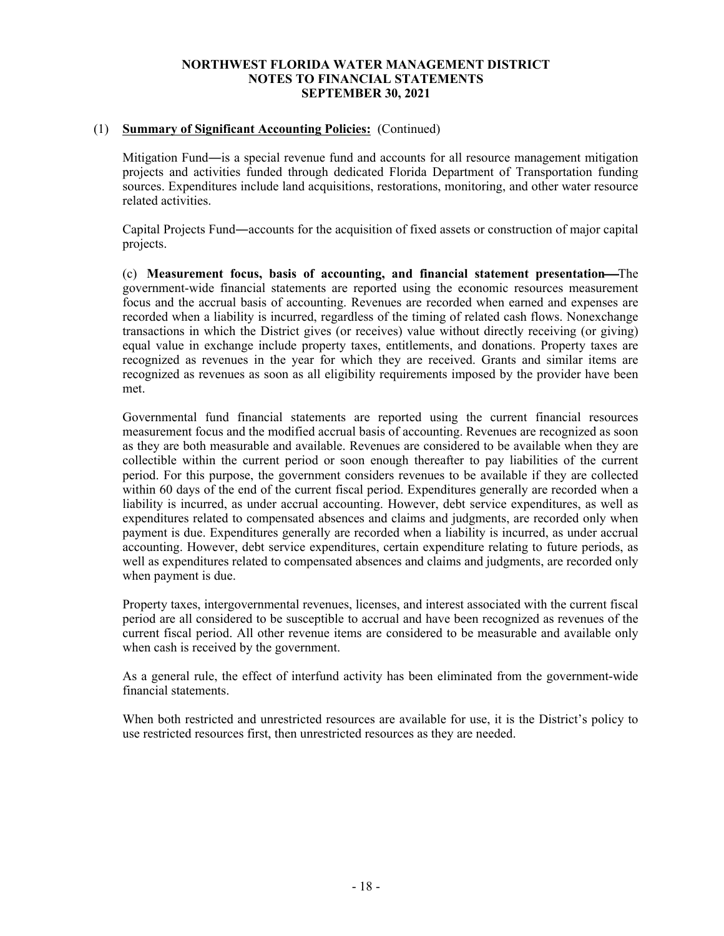#### (1) **Summary of Significant Accounting Policies:** (Continued)

Mitigation Fund―is a special revenue fund and accounts for all resource management mitigation projects and activities funded through dedicated Florida Department of Transportation funding sources. Expenditures include land acquisitions, restorations, monitoring, and other water resource related activities.

Capital Projects Fund―accounts for the acquisition of fixed assets or construction of major capital projects.

(c) **Measurement focus, basis of accounting, and financial statement presentation**The government-wide financial statements are reported using the economic resources measurement focus and the accrual basis of accounting. Revenues are recorded when earned and expenses are recorded when a liability is incurred, regardless of the timing of related cash flows. Nonexchange transactions in which the District gives (or receives) value without directly receiving (or giving) equal value in exchange include property taxes, entitlements, and donations. Property taxes are recognized as revenues in the year for which they are received. Grants and similar items are recognized as revenues as soon as all eligibility requirements imposed by the provider have been met.

Governmental fund financial statements are reported using the current financial resources measurement focus and the modified accrual basis of accounting. Revenues are recognized as soon as they are both measurable and available. Revenues are considered to be available when they are collectible within the current period or soon enough thereafter to pay liabilities of the current period. For this purpose, the government considers revenues to be available if they are collected within 60 days of the end of the current fiscal period. Expenditures generally are recorded when a liability is incurred, as under accrual accounting. However, debt service expenditures, as well as expenditures related to compensated absences and claims and judgments, are recorded only when payment is due. Expenditures generally are recorded when a liability is incurred, as under accrual accounting. However, debt service expenditures, certain expenditure relating to future periods, as well as expenditures related to compensated absences and claims and judgments, are recorded only when payment is due.

Property taxes, intergovernmental revenues, licenses, and interest associated with the current fiscal period are all considered to be susceptible to accrual and have been recognized as revenues of the current fiscal period. All other revenue items are considered to be measurable and available only when cash is received by the government.

As a general rule, the effect of interfund activity has been eliminated from the government-wide financial statements.

When both restricted and unrestricted resources are available for use, it is the District's policy to use restricted resources first, then unrestricted resources as they are needed.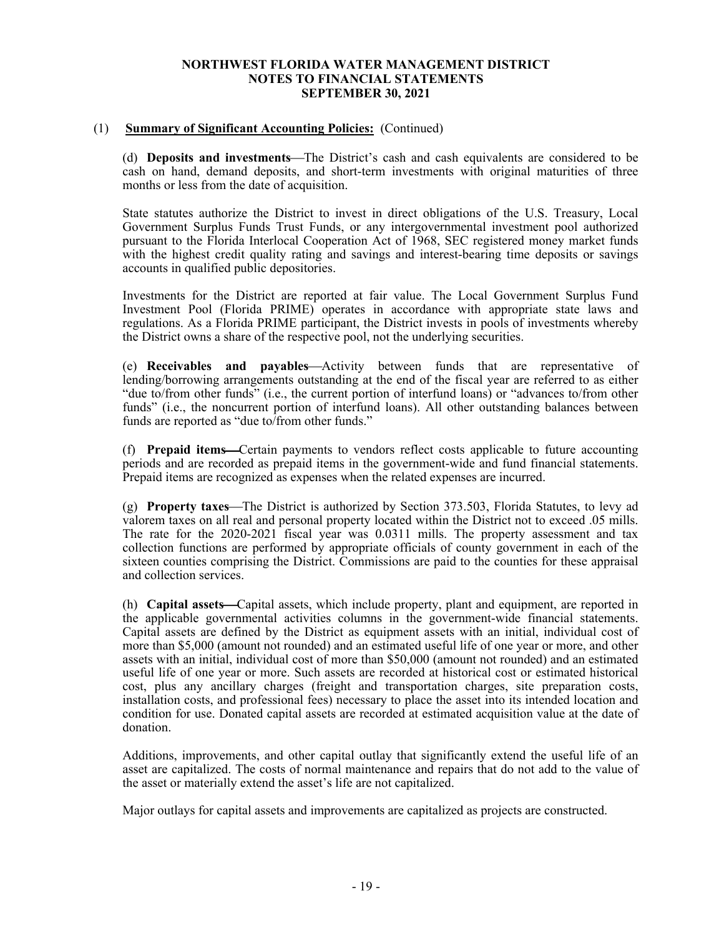#### (1) **Summary of Significant Accounting Policies:** (Continued)

(d) **Deposits and investments**—The District's cash and cash equivalents are considered to be cash on hand, demand deposits, and short-term investments with original maturities of three months or less from the date of acquisition.

State statutes authorize the District to invest in direct obligations of the U.S. Treasury, Local Government Surplus Funds Trust Funds, or any intergovernmental investment pool authorized pursuant to the Florida Interlocal Cooperation Act of 1968, SEC registered money market funds with the highest credit quality rating and savings and interest-bearing time deposits or savings accounts in qualified public depositories.

Investments for the District are reported at fair value. The Local Government Surplus Fund Investment Pool (Florida PRIME) operates in accordance with appropriate state laws and regulations. As a Florida PRIME participant, the District invests in pools of investments whereby the District owns a share of the respective pool, not the underlying securities.

(e) **Receivables and payables**Activity between funds that are representative of lending/borrowing arrangements outstanding at the end of the fiscal year are referred to as either "due to/from other funds" (i.e., the current portion of interfund loans) or "advances to/from other funds" (i.e., the noncurrent portion of interfund loans). All other outstanding balances between funds are reported as "due to/from other funds."

(f) **Prepaid items—Certain payments to vendors reflect costs applicable to future accounting** periods and are recorded as prepaid items in the government-wide and fund financial statements. Prepaid items are recognized as expenses when the related expenses are incurred.

(g) **Property taxes**—The District is authorized by Section 373.503, Florida Statutes, to levy ad valorem taxes on all real and personal property located within the District not to exceed .05 mills. The rate for the 2020-2021 fiscal year was 0.0311 mills. The property assessment and tax collection functions are performed by appropriate officials of county government in each of the sixteen counties comprising the District. Commissions are paid to the counties for these appraisal and collection services.

(h) **Capital assets—Capital assets, which include property, plant and equipment, are reported in** the applicable governmental activities columns in the government-wide financial statements. Capital assets are defined by the District as equipment assets with an initial, individual cost of more than \$5,000 (amount not rounded) and an estimated useful life of one year or more, and other assets with an initial, individual cost of more than \$50,000 (amount not rounded) and an estimated useful life of one year or more. Such assets are recorded at historical cost or estimated historical cost, plus any ancillary charges (freight and transportation charges, site preparation costs, installation costs, and professional fees) necessary to place the asset into its intended location and condition for use. Donated capital assets are recorded at estimated acquisition value at the date of donation.

Additions, improvements, and other capital outlay that significantly extend the useful life of an asset are capitalized. The costs of normal maintenance and repairs that do not add to the value of the asset or materially extend the asset's life are not capitalized.

Major outlays for capital assets and improvements are capitalized as projects are constructed.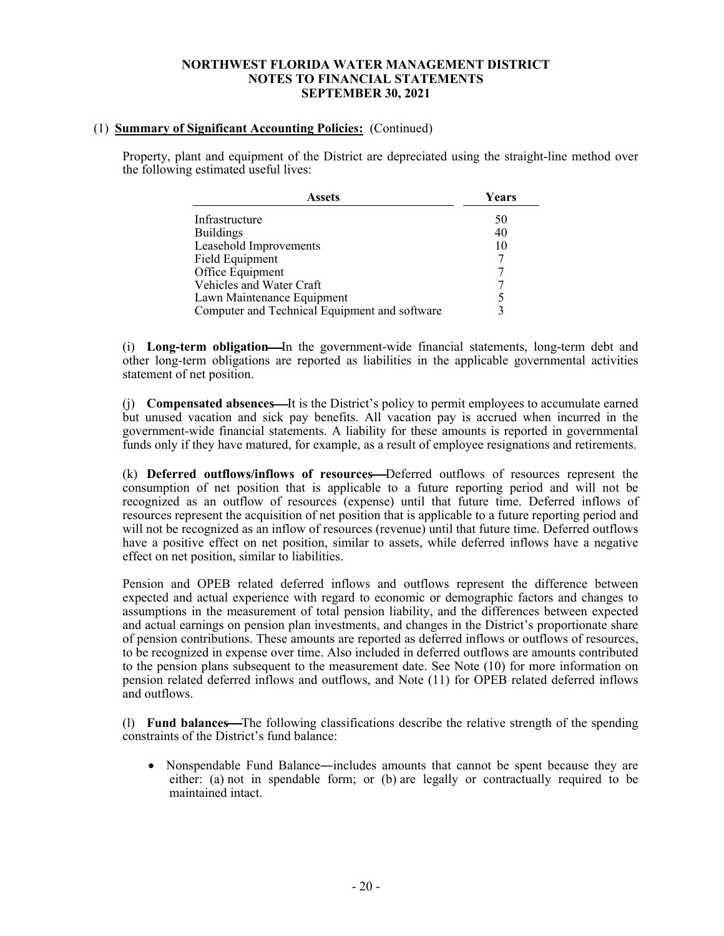#### (1) **Summary of Significant Accounting Policies:** (Continued)

Property, plant and equipment of the District are depreciated using the straight-line method over the following estimated useful lives:

| Assets                                        | Years |
|-----------------------------------------------|-------|
| Infrastructure                                | 50    |
| <b>Buildings</b>                              | 40    |
| Leasehold Improvements                        | 10    |
| Field Equipment                               |       |
| Office Equipment                              |       |
| Vehicles and Water Craft                      |       |
| Lawn Maintenance Equipment                    |       |
| Computer and Technical Equipment and software |       |

(i) **Long-term obligation**—In the government-wide financial statements, long-term debt and other long-term obligations are reported as liabilities in the applicable governmental activities statement of net position.

(j) **Compensated absences—It** is the District's policy to permit employees to accumulate earned but unused vacation and sick pay benefits. All vacation pay is accrued when incurred in the government-wide financial statements. A liability for these amounts is reported in governmental funds only if they have matured, for example, as a result of employee resignations and retirements.

(k) Deferred outflows/inflows of resources—Deferred outflows of resources represent the consumption of net position that is applicable to a future reporting period and will not be recognized as an outflow of resources (expense) until that future time. Deferred inflows of resources represent the acquisition of net position that is applicable to a future reporting period and will not be recognized as an inflow of resources (revenue) until that future time. Deferred outflows have a positive effect on net position, similar to assets, while deferred inflows have a negative effect on net position, similar to liabilities.

Pension and OPEB related deferred inflows and outflows represent the difference between expected and actual experience with regard to economic or demographic factors and changes to assumptions in the measurement of total pension liability, and the differences between expected and actual earnings on pension plan investments, and changes in the District's proportionate share of pension contributions. These amounts are reported as deferred inflows or outflows of resources, to be recognized in expense over time. Also included in deferred outflows are amounts contributed to the pension plans subsequent to the measurement date. See Note (10) for more information on pension related deferred inflows and outflows, and Note (11) for OPEB related deferred inflows and outflows.

(l) **Fund balances**The following classifications describe the relative strength of the spending constraints of the District's fund balance:

• Nonspendable Fund Balance—includes amounts that cannot be spent because they are either: (a) not in spendable form; or (b) are legally or contractually required to be maintained intact.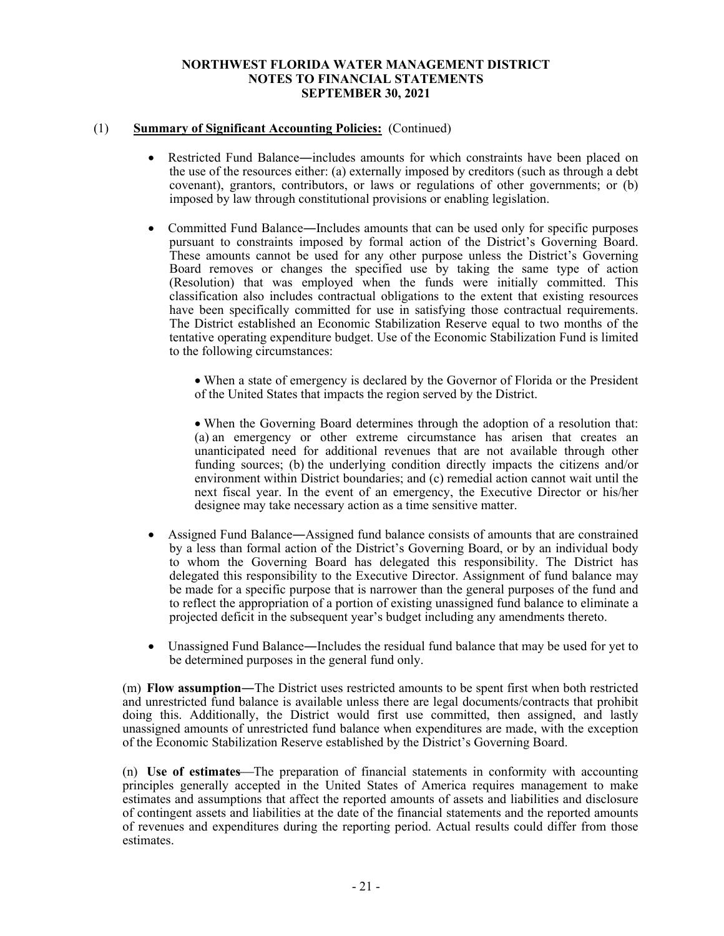#### (1) **Summary of Significant Accounting Policies:** (Continued)

- Restricted Fund Balance―includes amounts for which constraints have been placed on the use of the resources either: (a) externally imposed by creditors (such as through a debt covenant), grantors, contributors, or laws or regulations of other governments; or (b) imposed by law through constitutional provisions or enabling legislation.
- Committed Fund Balance—Includes amounts that can be used only for specific purposes pursuant to constraints imposed by formal action of the District's Governing Board. These amounts cannot be used for any other purpose unless the District's Governing Board removes or changes the specified use by taking the same type of action (Resolution) that was employed when the funds were initially committed. This classification also includes contractual obligations to the extent that existing resources have been specifically committed for use in satisfying those contractual requirements. The District established an Economic Stabilization Reserve equal to two months of the tentative operating expenditure budget. Use of the Economic Stabilization Fund is limited to the following circumstances:

 When a state of emergency is declared by the Governor of Florida or the President of the United States that impacts the region served by the District.

 When the Governing Board determines through the adoption of a resolution that: (a) an emergency or other extreme circumstance has arisen that creates an unanticipated need for additional revenues that are not available through other funding sources; (b) the underlying condition directly impacts the citizens and/or environment within District boundaries; and (c) remedial action cannot wait until the next fiscal year. In the event of an emergency, the Executive Director or his/her designee may take necessary action as a time sensitive matter.

- Assigned Fund Balance―Assigned fund balance consists of amounts that are constrained by a less than formal action of the District's Governing Board, or by an individual body to whom the Governing Board has delegated this responsibility. The District has delegated this responsibility to the Executive Director. Assignment of fund balance may be made for a specific purpose that is narrower than the general purposes of the fund and to reflect the appropriation of a portion of existing unassigned fund balance to eliminate a projected deficit in the subsequent year's budget including any amendments thereto.
- Unassigned Fund Balance―Includes the residual fund balance that may be used for yet to be determined purposes in the general fund only.

(m) **Flow assumption**―The District uses restricted amounts to be spent first when both restricted and unrestricted fund balance is available unless there are legal documents/contracts that prohibit doing this. Additionally, the District would first use committed, then assigned, and lastly unassigned amounts of unrestricted fund balance when expenditures are made, with the exception of the Economic Stabilization Reserve established by the District's Governing Board.

(n) Use of estimates—The preparation of financial statements in conformity with accounting principles generally accepted in the United States of America requires management to make estimates and assumptions that affect the reported amounts of assets and liabilities and disclosure of contingent assets and liabilities at the date of the financial statements and the reported amounts of revenues and expenditures during the reporting period. Actual results could differ from those estimates.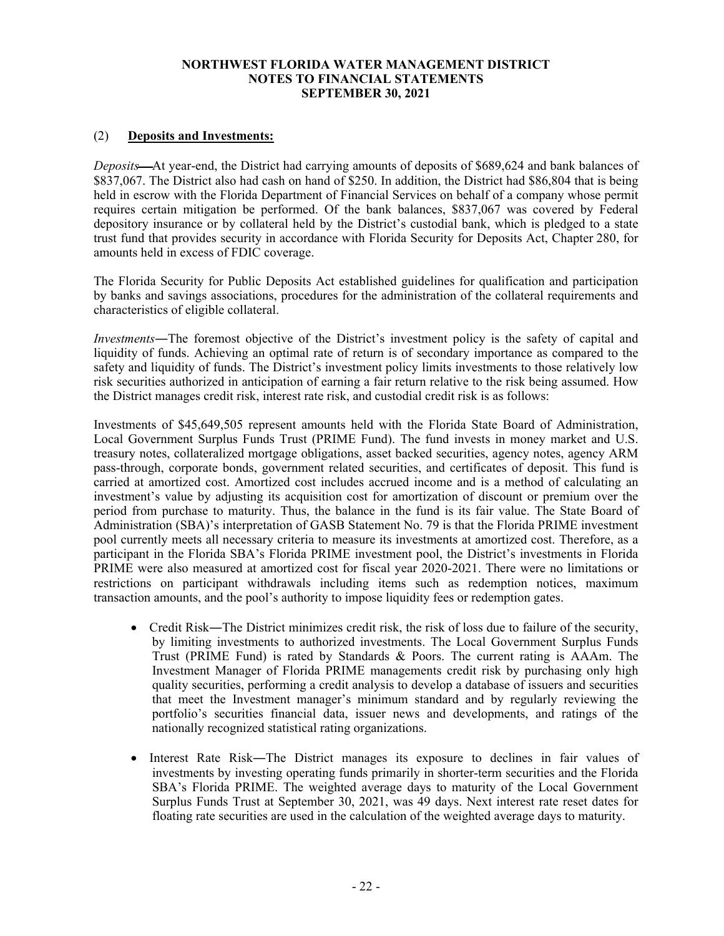#### (2) **Deposits and Investments:**

*Deposits*—At year-end, the District had carrying amounts of deposits of \$689,624 and bank balances of \$837,067. The District also had cash on hand of \$250. In addition, the District had \$86,804 that is being held in escrow with the Florida Department of Financial Services on behalf of a company whose permit requires certain mitigation be performed. Of the bank balances, \$837,067 was covered by Federal depository insurance or by collateral held by the District's custodial bank, which is pledged to a state trust fund that provides security in accordance with Florida Security for Deposits Act, Chapter 280, for amounts held in excess of FDIC coverage.

The Florida Security for Public Deposits Act established guidelines for qualification and participation by banks and savings associations, procedures for the administration of the collateral requirements and characteristics of eligible collateral.

*Investments―*The foremost objective of the District's investment policy is the safety of capital and liquidity of funds. Achieving an optimal rate of return is of secondary importance as compared to the safety and liquidity of funds. The District's investment policy limits investments to those relatively low risk securities authorized in anticipation of earning a fair return relative to the risk being assumed. How the District manages credit risk, interest rate risk, and custodial credit risk is as follows:

Investments of \$45,649,505 represent amounts held with the Florida State Board of Administration, Local Government Surplus Funds Trust (PRIME Fund). The fund invests in money market and U.S. treasury notes, collateralized mortgage obligations, asset backed securities, agency notes, agency ARM pass-through, corporate bonds, government related securities, and certificates of deposit. This fund is carried at amortized cost. Amortized cost includes accrued income and is a method of calculating an investment's value by adjusting its acquisition cost for amortization of discount or premium over the period from purchase to maturity. Thus, the balance in the fund is its fair value. The State Board of Administration (SBA)'s interpretation of GASB Statement No. 79 is that the Florida PRIME investment pool currently meets all necessary criteria to measure its investments at amortized cost. Therefore, as a participant in the Florida SBA's Florida PRIME investment pool, the District's investments in Florida PRIME were also measured at amortized cost for fiscal year 2020-2021. There were no limitations or restrictions on participant withdrawals including items such as redemption notices, maximum transaction amounts, and the pool's authority to impose liquidity fees or redemption gates.

- Credit Risk—The District minimizes credit risk, the risk of loss due to failure of the security, by limiting investments to authorized investments. The Local Government Surplus Funds Trust (PRIME Fund) is rated by Standards & Poors. The current rating is AAAm. The Investment Manager of Florida PRIME managements credit risk by purchasing only high quality securities, performing a credit analysis to develop a database of issuers and securities that meet the Investment manager's minimum standard and by regularly reviewing the portfolio's securities financial data, issuer news and developments, and ratings of the nationally recognized statistical rating organizations.
- Interest Rate Risk―The District manages its exposure to declines in fair values of investments by investing operating funds primarily in shorter-term securities and the Florida SBA's Florida PRIME. The weighted average days to maturity of the Local Government Surplus Funds Trust at September 30, 2021, was 49 days. Next interest rate reset dates for floating rate securities are used in the calculation of the weighted average days to maturity.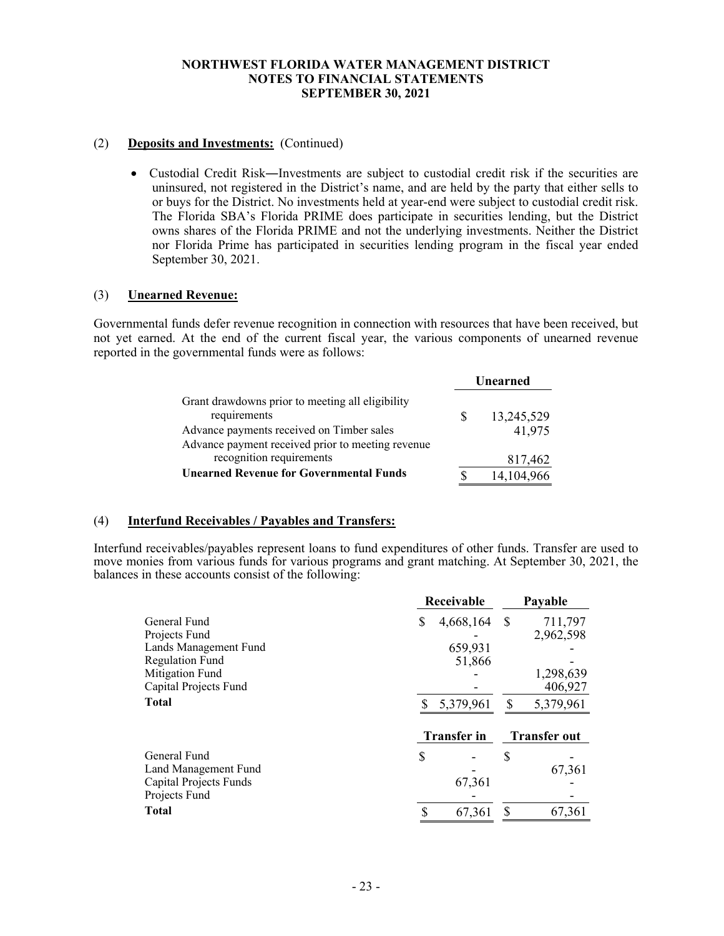#### (2) **Deposits and Investments:** (Continued)

 Custodial Credit Risk―Investments are subject to custodial credit risk if the securities are uninsured, not registered in the District's name, and are held by the party that either sells to or buys for the District. No investments held at year-end were subject to custodial credit risk. The Florida SBA's Florida PRIME does participate in securities lending, but the District owns shares of the Florida PRIME and not the underlying investments. Neither the District nor Florida Prime has participated in securities lending program in the fiscal year ended September 30, 2021.

#### (3) **Unearned Revenue:**

Governmental funds defer revenue recognition in connection with resources that have been received, but not yet earned. At the end of the current fiscal year, the various components of unearned revenue reported in the governmental funds were as follows:

|                                                   |   | Unearned     |
|---------------------------------------------------|---|--------------|
| Grant drawdowns prior to meeting all eligibility  |   |              |
| requirements                                      | S | 13,245,529   |
| Advance payments received on Timber sales         |   | 41,975       |
| Advance payment received prior to meeting revenue |   |              |
| recognition requirements                          |   | 817,462      |
| <b>Unearned Revenue for Governmental Funds</b>    |   | 14, 104, 966 |

#### (4) **Interfund Receivables / Payables and Transfers:**

Interfund receivables/payables represent loans to fund expenditures of other funds. Transfer are used to move monies from various funds for various programs and grant matching. At September 30, 2021, the balances in these accounts consist of the following:

| Receivable             |                    | Payable             |  |  |
|------------------------|--------------------|---------------------|--|--|
| General Fund           | \$<br>4,668,164    | 711,797<br>-S       |  |  |
| Projects Fund          |                    | 2,962,598           |  |  |
| Lands Management Fund  | 659,931            |                     |  |  |
| Regulation Fund        | 51,866             |                     |  |  |
| Mitigation Fund        |                    | 1,298,639           |  |  |
| Capital Projects Fund  |                    | 406,927             |  |  |
| <b>Total</b>           | 5,379,961<br>S     | 5,379,961<br>\$     |  |  |
|                        | <b>Transfer in</b> | <b>Transfer out</b> |  |  |
| General Fund           | \$                 | \$                  |  |  |
| Land Management Fund   |                    | 67,361              |  |  |
| Capital Projects Funds | 67,361             |                     |  |  |
| Projects Fund          |                    |                     |  |  |
| <b>Total</b>           | \$<br>67,361       | \$<br>67,361        |  |  |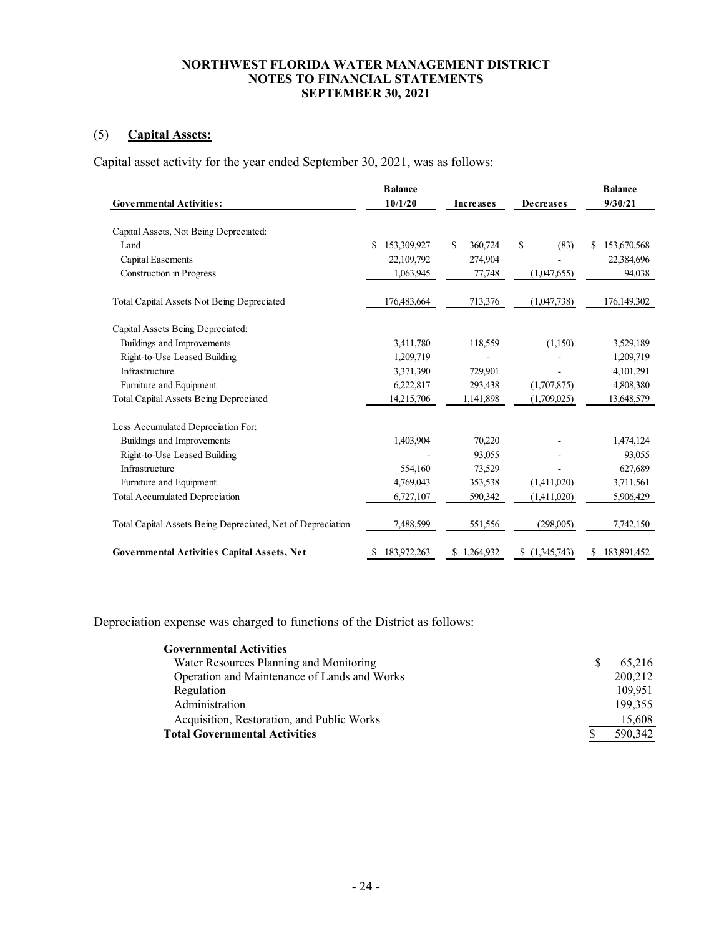#### (5) **Capital Assets:**

Capital asset activity for the year ended September 30, 2021, was as follows:

|                                                             | <b>Balance</b>    |               |             | <b>Balance</b>    |
|-------------------------------------------------------------|-------------------|---------------|-------------|-------------------|
| <b>Governmental Activities:</b>                             | 10/1/20           | Increases     | Decreases   | 9/30/21           |
|                                                             |                   |               |             |                   |
| Capital Assets, Not Being Depreciated:                      |                   |               |             |                   |
| Land                                                        | \$<br>153,309,927 | \$<br>360,724 | \$<br>(83)  | 153,670,568<br>S  |
| Capital Easements                                           | 22,109,792        | 274,904       |             | 22,384,696        |
| Construction in Progress                                    | 1,063,945         | 77,748        | (1,047,655) | 94,038            |
| <b>Total Capital Assets Not Being Depreciated</b>           | 176,483,664       | 713,376       | (1,047,738) | 176,149,302       |
| Capital Assets Being Depreciated:                           |                   |               |             |                   |
| Buildings and Improvements                                  | 3,411,780         | 118,559       | (1,150)     | 3,529,189         |
| Right-to-Use Leased Building                                | 1,209,719         |               |             | 1,209,719         |
| Infrastructure                                              | 3,371,390         | 729,901       |             | 4,101,291         |
| Furniture and Equipment                                     | 6,222,817         | 293,438       | (1,707,875) | 4,808,380         |
| <b>Total Capital Assets Being Depreciated</b>               | 14,215,706        | 1,141,898     | (1,709,025) | 13,648,579        |
| Less Accumulated Depreciation For:                          |                   |               |             |                   |
| Buildings and Improvements                                  | 1,403,904         | 70,220        |             | 1,474,124         |
| Right-to-Use Leased Building                                |                   | 93,055        |             | 93,055            |
| Infrastructure                                              | 554,160           | 73,529        |             | 627,689           |
| Furniture and Equipment                                     | 4,769,043         | 353,538       | (1,411,020) | 3,711,561         |
| <b>Total Accumulated Depreciation</b>                       | 6,727,107         | 590,342       | (1,411,020) | 5,906,429         |
| Total Capital Assets Being Depreciated, Net of Depreciation | 7,488,599         | 551,556       | (298,005)   | 7,742,150         |
| <b>Governmental Activities Capital Assets, Net</b>          | 183,972,263<br>S  | \$1,264,932   | (1,345,743) | 183,891,452<br>\$ |

Depreciation expense was charged to functions of the District as follows:

| <b>Governmental Activities</b>               |         |
|----------------------------------------------|---------|
| Water Resources Planning and Monitoring      | 65,216  |
| Operation and Maintenance of Lands and Works | 200,212 |
| Regulation                                   | 109.951 |
| Administration                               | 199,355 |
| Acquisition, Restoration, and Public Works   | 15,608  |
| <b>Total Governmental Activities</b>         | 590,342 |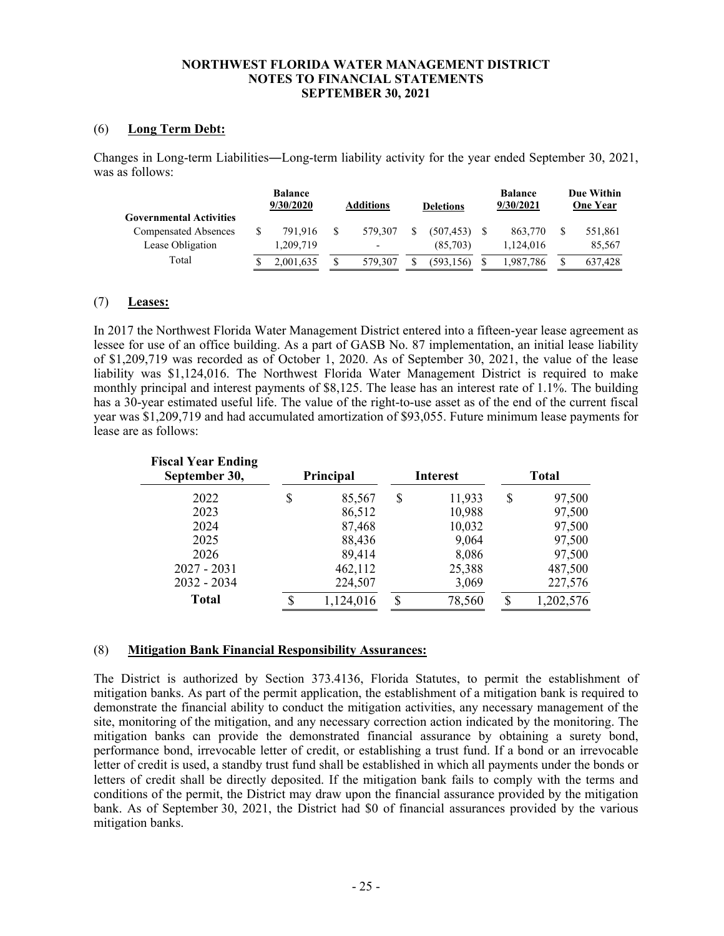#### (6) **Long Term Debt:**

Changes in Long-term Liabilities―Long-term liability activity for the year ended September 30, 2021, was as follows:

|                                |    | <b>Balance</b><br>9/30/2020 |    | <b>Additions</b>         |   | <b>Deletions</b> | <b>Balance</b><br>9/30/2021 |    | Due Within<br><b>One Year</b> |
|--------------------------------|----|-----------------------------|----|--------------------------|---|------------------|-----------------------------|----|-------------------------------|
| <b>Governmental Activities</b> |    |                             |    |                          |   |                  |                             |    |                               |
| Compensated Absences           | S. | 791.916                     | -S | 579,307                  | S | (507, 453)       | 863,770                     | -S | 551,861                       |
| Lease Obligation               |    | 1,209,719                   |    | $\overline{\phantom{0}}$ |   | (85.703)         | 1.124.016                   |    | 85.567                        |
| Total                          |    | 2,001,635                   |    | 579,307                  |   | (593, 156)       | 1,987,786                   |    | 637.428                       |

#### (7) **Leases:**

In 2017 the Northwest Florida Water Management District entered into a fifteen-year lease agreement as lessee for use of an office building. As a part of GASB No. 87 implementation, an initial lease liability of \$1,209,719 was recorded as of October 1, 2020. As of September 30, 2021, the value of the lease liability was \$1,124,016. The Northwest Florida Water Management District is required to make monthly principal and interest payments of \$8,125. The lease has an interest rate of 1.1%. The building has a 30-year estimated useful life. The value of the right-to-use asset as of the end of the current fiscal year was \$1,209,719 and had accumulated amortization of \$93,055. Future minimum lease payments for lease are as follows:

| <b>Fiscal Year Ending</b><br>September 30, | Principal    |   | Interest |          | <b>Total</b> |
|--------------------------------------------|--------------|---|----------|----------|--------------|
| 2022                                       | \$<br>85,567 | S | 11,933   | S        | 97,500       |
| 2023                                       | 86,512       |   | 10,988   |          | 97,500       |
| 2024                                       | 87,468       |   | 10,032   |          | 97,500       |
| 2025                                       | 88,436       |   | 9,064    |          | 97,500       |
| 2026                                       | 89,414       |   | 8,086    |          | 97,500       |
| $2027 - 2031$                              | 462,112      |   | 25,388   |          | 487,500      |
| $2032 - 2034$                              | 224,507      |   | 3,069    |          | 227,576      |
| <b>Total</b>                               | 1,124,016    | S | 78,560   | <b>S</b> | 1,202,576    |

#### (8) **Mitigation Bank Financial Responsibility Assurances:**

The District is authorized by Section 373.4136, Florida Statutes, to permit the establishment of mitigation banks. As part of the permit application, the establishment of a mitigation bank is required to demonstrate the financial ability to conduct the mitigation activities, any necessary management of the site, monitoring of the mitigation, and any necessary correction action indicated by the monitoring. The mitigation banks can provide the demonstrated financial assurance by obtaining a surety bond, performance bond, irrevocable letter of credit, or establishing a trust fund. If a bond or an irrevocable letter of credit is used, a standby trust fund shall be established in which all payments under the bonds or letters of credit shall be directly deposited. If the mitigation bank fails to comply with the terms and conditions of the permit, the District may draw upon the financial assurance provided by the mitigation bank. As of September 30, 2021, the District had \$0 of financial assurances provided by the various mitigation banks.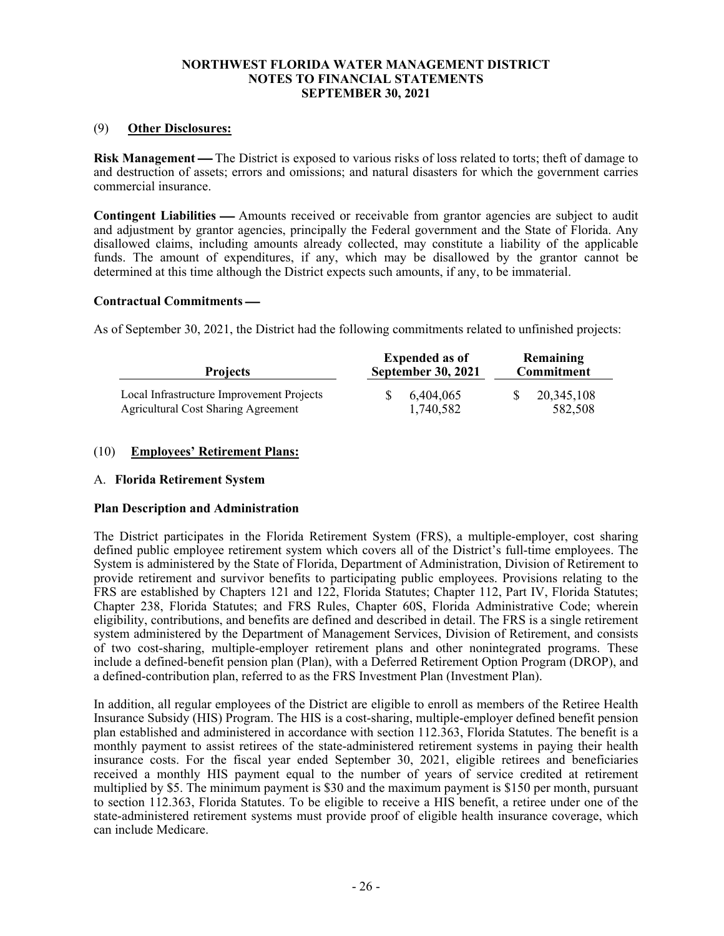#### (9) **Other Disclosures:**

**Risk Management** — The District is exposed to various risks of loss related to torts; theft of damage to and destruction of assets; errors and omissions; and natural disasters for which the government carries commercial insurance.

**Contingent Liabilities** — Amounts received or receivable from grantor agencies are subject to audit and adjustment by grantor agencies, principally the Federal government and the State of Florida. Any disallowed claims, including amounts already collected, may constitute a liability of the applicable funds. The amount of expenditures, if any, which may be disallowed by the grantor cannot be determined at this time although the District expects such amounts, if any, to be immaterial.

#### **Contractual Commitments**

As of September 30, 2021, the District had the following commitments related to unfinished projects:

| <b>Projects</b>                           | <b>Expended as of</b><br><b>September 30, 2021</b> | Remaining<br><b>Commitment</b> |
|-------------------------------------------|----------------------------------------------------|--------------------------------|
| Local Infrastructure Improvement Projects | 6.404.065                                          | 20, 345, 108                   |
| Agricultural Cost Sharing Agreement       | 1,740,582                                          | 582,508                        |

#### (10) **Employees' Retirement Plans:**

#### A. **Florida Retirement System**

#### **Plan Description and Administration**

The District participates in the Florida Retirement System (FRS), a multiple-employer, cost sharing defined public employee retirement system which covers all of the District's full-time employees. The System is administered by the State of Florida, Department of Administration, Division of Retirement to provide retirement and survivor benefits to participating public employees. Provisions relating to the FRS are established by Chapters 121 and 122, Florida Statutes; Chapter 112, Part IV, Florida Statutes; Chapter 238, Florida Statutes; and FRS Rules, Chapter 60S, Florida Administrative Code; wherein eligibility, contributions, and benefits are defined and described in detail. The FRS is a single retirement system administered by the Department of Management Services, Division of Retirement, and consists of two cost-sharing, multiple-employer retirement plans and other nonintegrated programs. These include a defined-benefit pension plan (Plan), with a Deferred Retirement Option Program (DROP), and a defined-contribution plan, referred to as the FRS Investment Plan (Investment Plan).

In addition, all regular employees of the District are eligible to enroll as members of the Retiree Health Insurance Subsidy (HIS) Program. The HIS is a cost-sharing, multiple-employer defined benefit pension plan established and administered in accordance with section 112.363, Florida Statutes. The benefit is a monthly payment to assist retirees of the state-administered retirement systems in paying their health insurance costs. For the fiscal year ended September 30, 2021, eligible retirees and beneficiaries received a monthly HIS payment equal to the number of years of service credited at retirement multiplied by \$5. The minimum payment is \$30 and the maximum payment is \$150 per month, pursuant to section 112.363, Florida Statutes. To be eligible to receive a HIS benefit, a retiree under one of the state-administered retirement systems must provide proof of eligible health insurance coverage, which can include Medicare.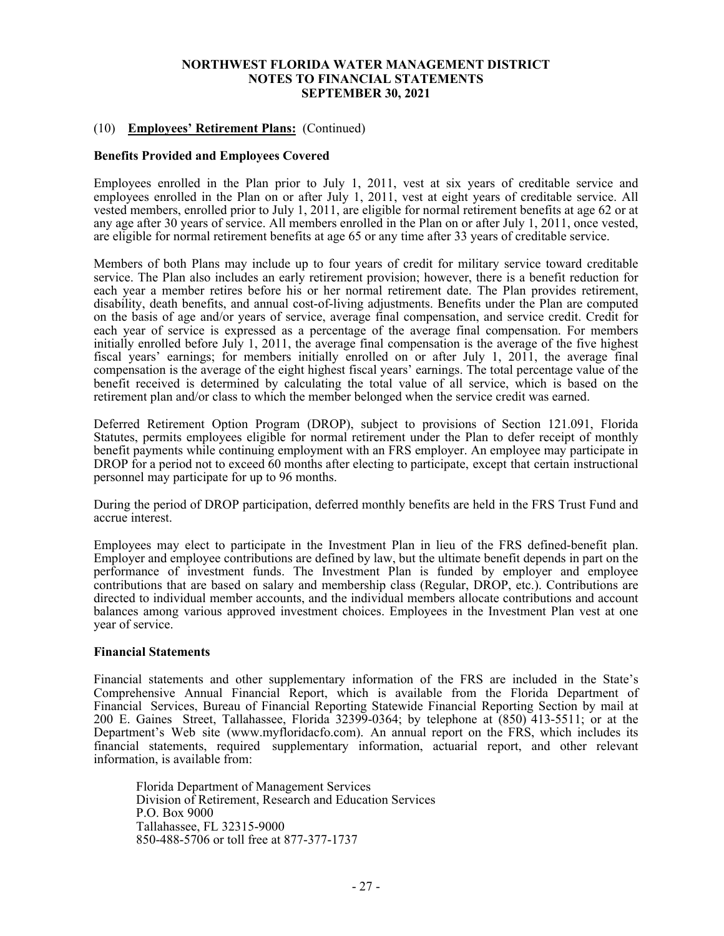#### (10) **Employees' Retirement Plans:** (Continued)

#### **Benefits Provided and Employees Covered**

Employees enrolled in the Plan prior to July 1, 2011, vest at six years of creditable service and employees enrolled in the Plan on or after July 1, 2011, vest at eight years of creditable service. All vested members, enrolled prior to July 1, 2011, are eligible for normal retirement benefits at age 62 or at any age after 30 years of service. All members enrolled in the Plan on or after July 1, 2011, once vested, are eligible for normal retirement benefits at age 65 or any time after 33 years of creditable service.

Members of both Plans may include up to four years of credit for military service toward creditable service. The Plan also includes an early retirement provision; however, there is a benefit reduction for each year a member retires before his or her normal retirement date. The Plan provides retirement, disability, death benefits, and annual cost-of-living adjustments. Benefits under the Plan are computed on the basis of age and/or years of service, average final compensation, and service credit. Credit for each year of service is expressed as a percentage of the average final compensation. For members initially enrolled before July 1, 2011, the average final compensation is the average of the five highest fiscal years' earnings; for members initially enrolled on or after July 1, 2011, the average final compensation is the average of the eight highest fiscal years' earnings. The total percentage value of the benefit received is determined by calculating the total value of all service, which is based on the retirement plan and/or class to which the member belonged when the service credit was earned.

Deferred Retirement Option Program (DROP), subject to provisions of Section 121.091, Florida Statutes, permits employees eligible for normal retirement under the Plan to defer receipt of monthly benefit payments while continuing employment with an FRS employer. An employee may participate in DROP for a period not to exceed 60 months after electing to participate, except that certain instructional personnel may participate for up to 96 months.

During the period of DROP participation, deferred monthly benefits are held in the FRS Trust Fund and accrue interest.

Employees may elect to participate in the Investment Plan in lieu of the FRS defined-benefit plan. Employer and employee contributions are defined by law, but the ultimate benefit depends in part on the performance of investment funds. The Investment Plan is funded by employer and employee contributions that are based on salary and membership class (Regular, DROP, etc.). Contributions are directed to individual member accounts, and the individual members allocate contributions and account balances among various approved investment choices. Employees in the Investment Plan vest at one year of service.

#### **Financial Statements**

Financial statements and other supplementary information of the FRS are included in the State's Comprehensive Annual Financial Report, which is available from the Florida Department of Financial Services, Bureau of Financial Reporting Statewide Financial Reporting Section by mail at 200 E. Gaines Street, Tallahassee, Florida 32399-0364; by telephone at (850) 413-5511; or at the Department's Web site (www.myfloridacfo.com). An annual report on the FRS, which includes its financial statements, required supplementary information, actuarial report, and other relevant information, is available from:

Florida Department of Management Services Division of Retirement, Research and Education Services P.O. Box 9000 Tallahassee, FL 32315-9000 850-488-5706 or toll free at 877-377-1737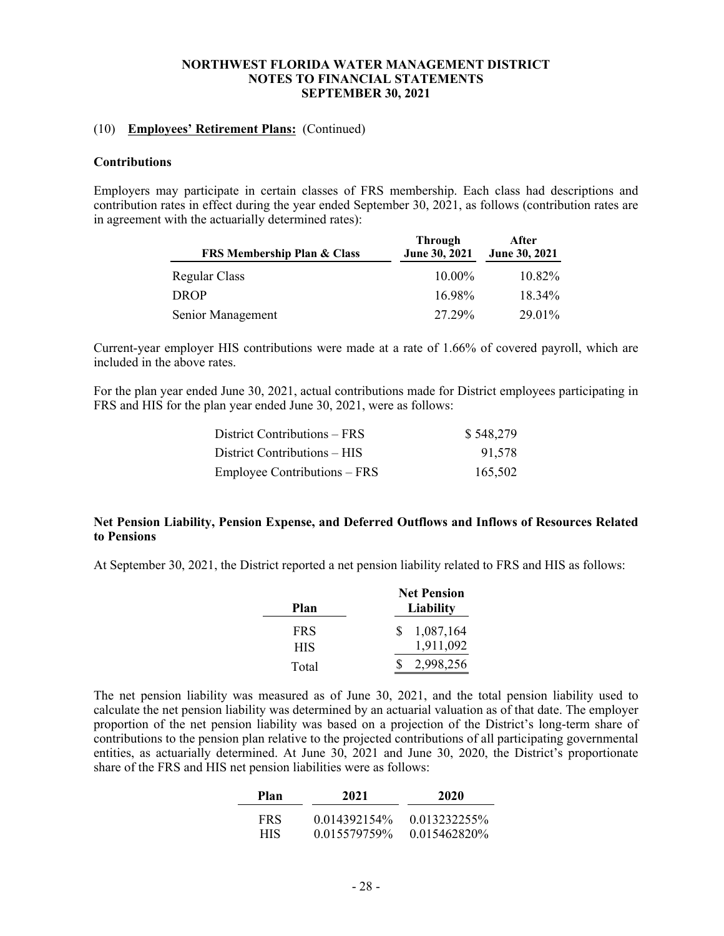#### (10) **Employees' Retirement Plans:** (Continued)

#### **Contributions**

Employers may participate in certain classes of FRS membership. Each class had descriptions and contribution rates in effect during the year ended September 30, 2021, as follows (contribution rates are in agreement with the actuarially determined rates):

| <b>FRS Membership Plan &amp; Class</b> | <b>Through</b><br>June 30, 2021 | After<br>June 30, 2021 |
|----------------------------------------|---------------------------------|------------------------|
| Regular Class                          | $10.00\%$                       | 10.82%                 |
| <b>DROP</b>                            | 16.98%                          | 18.34%                 |
| Senior Management                      | 27.29%                          | 29.01%                 |

Current-year employer HIS contributions were made at a rate of 1.66% of covered payroll, which are included in the above rates.

For the plan year ended June 30, 2021, actual contributions made for District employees participating in FRS and HIS for the plan year ended June 30, 2021, were as follows:

| District Contributions – FRS | \$548,279 |
|------------------------------|-----------|
| District Contributions – HIS | 91,578    |
| Employee Contributions – FRS | 165.502   |

#### **Net Pension Liability, Pension Expense, and Deferred Outflows and Inflows of Resources Related to Pensions**

At September 30, 2021, the District reported a net pension liability related to FRS and HIS as follows:

| Plan       | <b>Net Pension</b><br>Liability |  |  |
|------------|---------------------------------|--|--|
| <b>FRS</b> | 1,087,164<br>S.                 |  |  |
| <b>HIS</b> | 1,911,092                       |  |  |
| Total      | 2,998,256                       |  |  |

The net pension liability was measured as of June 30, 2021, and the total pension liability used to calculate the net pension liability was determined by an actuarial valuation as of that date. The employer proportion of the net pension liability was based on a projection of the District's long-term share of contributions to the pension plan relative to the projected contributions of all participating governmental entities, as actuarially determined. At June 30, 2021 and June 30, 2020, the District's proportionate share of the FRS and HIS net pension liabilities were as follows:

| Plan       | 2021         | 2020            |
|------------|--------------|-----------------|
| <b>FRS</b> | 0.014392154% | 0.013232255%    |
| <b>HIS</b> | 0.015579759% | $0.015462820\%$ |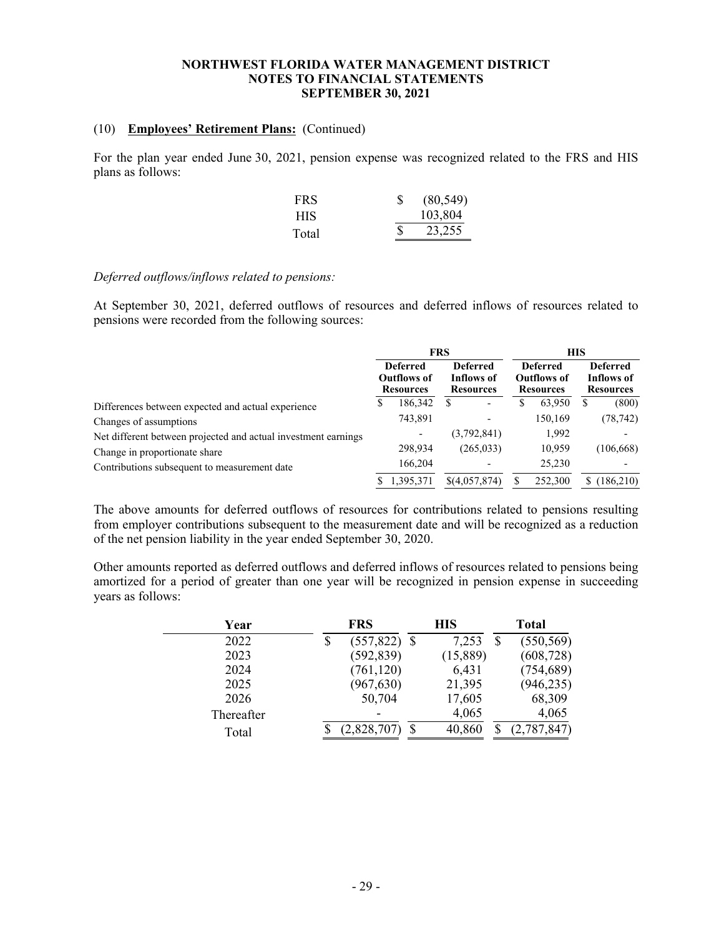#### (10) **Employees' Retirement Plans:** (Continued)

For the plan year ended June 30, 2021, pension expense was recognized related to the FRS and HIS plans as follows:

| <b>FRS</b> | S | (80, 549) |
|------------|---|-----------|
| <b>HIS</b> |   | 103,804   |
| Total      |   | 23,255    |

#### *Deferred outflows/inflows related to pensions:*

At September 30, 2021, deferred outflows of resources and deferred inflows of resources related to pensions were recorded from the following sources:

|                                                                | <b>FRS</b> |                                                           |   | <b>HIS</b>                                        |   |                                                           |  |                                                   |
|----------------------------------------------------------------|------------|-----------------------------------------------------------|---|---------------------------------------------------|---|-----------------------------------------------------------|--|---------------------------------------------------|
|                                                                |            | <b>Deferred</b><br><b>Outflows of</b><br><b>Resources</b> |   | <b>Deferred</b><br>Inflows of<br><b>Resources</b> |   | <b>Deferred</b><br><b>Outflows of</b><br><b>Resources</b> |  | <b>Deferred</b><br>Inflows of<br><b>Resources</b> |
| Differences between expected and actual experience             |            | 186,342                                                   | S | $\qquad \qquad \blacksquare$                      | S | 63,950                                                    |  | (800)                                             |
| Changes of assumptions                                         |            | 743,891                                                   |   | -                                                 |   | 150,169                                                   |  | (78, 742)                                         |
| Net different between projected and actual investment earnings |            |                                                           |   | (3,792,841)                                       |   | 1,992                                                     |  |                                                   |
| Change in proportionate share                                  |            | 298,934                                                   |   | (265, 033)                                        |   | 10,959                                                    |  | (106, 668)                                        |
| Contributions subsequent to measurement date                   |            | 166,204                                                   |   |                                                   |   | 25,230                                                    |  |                                                   |
|                                                                |            | 1.395.371                                                 |   | \$(4.057,874)                                     |   | 252,300                                                   |  | (186,210)                                         |

The above amounts for deferred outflows of resources for contributions related to pensions resulting from employer contributions subsequent to the measurement date and will be recognized as a reduction of the net pension liability in the year ended September 30, 2020.

Other amounts reported as deferred outflows and deferred inflows of resources related to pensions being amortized for a period of greater than one year will be recognized in pension expense in succeeding years as follows:

| Year       | <b>FRS</b>     | <b>HIS</b> | <b>Total</b> |
|------------|----------------|------------|--------------|
| 2022       | $(557,822)$ \$ | 7,253      | (550, 569)   |
| 2023       | (592, 839)     | (15,889)   | (608, 728)   |
| 2024       | (761, 120)     | 6,431      | (754, 689)   |
| 2025       | (967, 630)     | 21,395     | (946, 235)   |
| 2026       | 50,704         | 17,605     | 68,309       |
| Thereafter |                | 4,065      | 4,065        |
| Total      | (2,828,707)    | 40,860     | (2,787,847)  |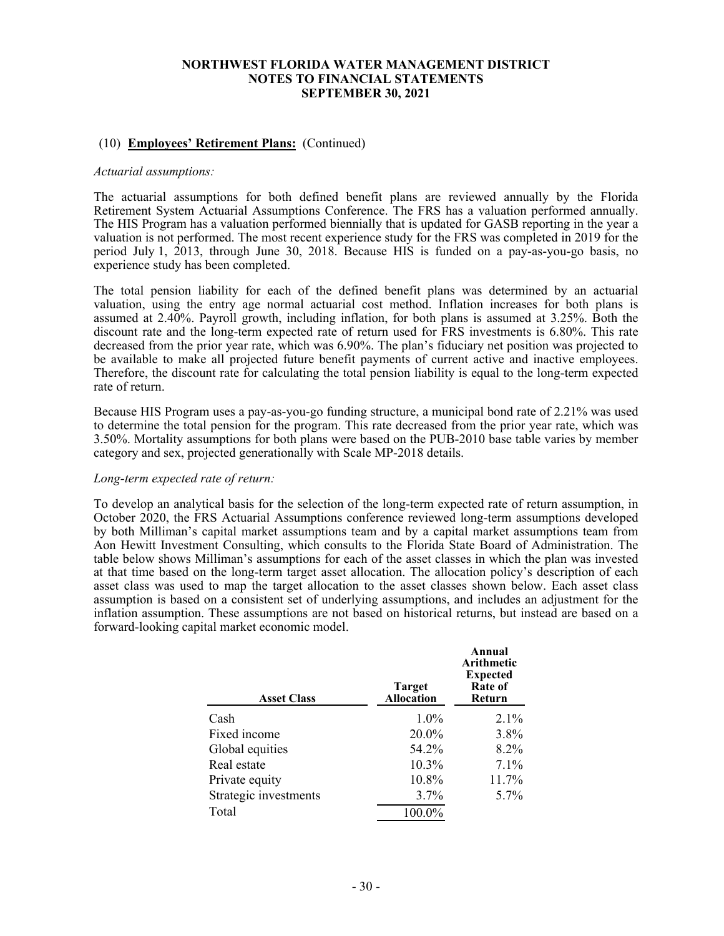#### (10) **Employees' Retirement Plans:** (Continued)

#### *Actuarial assumptions:*

The actuarial assumptions for both defined benefit plans are reviewed annually by the Florida Retirement System Actuarial Assumptions Conference. The FRS has a valuation performed annually. The HIS Program has a valuation performed biennially that is updated for GASB reporting in the year a valuation is not performed. The most recent experience study for the FRS was completed in 2019 for the period July 1, 2013, through June 30, 2018. Because HIS is funded on a pay-as-you-go basis, no experience study has been completed.

The total pension liability for each of the defined benefit plans was determined by an actuarial valuation, using the entry age normal actuarial cost method. Inflation increases for both plans is assumed at 2.40%. Payroll growth, including inflation, for both plans is assumed at 3.25%. Both the discount rate and the long-term expected rate of return used for FRS investments is 6.80%. This rate decreased from the prior year rate, which was 6.90%. The plan's fiduciary net position was projected to be available to make all projected future benefit payments of current active and inactive employees. Therefore, the discount rate for calculating the total pension liability is equal to the long-term expected rate of return.

Because HIS Program uses a pay-as-you-go funding structure, a municipal bond rate of 2.21% was used to determine the total pension for the program. This rate decreased from the prior year rate, which was 3.50%. Mortality assumptions for both plans were based on the PUB-2010 base table varies by member category and sex, projected generationally with Scale MP-2018 details.

#### *Long-term expected rate of return:*

To develop an analytical basis for the selection of the long-term expected rate of return assumption, in October 2020, the FRS Actuarial Assumptions conference reviewed long-term assumptions developed by both Milliman's capital market assumptions team and by a capital market assumptions team from Aon Hewitt Investment Consulting, which consults to the Florida State Board of Administration. The table below shows Milliman's assumptions for each of the asset classes in which the plan was invested at that time based on the long-term target asset allocation. The allocation policy's description of each asset class was used to map the target allocation to the asset classes shown below. Each asset class assumption is based on a consistent set of underlying assumptions, and includes an adjustment for the inflation assumption. These assumptions are not based on historical returns, but instead are based on a forward-looking capital market economic model.

| <b>Asset Class</b>    | <b>Target</b><br><b>Allocation</b> | Annual<br>Arithmetic<br><b>Expected</b><br>Rate of<br>Return |
|-----------------------|------------------------------------|--------------------------------------------------------------|
| Cash                  | 1.0%                               | $2.1\%$                                                      |
| Fixed income          | 20.0%                              | $3.8\%$                                                      |
| Global equities       | 54.2%                              | 8.2%                                                         |
| Real estate           | 10.3%                              | $7.1\%$                                                      |
| Private equity        | 10.8%                              | 11.7%                                                        |
| Strategic investments | 3.7%                               | 5.7%                                                         |
| Total                 | 100.0%                             |                                                              |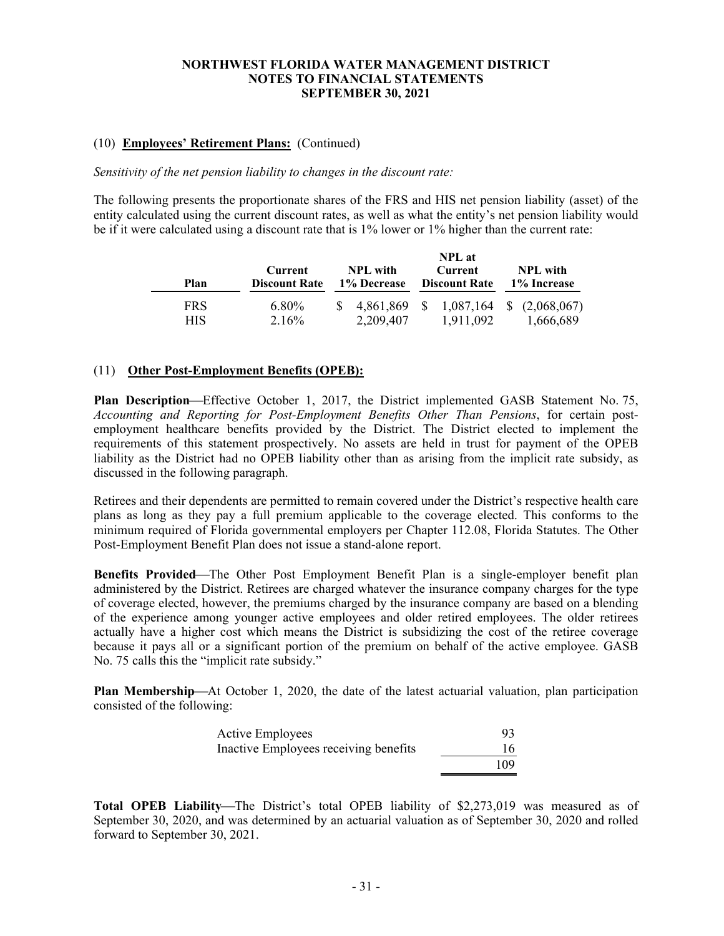#### (10) **Employees' Retirement Plans:** (Continued)

#### *Sensitivity of the net pension liability to changes in the discount rate:*

The following presents the proportionate shares of the FRS and HIS net pension liability (asset) of the entity calculated using the current discount rates, as well as what the entity's net pension liability would be if it were calculated using a discount rate that is 1% lower or 1% higher than the current rate:

|            |                                 |                                                                          |           |  | <b>NPL</b> at                  |                                       |
|------------|---------------------------------|--------------------------------------------------------------------------|-----------|--|--------------------------------|---------------------------------------|
| Plan       | Current<br><b>Discount Rate</b> | <b>Current</b><br><b>NPL</b> with<br><b>Discount Rate</b><br>1% Decrease |           |  | <b>NPL</b> with<br>1% Increase |                                       |
| <b>FRS</b> | $6.80\%$                        |                                                                          |           |  |                                | 4,861,869 \$ 1,087,164 \$ (2,068,067) |
| <b>HIS</b> | 2.16%                           |                                                                          | 2,209,407 |  | 1,911,092                      | 1,666,689                             |

#### (11) **Other Post-Employment Benefits (OPEB):**

**Plan Description—Effective October 1, 2017, the District implemented GASB Statement No. 75,** *Accounting and Reporting for Post-Employment Benefits Other Than Pensions*, for certain postemployment healthcare benefits provided by the District. The District elected to implement the requirements of this statement prospectively. No assets are held in trust for payment of the OPEB liability as the District had no OPEB liability other than as arising from the implicit rate subsidy, as discussed in the following paragraph.

Retirees and their dependents are permitted to remain covered under the District's respective health care plans as long as they pay a full premium applicable to the coverage elected. This conforms to the minimum required of Florida governmental employers per Chapter 112.08, Florida Statutes. The Other Post-Employment Benefit Plan does not issue a stand-alone report.

**Benefits Provided—The Other Post Employment Benefit Plan is a single-employer benefit plan** administered by the District. Retirees are charged whatever the insurance company charges for the type of coverage elected, however, the premiums charged by the insurance company are based on a blending of the experience among younger active employees and older retired employees. The older retirees actually have a higher cost which means the District is subsidizing the cost of the retiree coverage because it pays all or a significant portion of the premium on behalf of the active employee. GASB No. 75 calls this the "implicit rate subsidy."

**Plan Membership—At** October 1, 2020, the date of the latest actuarial valuation, plan participation consisted of the following:

| <b>Active Employees</b>               | -93 |
|---------------------------------------|-----|
| Inactive Employees receiving benefits | 16  |
|                                       | 109 |

Total OPEB Liability-The District's total OPEB liability of \$2,273,019 was measured as of September 30, 2020, and was determined by an actuarial valuation as of September 30, 2020 and rolled forward to September 30, 2021.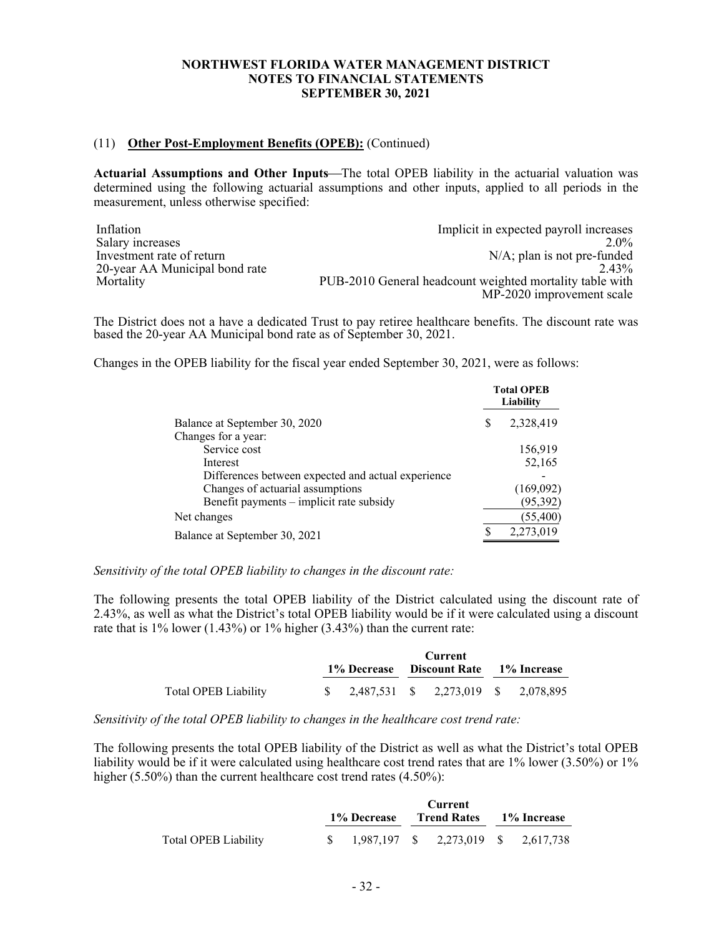#### (11) **Other Post-Employment Benefits (OPEB):** (Continued)

**Actuarial Assumptions and Other Inputs—The total OPEB liability in the actuarial valuation was** determined using the following actuarial assumptions and other inputs, applied to all periods in the measurement, unless otherwise specified:

| Inflation                      | Implicit in expected payroll increases                   |
|--------------------------------|----------------------------------------------------------|
| Salary increases               | $2.0\%$                                                  |
| Investment rate of return      | $N/A$ ; plan is not pre-funded                           |
| 20-year AA Municipal bond rate | $2.43\%$                                                 |
| Mortality                      | PUB-2010 General headcount weighted mortality table with |
|                                | MP-2020 improvement scale                                |

The District does not a have a dedicated Trust to pay retiree healthcare benefits. The discount rate was based the 20-year AA Municipal bond rate as of September 30, 2021.

Changes in the OPEB liability for the fiscal year ended September 30, 2021, were as follows:

|                                                    |   | <b>Total OPEB</b><br>Liability |
|----------------------------------------------------|---|--------------------------------|
| Balance at September 30, 2020                      | S | 2,328,419                      |
| Changes for a year:                                |   |                                |
| Service cost                                       |   | 156,919                        |
| Interest                                           |   | 52,165                         |
| Differences between expected and actual experience |   |                                |
| Changes of actuarial assumptions                   |   | (169,092)                      |
| Benefit payments – implicit rate subsidy           |   | (95, 392)                      |
| Net changes                                        |   | (55, 400)                      |
| Balance at September 30, 2021                      |   | 2,273,019                      |

*Sensitivity of the total OPEB liability to changes in the discount rate:*

The following presents the total OPEB liability of the District calculated using the discount rate of 2.43%, as well as what the District's total OPEB liability would be if it were calculated using a discount rate that is 1% lower (1.43%) or 1% higher (3.43%) than the current rate:

|                      | Current<br>1\% Decrease Discount Rate 1\% Increase |  |                                                           |  |  |  |
|----------------------|----------------------------------------------------|--|-----------------------------------------------------------|--|--|--|
| Total OPEB Liability |                                                    |  | $\frac{1}{2}$ , 2,487,531 \, \, 2,273,019 \, \, 2,078,895 |  |  |  |

*Sensitivity of the total OPEB liability to changes in the healthcare cost trend rate:*

The following presents the total OPEB liability of the District as well as what the District's total OPEB liability would be if it were calculated using healthcare cost trend rates that are 1% lower (3.50%) or 1% higher (5.50%) than the current healthcare cost trend rates (4.50%):

|                      | 1% Decrease |  |  | Current<br>Trend Rates                                                              | 1% Increase |  |
|----------------------|-------------|--|--|-------------------------------------------------------------------------------------|-------------|--|
| Total OPEB Liability |             |  |  | $\frac{1.987197}{8}$ $\frac{1.987197}{8}$ $\frac{2.273019}{8}$ $\frac{1.617738}{8}$ |             |  |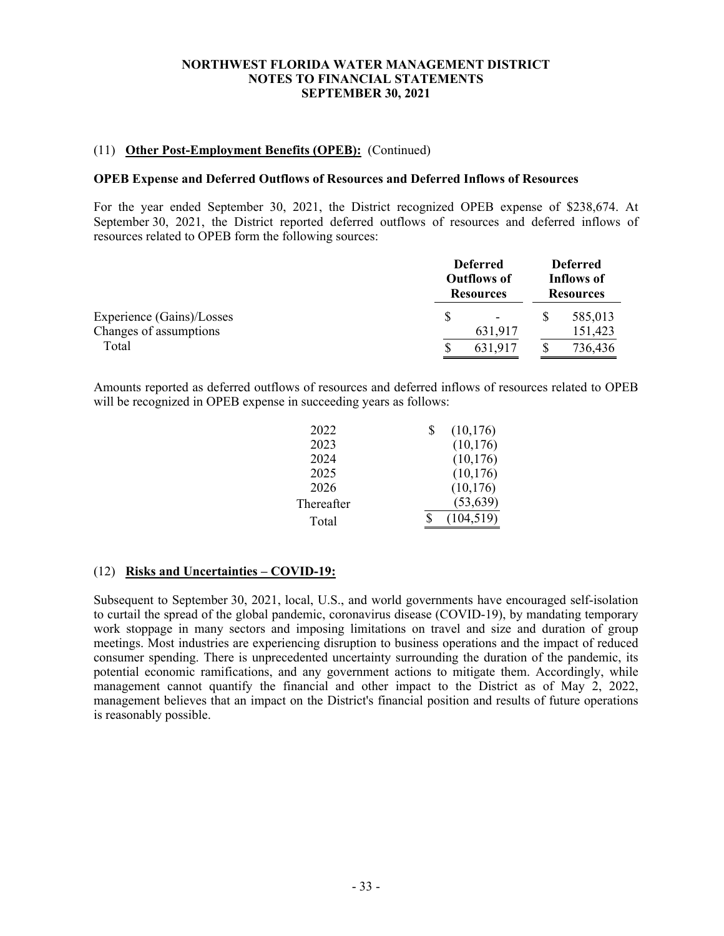#### (11) **Other Post-Employment Benefits (OPEB):** (Continued)

#### **OPEB Expense and Deferred Outflows of Resources and Deferred Inflows of Resources**

For the year ended September 30, 2021, the District recognized OPEB expense of \$238,674. At September 30, 2021, the District reported deferred outflows of resources and deferred inflows of resources related to OPEB form the following sources:

|                           | <b>Deferred</b><br><b>Outflows of</b><br><b>Resources</b> | <b>Deferred</b><br>Inflows of<br><b>Resources</b> |  |  |
|---------------------------|-----------------------------------------------------------|---------------------------------------------------|--|--|
| Experience (Gains)/Losses |                                                           | 585,013                                           |  |  |
| Changes of assumptions    | 631,917                                                   | 151,423                                           |  |  |
| Total                     | 631.917                                                   | 736,436                                           |  |  |

Amounts reported as deferred outflows of resources and deferred inflows of resources related to OPEB will be recognized in OPEB expense in succeeding years as follows:

| Thereafter | (53, 639) |
|------------|-----------|
| 2025       | (10, 176) |
| 2026       | (10, 176) |
| 2022       | (10, 176) |
| 2023       | (10, 176) |
| 2024       | (10, 176) |

#### (12) **Risks and Uncertainties – COVID-19:**

Subsequent to September 30, 2021, local, U.S., and world governments have encouraged self-isolation to curtail the spread of the global pandemic, coronavirus disease (COVID-19), by mandating temporary work stoppage in many sectors and imposing limitations on travel and size and duration of group meetings. Most industries are experiencing disruption to business operations and the impact of reduced consumer spending. There is unprecedented uncertainty surrounding the duration of the pandemic, its potential economic ramifications, and any government actions to mitigate them. Accordingly, while management cannot quantify the financial and other impact to the District as of May 2, 2022, management believes that an impact on the District's financial position and results of future operations is reasonably possible.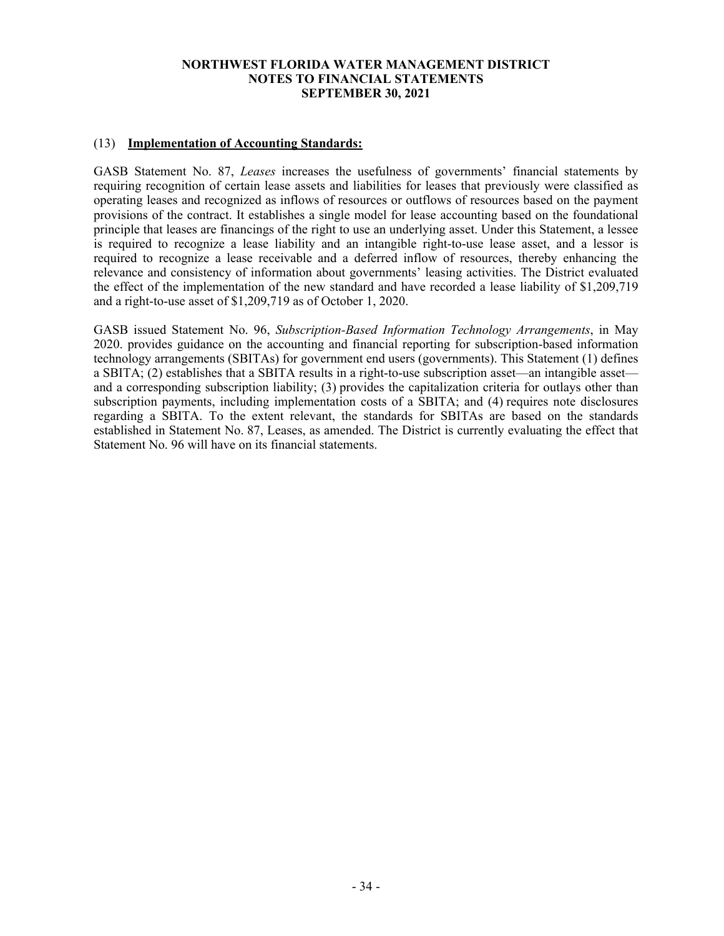#### (13) **Implementation of Accounting Standards:**

GASB Statement No. 87, *Leases* increases the usefulness of governments' financial statements by requiring recognition of certain lease assets and liabilities for leases that previously were classified as operating leases and recognized as inflows of resources or outflows of resources based on the payment provisions of the contract. It establishes a single model for lease accounting based on the foundational principle that leases are financings of the right to use an underlying asset. Under this Statement, a lessee is required to recognize a lease liability and an intangible right-to-use lease asset, and a lessor is required to recognize a lease receivable and a deferred inflow of resources, thereby enhancing the relevance and consistency of information about governments' leasing activities. The District evaluated the effect of the implementation of the new standard and have recorded a lease liability of \$1,209,719 and a right-to-use asset of \$1,209,719 as of October 1, 2020.

GASB issued Statement No. 96, *Subscription-Based Information Technology Arrangements*, in May 2020. provides guidance on the accounting and financial reporting for subscription-based information technology arrangements (SBITAs) for government end users (governments). This Statement (1) defines a SBITA; (2) establishes that a SBITA results in a right-to-use subscription asset—an intangible asset and a corresponding subscription liability; (3) provides the capitalization criteria for outlays other than subscription payments, including implementation costs of a SBITA; and (4) requires note disclosures regarding a SBITA. To the extent relevant, the standards for SBITAs are based on the standards established in Statement No. 87, Leases, as amended. The District is currently evaluating the effect that Statement No. 96 will have on its financial statements.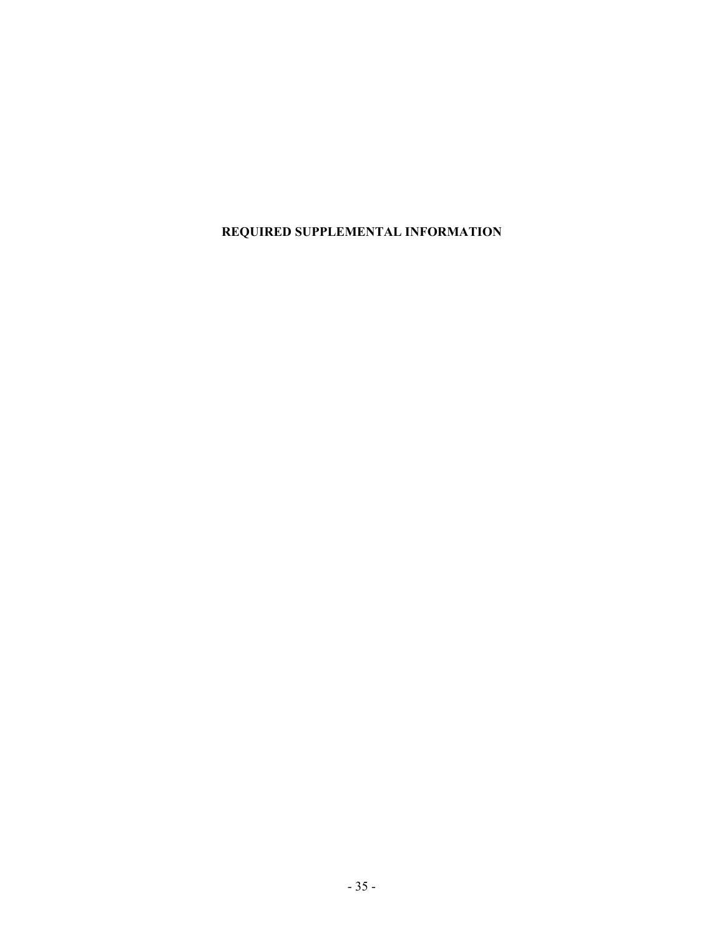**REQUIRED SUPPLEMENTAL INFORMATION**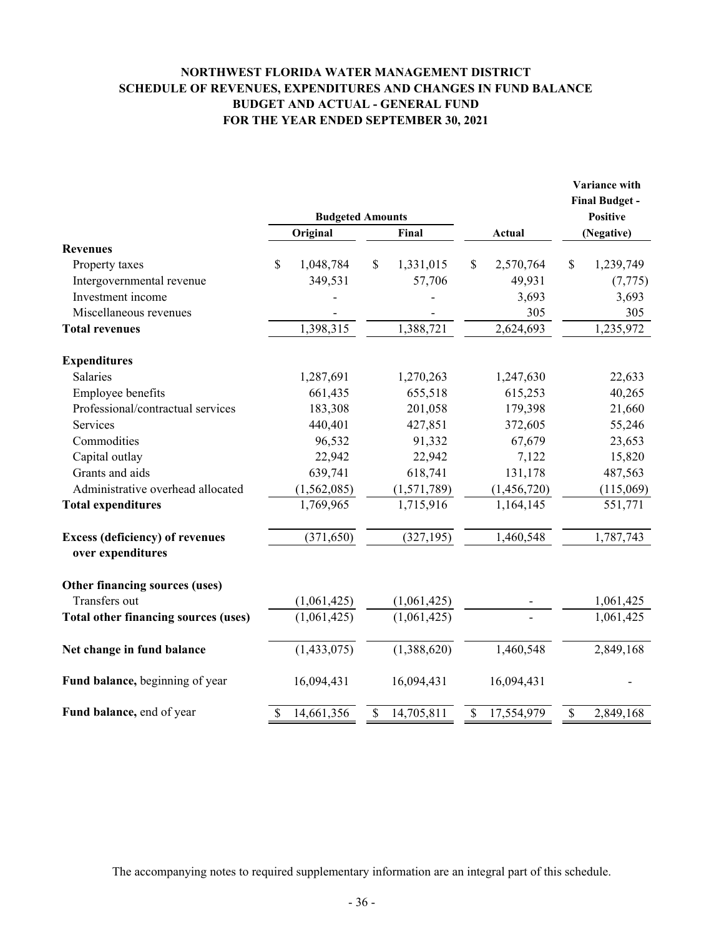# **NORTHWEST FLORIDA WATER MANAGEMENT DISTRICT SCHEDULE OF REVENUES, EXPENDITURES AND CHANGES IN FUND BALANCE BUDGET AND ACTUAL - GENERAL FUND FOR THE YEAR ENDED SEPTEMBER 30, 2021**

|                                                             |                  | <b>Budgeted Amounts</b>    |                                         | Variance with<br><b>Final Budget -</b><br><b>Positive</b> |
|-------------------------------------------------------------|------------------|----------------------------|-----------------------------------------|-----------------------------------------------------------|
|                                                             | Original         | Final                      | <b>Actual</b>                           | (Negative)                                                |
| <b>Revenues</b><br>Property taxes                           | \$<br>1,048,784  | \$<br>1,331,015            | 2,570,764<br>\$                         | $\boldsymbol{\mathsf{S}}$<br>1,239,749                    |
| Intergovernmental revenue                                   | 349,531          | 57,706                     | 49,931                                  | (7, 775)                                                  |
| Investment income                                           |                  |                            | 3,693                                   | 3,693                                                     |
| Miscellaneous revenues                                      |                  |                            | 305                                     | 305                                                       |
| <b>Total revenues</b>                                       | 1,398,315        | 1,388,721                  | 2,624,693                               | 1,235,972                                                 |
| <b>Expenditures</b>                                         |                  |                            |                                         |                                                           |
| Salaries                                                    | 1,287,691        | 1,270,263                  | 1,247,630                               | 22,633                                                    |
| Employee benefits                                           | 661,435          | 655,518                    | 615,253                                 | 40,265                                                    |
| Professional/contractual services                           | 183,308          | 201,058                    | 179,398                                 | 21,660                                                    |
| Services                                                    | 440,401          | 427,851                    | 372,605                                 | 55,246                                                    |
| Commodities                                                 | 96,532           | 91,332                     | 67,679                                  | 23,653                                                    |
| Capital outlay                                              | 22,942           | 22,942                     | 7,122                                   | 15,820                                                    |
| Grants and aids                                             | 639,741          | 618,741                    | 131,178                                 | 487,563                                                   |
| Administrative overhead allocated                           | (1, 562, 085)    | (1,571,789)                | (1,456,720)                             | (115,069)                                                 |
| <b>Total expenditures</b>                                   | 1,769,965        | 1,715,916                  | 1,164,145                               | 551,771                                                   |
| <b>Excess (deficiency) of revenues</b><br>over expenditures | (371, 650)       | (327, 195)                 | 1,460,548                               | 1,787,743                                                 |
| Other financing sources (uses)                              |                  |                            |                                         |                                                           |
| Transfers out                                               | (1,061,425)      | (1,061,425)                |                                         | 1,061,425                                                 |
| <b>Total other financing sources (uses)</b>                 | (1,061,425)      | (1,061,425)                |                                         | 1,061,425                                                 |
| Net change in fund balance                                  | (1,433,075)      | (1,388,620)                | 1,460,548                               | 2,849,168                                                 |
| Fund balance, beginning of year                             | 16,094,431       | 16,094,431                 | 16,094,431                              |                                                           |
| Fund balance, end of year                                   | 14,661,356<br>\$ | 14,705,811<br>$\mathbb{S}$ | 17,554,979<br>$\boldsymbol{\mathsf{S}}$ | $\mathbb{S}$<br>2,849,168                                 |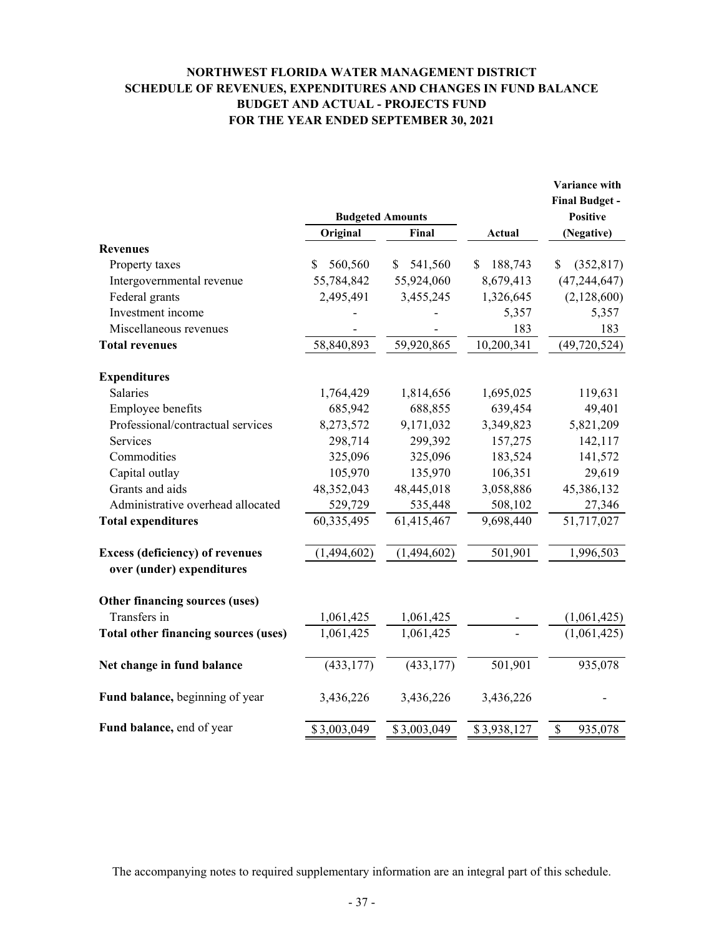# **NORTHWEST FLORIDA WATER MANAGEMENT DISTRICT SCHEDULE OF REVENUES, EXPENDITURES AND CHANGES IN FUND BALANCE BUDGET AND ACTUAL - PROJECTS FUND FOR THE YEAR ENDED SEPTEMBER 30, 2021**

|                                                                     | <b>Budgeted Amounts</b> |               |               | Variance with<br><b>Final Budget -</b><br><b>Positive</b> |
|---------------------------------------------------------------------|-------------------------|---------------|---------------|-----------------------------------------------------------|
|                                                                     | Original                | Final         | <b>Actual</b> | (Negative)                                                |
| <b>Revenues</b>                                                     |                         |               |               |                                                           |
| Property taxes                                                      | 560,560<br>S            | \$<br>541,560 | 188,743<br>\$ | (352, 817)<br>\$                                          |
| Intergovernmental revenue                                           | 55,784,842              | 55,924,060    | 8,679,413     | (47, 244, 647)                                            |
| Federal grants                                                      | 2,495,491               | 3,455,245     | 1,326,645     | (2,128,600)                                               |
| Investment income                                                   |                         |               | 5,357         | 5,357                                                     |
| Miscellaneous revenues                                              |                         |               | 183           | 183                                                       |
| <b>Total revenues</b>                                               | 58,840,893              | 59,920,865    | 10,200,341    | (49, 720, 524)                                            |
| <b>Expenditures</b>                                                 |                         |               |               |                                                           |
| Salaries                                                            | 1,764,429               | 1,814,656     | 1,695,025     | 119,631                                                   |
| Employee benefits                                                   | 685,942                 | 688,855       | 639,454       | 49,401                                                    |
| Professional/contractual services                                   | 8,273,572               | 9,171,032     | 3,349,823     | 5,821,209                                                 |
| Services                                                            | 298,714                 | 299,392       | 157,275       | 142,117                                                   |
| Commodities                                                         | 325,096                 | 325,096       | 183,524       | 141,572                                                   |
| Capital outlay                                                      | 105,970                 | 135,970       | 106,351       | 29,619                                                    |
| Grants and aids                                                     | 48,352,043              | 48,445,018    | 3,058,886     | 45,386,132                                                |
| Administrative overhead allocated                                   | 529,729                 | 535,448       | 508,102       | 27,346                                                    |
| <b>Total expenditures</b>                                           | 60,335,495              | 61,415,467    | 9,698,440     | 51,717,027                                                |
| <b>Excess (deficiency) of revenues</b><br>over (under) expenditures | (1,494,602)             | (1,494,602)   | 501,901       | 1,996,503                                                 |
| Other financing sources (uses)                                      |                         |               |               |                                                           |
| Transfers in                                                        | 1,061,425               | 1,061,425     |               | (1,061,425)                                               |
| <b>Total other financing sources (uses)</b>                         | 1,061,425               | 1,061,425     |               | (1,061,425)                                               |
| Net change in fund balance                                          | (433, 177)              | (433, 177)    | 501,901       | 935,078                                                   |
| Fund balance, beginning of year                                     | 3,436,226               | 3,436,226     | 3,436,226     |                                                           |
| Fund balance, end of year                                           | \$3,003,049             | \$3,003,049   | \$3,938,127   | \$<br>935,078                                             |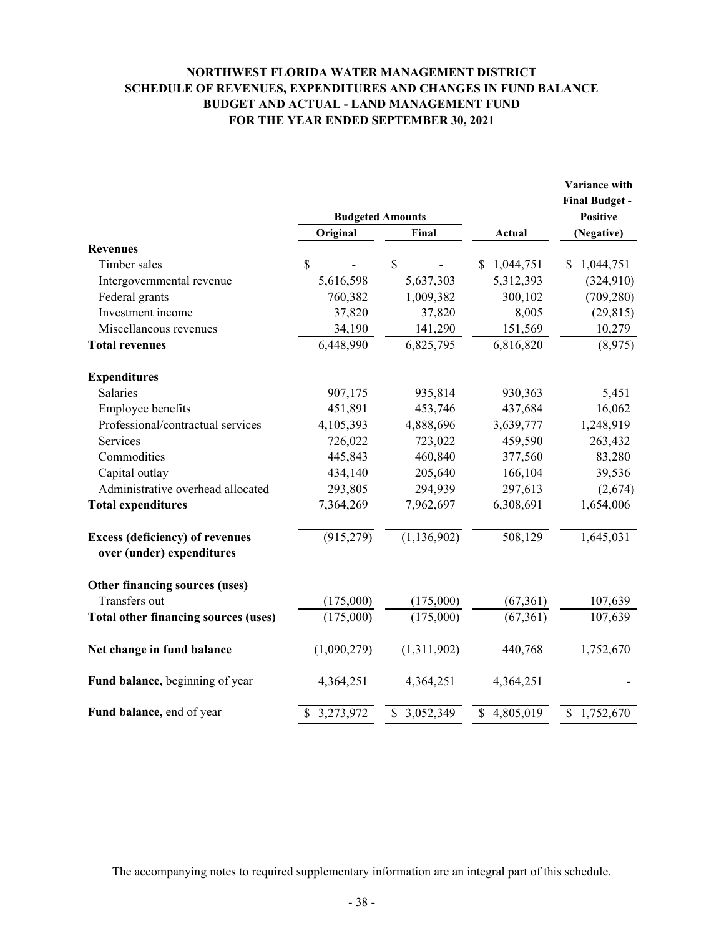# **NORTHWEST FLORIDA WATER MANAGEMENT DISTRICT SCHEDULE OF REVENUES, EXPENDITURES AND CHANGES IN FUND BALANCE BUDGET AND ACTUAL - LAND MANAGEMENT FUND FOR THE YEAR ENDED SEPTEMBER 30, 2021**

|                                             |                 |                         |                 | Variance with<br><b>Final Budget -</b> |
|---------------------------------------------|-----------------|-------------------------|-----------------|----------------------------------------|
|                                             |                 | <b>Budgeted Amounts</b> |                 | <b>Positive</b>                        |
|                                             | Original        | Final                   | Actual          | (Negative)                             |
| <b>Revenues</b>                             |                 |                         |                 |                                        |
| Timber sales                                | \$              | \$                      | 1,044,751<br>\$ | 1,044,751<br>\$                        |
| Intergovernmental revenue                   | 5,616,598       | 5,637,303               | 5,312,393       | (324, 910)                             |
| Federal grants                              | 760,382         | 1,009,382               | 300,102         | (709, 280)                             |
| Investment income                           | 37,820          | 37,820                  | 8,005           | (29, 815)                              |
| Miscellaneous revenues                      | 34,190          | 141,290                 | 151,569         | 10,279                                 |
| <b>Total revenues</b>                       | 6,448,990       | 6,825,795               | 6,816,820       | (8,975)                                |
| <b>Expenditures</b>                         |                 |                         |                 |                                        |
| Salaries                                    | 907,175         | 935,814                 | 930,363         | 5,451                                  |
| Employee benefits                           | 451,891         | 453,746                 | 437,684         | 16,062                                 |
| Professional/contractual services           | 4,105,393       | 4,888,696               | 3,639,777       | 1,248,919                              |
| Services                                    | 726,022         | 723,022                 | 459,590         | 263,432                                |
| Commodities                                 | 445,843         | 460,840                 | 377,560         | 83,280                                 |
| Capital outlay                              | 434,140         | 205,640                 | 166,104         | 39,536                                 |
| Administrative overhead allocated           | 293,805         | 294,939                 | 297,613         | (2,674)                                |
| <b>Total expenditures</b>                   | 7,364,269       | 7,962,697               | 6,308,691       | 1,654,006                              |
| <b>Excess (deficiency) of revenues</b>      | (915, 279)      | (1, 136, 902)           | 508,129         | 1,645,031                              |
| over (under) expenditures                   |                 |                         |                 |                                        |
| Other financing sources (uses)              |                 |                         |                 |                                        |
| Transfers out                               | (175,000)       | (175,000)               | (67, 361)       | 107,639                                |
| <b>Total other financing sources (uses)</b> | (175,000)       | (175,000)               | (67, 361)       | 107,639                                |
| Net change in fund balance                  | (1,090,279)     | (1,311,902)             | 440,768         | 1,752,670                              |
| Fund balance, beginning of year             | 4,364,251       | 4,364,251               | 4,364,251       |                                        |
| Fund balance, end of year                   | 3,273,972<br>\$ | 3,052,349<br>S          | 4,805,019<br>\$ | 1,752,670<br>\$                        |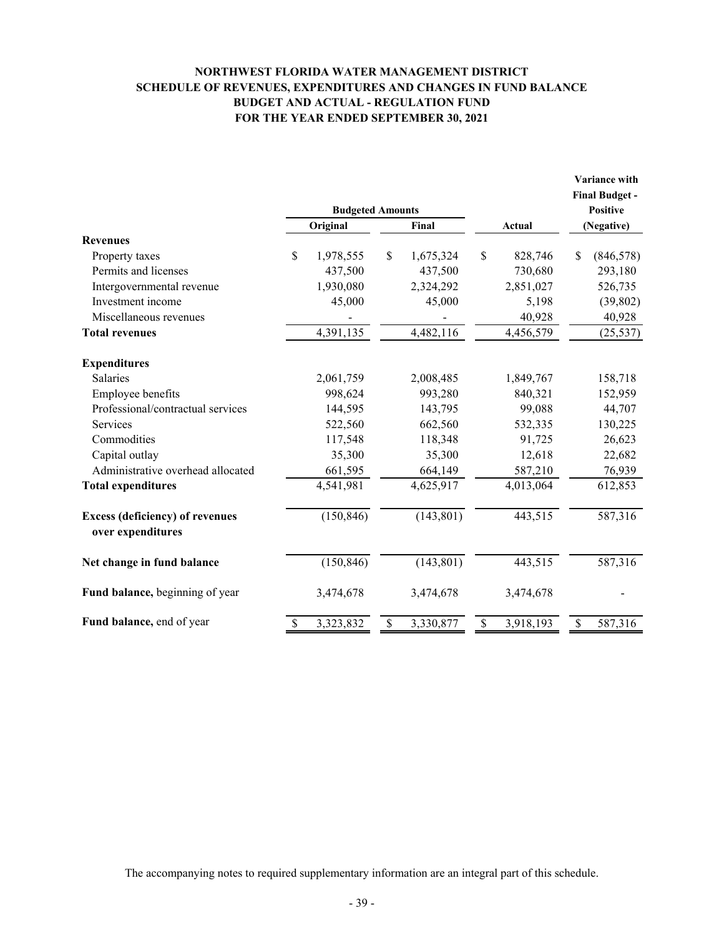### **NORTHWEST FLORIDA WATER MANAGEMENT DISTRICT SCHEDULE OF REVENUES, EXPENDITURES AND CHANGES IN FUND BALANCE BUDGET AND ACTUAL - REGULATION FUND FOR THE YEAR ENDED SEPTEMBER 30, 2021**

|                                                             | <b>Budgeted Amounts</b> |                 |                 |    | Variance with<br><b>Final Budget -</b><br><b>Positive</b> |
|-------------------------------------------------------------|-------------------------|-----------------|-----------------|----|-----------------------------------------------------------|
|                                                             | Original                | Final           | <b>Actual</b>   |    | (Negative)                                                |
| <b>Revenues</b>                                             |                         |                 |                 |    |                                                           |
| Property taxes                                              | \$<br>1,978,555         | \$<br>1,675,324 | \$<br>828,746   | \$ | (846, 578)                                                |
| Permits and licenses                                        | 437,500                 | 437,500         | 730,680         |    | 293,180                                                   |
| Intergovernmental revenue                                   | 1,930,080               | 2,324,292       | 2,851,027       |    | 526,735                                                   |
| Investment income                                           | 45,000                  | 45,000          | 5,198           |    | (39, 802)                                                 |
| Miscellaneous revenues                                      |                         |                 | 40,928          |    | 40,928                                                    |
| <b>Total revenues</b>                                       | 4,391,135               | 4,482,116       | 4,456,579       |    | (25, 537)                                                 |
| <b>Expenditures</b>                                         |                         |                 |                 |    |                                                           |
| <b>Salaries</b>                                             | 2,061,759               | 2,008,485       | 1,849,767       |    | 158,718                                                   |
| Employee benefits                                           | 998,624                 | 993,280         | 840,321         |    | 152,959                                                   |
| Professional/contractual services                           | 144,595                 | 143,795         | 99,088          |    | 44,707                                                    |
| Services                                                    | 522,560                 | 662,560         | 532,335         |    | 130,225                                                   |
| Commodities                                                 | 117,548                 | 118,348         | 91,725          |    | 26,623                                                    |
| Capital outlay                                              | 35,300                  | 35,300          | 12,618          |    | 22,682                                                    |
| Administrative overhead allocated                           | 661,595                 | 664,149         | 587,210         |    | 76,939                                                    |
| <b>Total expenditures</b>                                   | 4,541,981               | 4,625,917       | 4,013,064       |    | 612,853                                                   |
| <b>Excess (deficiency) of revenues</b><br>over expenditures | (150, 846)              | (143, 801)      | 443,515         |    | 587,316                                                   |
| Net change in fund balance                                  | (150, 846)              | (143, 801)      | 443,515         |    | 587,316                                                   |
| Fund balance, beginning of year                             | 3,474,678               | 3,474,678       | 3,474,678       |    |                                                           |
| Fund balance, end of year                                   | \$<br>3,323,832         | \$<br>3,330,877 | \$<br>3,918,193 | \$ | 587,316                                                   |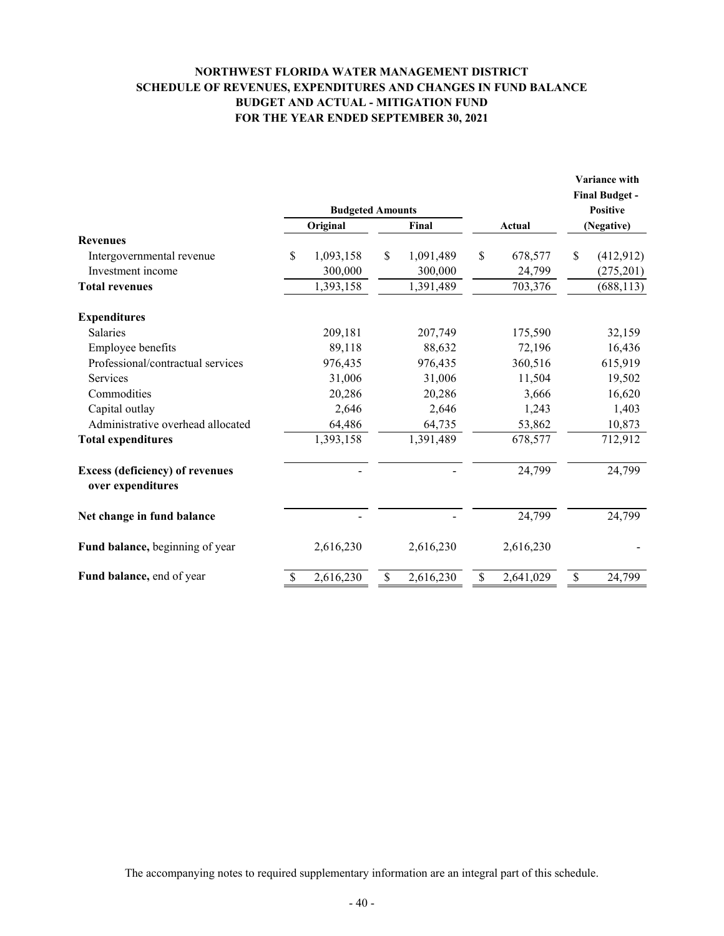### **NORTHWEST FLORIDA WATER MANAGEMENT DISTRICT SCHEDULE OF REVENUES, EXPENDITURES AND CHANGES IN FUND BALANCE BUDGET AND ACTUAL - MITIGATION FUND FOR THE YEAR ENDED SEPTEMBER 30, 2021**

|                                                             |                         |                 |                 | Variance with<br><b>Final Budget -</b> |
|-------------------------------------------------------------|-------------------------|-----------------|-----------------|----------------------------------------|
|                                                             | <b>Budgeted Amounts</b> |                 |                 | <b>Positive</b>                        |
|                                                             | Original                | Final           | Actual          | (Negative)                             |
| <b>Revenues</b>                                             |                         |                 |                 |                                        |
| Intergovernmental revenue                                   | \$<br>1,093,158         | \$<br>1,091,489 | \$<br>678,577   | \$<br>(412, 912)                       |
| Investment income                                           | 300,000                 | 300,000         | 24,799          | (275,201)                              |
| <b>Total revenues</b>                                       | 1,393,158               | 1,391,489       | 703,376         | (688, 113)                             |
| <b>Expenditures</b>                                         |                         |                 |                 |                                        |
| Salaries                                                    | 209,181                 | 207,749         | 175,590         | 32,159                                 |
| Employee benefits                                           | 89,118                  | 88,632          | 72,196          | 16,436                                 |
| Professional/contractual services                           | 976,435                 | 976,435         | 360,516         | 615,919                                |
| Services                                                    | 31,006                  | 31,006          | 11,504          | 19,502                                 |
| Commodities                                                 | 20,286                  | 20,286          | 3,666           | 16,620                                 |
| Capital outlay                                              | 2,646                   | 2,646           | 1,243           | 1,403                                  |
| Administrative overhead allocated                           | 64,486                  | 64,735          | 53,862          | 10,873                                 |
| <b>Total expenditures</b>                                   | 1,393,158               | 1,391,489       | 678,577         | 712,912                                |
| <b>Excess (deficiency) of revenues</b><br>over expenditures |                         |                 | 24,799          | 24,799                                 |
| Net change in fund balance                                  |                         |                 | 24,799          | 24,799                                 |
| Fund balance, beginning of year                             | 2,616,230               | 2,616,230       | 2,616,230       |                                        |
| Fund balance, end of year                                   | \$<br>2,616,230         | \$<br>2,616,230 | \$<br>2,641,029 | \$<br>24,799                           |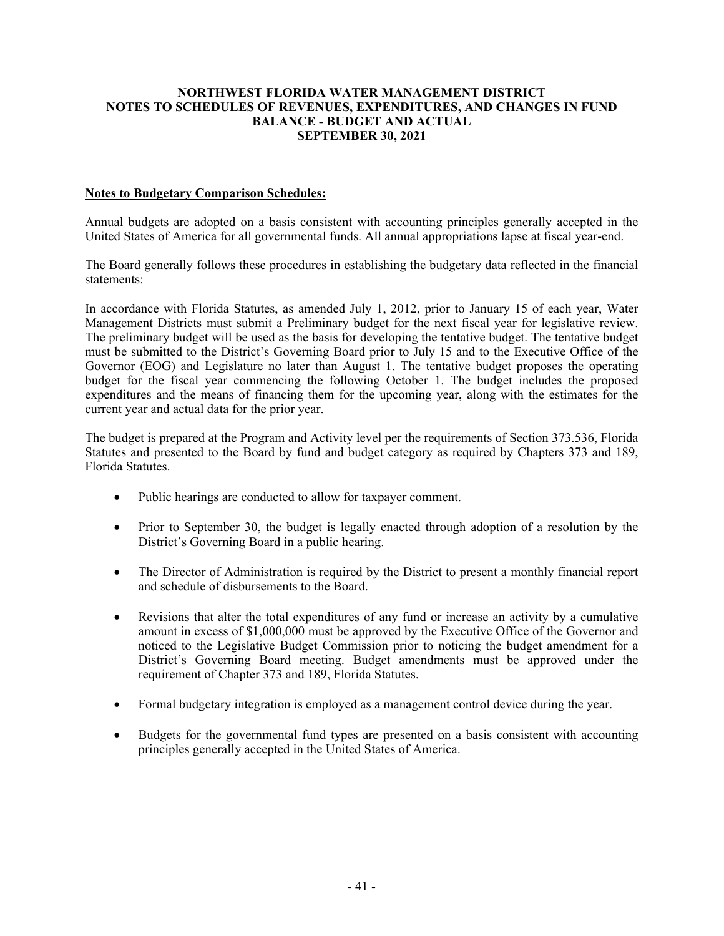#### **NORTHWEST FLORIDA WATER MANAGEMENT DISTRICT NOTES TO SCHEDULES OF REVENUES, EXPENDITURES, AND CHANGES IN FUND BALANCE - BUDGET AND ACTUAL SEPTEMBER 30, 2021**

#### **Notes to Budgetary Comparison Schedules:**

Annual budgets are adopted on a basis consistent with accounting principles generally accepted in the United States of America for all governmental funds. All annual appropriations lapse at fiscal year-end.

The Board generally follows these procedures in establishing the budgetary data reflected in the financial statements:

In accordance with Florida Statutes, as amended July 1, 2012, prior to January 15 of each year, Water Management Districts must submit a Preliminary budget for the next fiscal year for legislative review. The preliminary budget will be used as the basis for developing the tentative budget. The tentative budget must be submitted to the District's Governing Board prior to July 15 and to the Executive Office of the Governor (EOG) and Legislature no later than August 1. The tentative budget proposes the operating budget for the fiscal year commencing the following October 1. The budget includes the proposed expenditures and the means of financing them for the upcoming year, along with the estimates for the current year and actual data for the prior year.

The budget is prepared at the Program and Activity level per the requirements of Section 373.536, Florida Statutes and presented to the Board by fund and budget category as required by Chapters 373 and 189, Florida Statutes.

- Public hearings are conducted to allow for taxpayer comment.
- Prior to September 30, the budget is legally enacted through adoption of a resolution by the District's Governing Board in a public hearing.
- The Director of Administration is required by the District to present a monthly financial report and schedule of disbursements to the Board.
- Revisions that alter the total expenditures of any fund or increase an activity by a cumulative amount in excess of \$1,000,000 must be approved by the Executive Office of the Governor and noticed to the Legislative Budget Commission prior to noticing the budget amendment for a District's Governing Board meeting. Budget amendments must be approved under the requirement of Chapter 373 and 189, Florida Statutes.
- Formal budgetary integration is employed as a management control device during the year.
- Budgets for the governmental fund types are presented on a basis consistent with accounting principles generally accepted in the United States of America.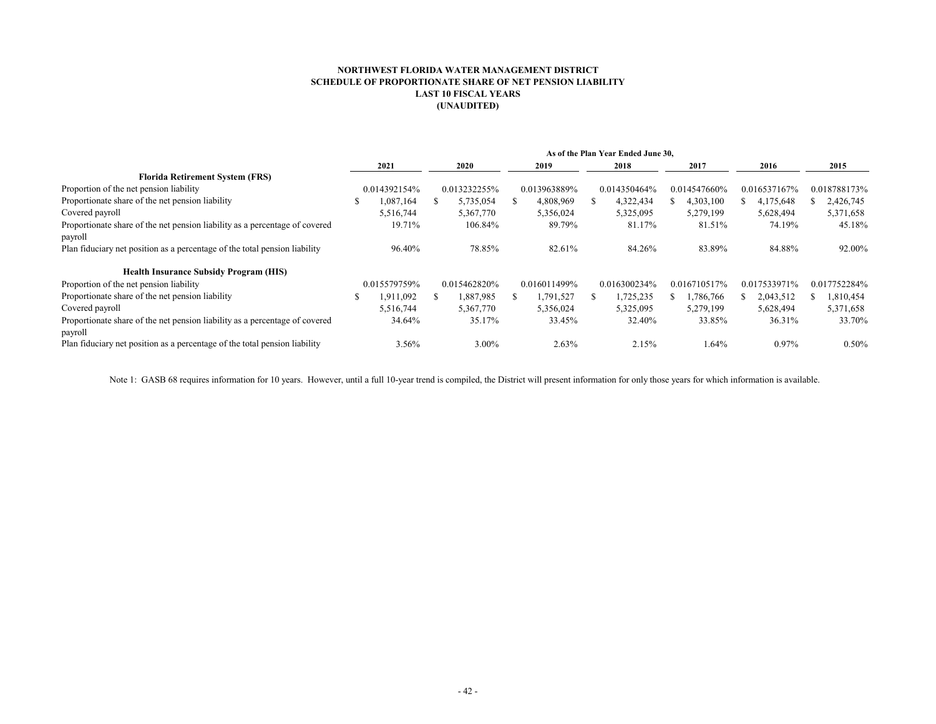#### **NORTHWEST FLORIDA WATER MANAGEMENT DISTRICT SCHEDULE OF PROPORTIONATE SHARE OF NET PENSION LIABILITY LAST 10 FISCAL YEARS (UNAUDITED)**

|                                                                                        | As of the Plan Year Ended June 30, |              |              |                 |              |                 |              |  |  |
|----------------------------------------------------------------------------------------|------------------------------------|--------------|--------------|-----------------|--------------|-----------------|--------------|--|--|
|                                                                                        | 2021                               | 2020         | 2019         | 2018            | 2017         | 2016            | 2015         |  |  |
| <b>Florida Retirement System (FRS)</b>                                                 |                                    |              |              |                 |              |                 |              |  |  |
| Proportion of the net pension liability                                                | 0.014392154%                       | 0.013232255% | 0.013963889% | 0.014350464%    | 0.014547660% | 0.016537167%    | 0.018788173% |  |  |
| Proportionate share of the net pension liability                                       | 1,087,164                          | 5,735,054    | 4,808,969    | 4,322,434<br>N. | 4,303,100    | 4,175,648<br>S. | 2,426,745    |  |  |
| Covered payroll                                                                        | 5,516,744                          | 5,367,770    | 5,356,024    | 5,325,095       | 5,279,199    | 5,628,494       | 5,371,658    |  |  |
| Proportionate share of the net pension liability as a percentage of covered<br>payroll | 19.71%                             | 106.84%      | 89.79%       | 81.17%          | 81.51%       | 74.19%          | 45.18%       |  |  |
| Plan fiduciary net position as a percentage of the total pension liability             | 96.40%                             | 78.85%       | 82.61%       | 84.26%          | 83.89%       | 84.88%          | 92.00%       |  |  |
| <b>Health Insurance Subsidy Program (HIS)</b>                                          |                                    |              |              |                 |              |                 |              |  |  |
| Proportion of the net pension liability                                                | 0.015579759%                       | 0.015462820% | 0.016011499% | 0.016300234%    | 0.016710517% | 0.017533971%    | 0.017752284% |  |  |
| Proportionate share of the net pension liability                                       | 1,911,092                          | 1,887,985    | 1,791,527    | 1,725,235<br>S. | .786,766     | 2,043,512       | 1,810,454    |  |  |
| Covered payroll                                                                        | 5,516,744                          | 5,367,770    | 5,356,024    | 5,325,095       | 5,279,199    | 5,628,494       | 5,371,658    |  |  |
| Proportionate share of the net pension liability as a percentage of covered<br>payroll | 34.64%                             | 35.17%       | 33.45%       | 32.40%          | 33.85%       | 36.31%          | 33.70%       |  |  |
| Plan fiduciary net position as a percentage of the total pension liability             | 3.56%                              | 3.00%        | 2.63%        | 2.15%           | 1.64%        | $0.97\%$        | 0.50%        |  |  |

Note 1: GASB 68 requires information for 10 years. However, until a full 10-year trend is compiled, the District will present information for only those years for which information is available.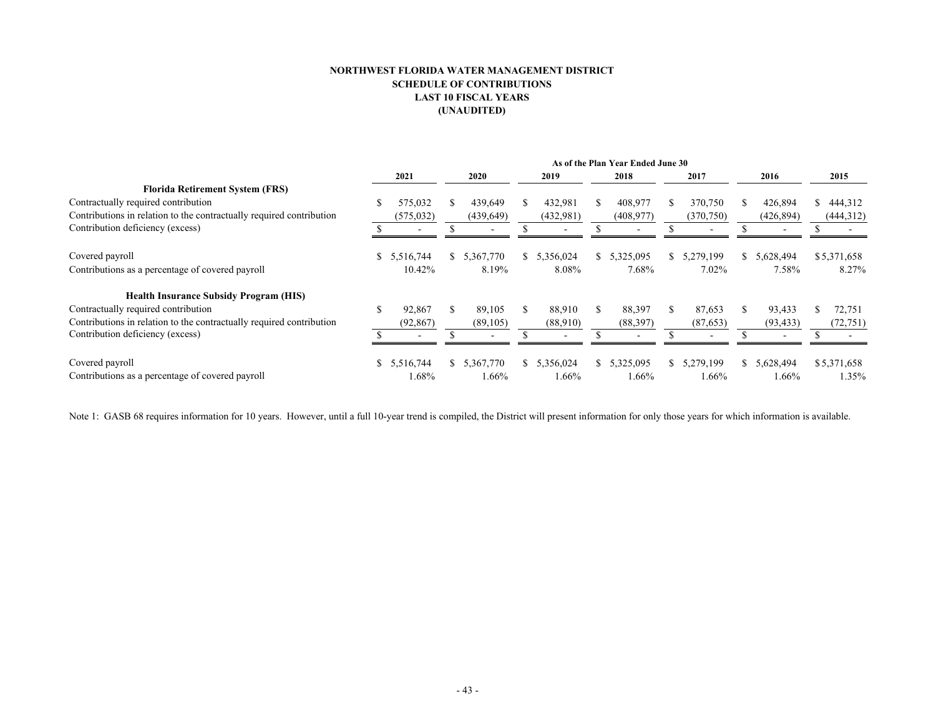#### **NORTHWEST FLORIDA WATER MANAGEMENT DISTRICT SCHEDULE OF CONTRIBUTIONS LAST 10 FISCAL YEARS (UNAUDITED)**

|                                                                      | As of the Plan Year Ended June 30 |             |    |             |  |             |    |             |     |             |     |            |    |             |
|----------------------------------------------------------------------|-----------------------------------|-------------|----|-------------|--|-------------|----|-------------|-----|-------------|-----|------------|----|-------------|
|                                                                      |                                   | 2021        |    | 2020        |  | 2019        |    | 2018        |     | 2017        |     | 2016       |    | 2015        |
| <b>Florida Retirement System (FRS)</b>                               |                                   |             |    |             |  |             |    |             |     |             |     |            |    |             |
| Contractually required contribution                                  |                                   | 575,032     | ъ  | 439,649     |  | 432,981     |    | 408,977     | S   | 370,750     | S.  | 426,894    | S. | 444,312     |
| Contributions in relation to the contractually required contribution |                                   | (575, 032)  |    | (439, 649)  |  | (432,981)   |    | (408, 977)  |     | (370, 750)  |     | (426, 894) |    | (444, 312)  |
| Contribution deficiency (excess)                                     |                                   |             |    |             |  |             |    |             |     |             |     |            |    |             |
| Covered payroll                                                      |                                   | \$5,516,744 |    | \$5,367,770 |  | \$5,356,024 | S. | 5,325,095   |     | \$5,279,199 | S.  | 5,628,494  |    | \$5,371,658 |
| Contributions as a percentage of covered payroll                     |                                   | 10.42%      |    | 8.19%       |  | 8.08%       |    | 7.68%       |     | 7.02%       |     | 7.58%      |    | 8.27%       |
| <b>Health Insurance Subsidy Program (HIS)</b>                        |                                   |             |    |             |  |             |    |             |     |             |     |            |    |             |
| Contractually required contribution                                  | \$                                | 92,867      | \$ | 89,105      |  | 88,910      |    | 88,397      | \$. | 87,653      | \$. | 93,433     |    | 72,751      |
| Contributions in relation to the contractually required contribution |                                   | (92, 867)   |    | (89,105)    |  | (88,910)    |    | (88, 397)   |     | (87, 653)   |     | (93, 433)  |    | (72, 751)   |
| Contribution deficiency (excess)                                     |                                   |             |    |             |  |             |    |             |     |             |     |            |    |             |
| Covered payroll                                                      |                                   | \$5,516,744 |    | \$5,367,770 |  | \$5,356,024 |    | \$5,325,095 |     | \$5,279,199 | S.  | 5,628,494  |    | \$5,371,658 |
| Contributions as a percentage of covered payroll                     |                                   | 1.68%       |    | 1.66%       |  | 1.66%       |    | $.66\%$     |     | 1.66%       |     | 1.66%      |    | 1.35%       |

Note 1: GASB 68 requires information for 10 years. However, until a full 10-year trend is compiled, the District will present information for only those years for which information is available.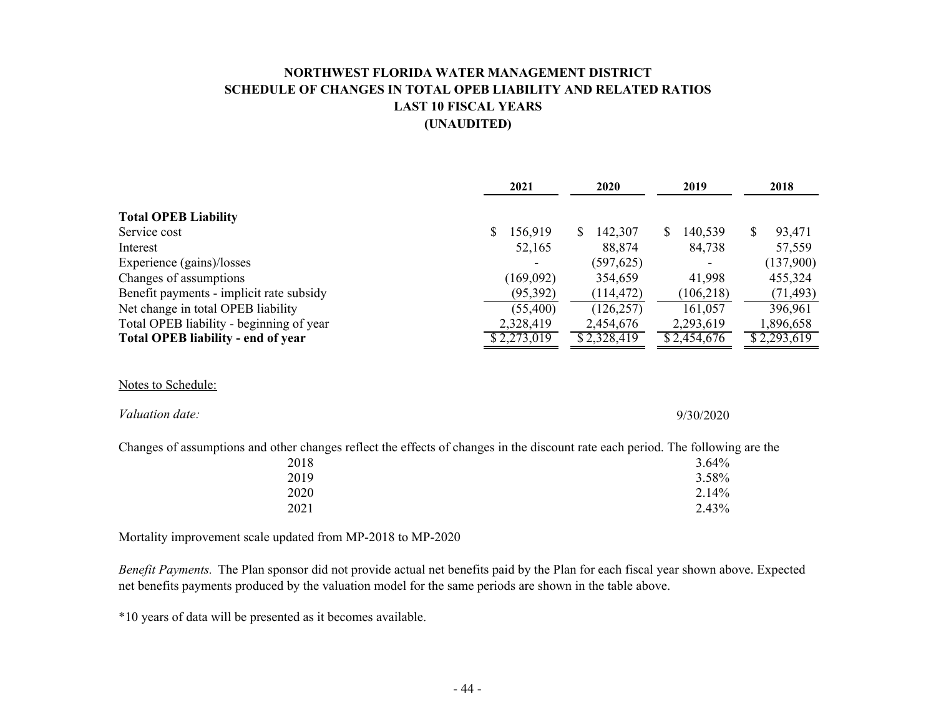# **NORTHWEST FLORIDA WATER MANAGEMENT DISTRICT SCHEDULE OF CHANGES IN TOTAL OPEB LIABILITY AND RELATED RATIOS LAST 10 FISCAL YEARS (UNAUDITED)**

|                                           | 2021        | 2020          | 2019          | 2018         |
|-------------------------------------------|-------------|---------------|---------------|--------------|
| <b>Total OPEB Liability</b>               |             |               |               |              |
| Service cost                              | 156,919     | 142,307<br>S. | 140,539<br>S. | \$<br>93,471 |
| Interest                                  | 52,165      | 88,874        | 84,738        | 57,559       |
| Experience (gains)/losses                 |             | (597, 625)    |               | (137,900)    |
| Changes of assumptions                    | (169,092)   | 354,659       | 41,998        | 455,324      |
| Benefit payments - implicit rate subsidy  | (95,392)    | (114, 472)    | (106, 218)    | (71, 493)    |
| Net change in total OPEB liability        | (55,400)    | (126, 257)    | 161,057       | 396,961      |
| Total OPEB liability - beginning of year  | 2,328,419   | 2,454,676     | 2,293,619     | 1,896,658    |
| <b>Total OPEB liability - end of year</b> | \$2,273,019 | \$2,328,419   | \$2,454,676   | \$2,293,619  |

#### Notes to Schedule:

#### *Valuation date:* 9/30/2020

Changes of assumptions and other changes reflect the effects of changes in the discount rate each period. The following are the

| 2018 | $3.64\%$ |
|------|----------|
| 2019 | 3.58%    |
| 2020 | 2.14%    |
| 2021 | 2.43%    |

Mortality improvement scale updated from MP-2018 to MP-2020

*Benefit Payments.* The Plan sponsor did not provide actual net benefits paid by the Plan for each fiscal year shown above. Expected net benefits payments produced by the valuation model for the same periods are shown in the table above.

\*10 years of data will be presented as it becomes available.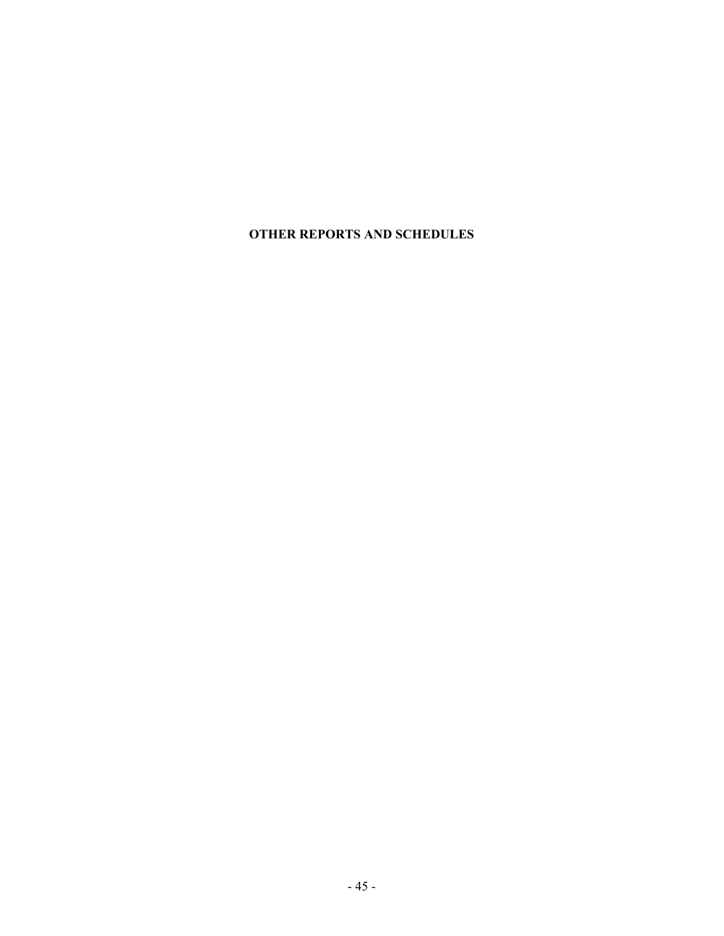# **OTHER REPORTS AND SCHEDULES**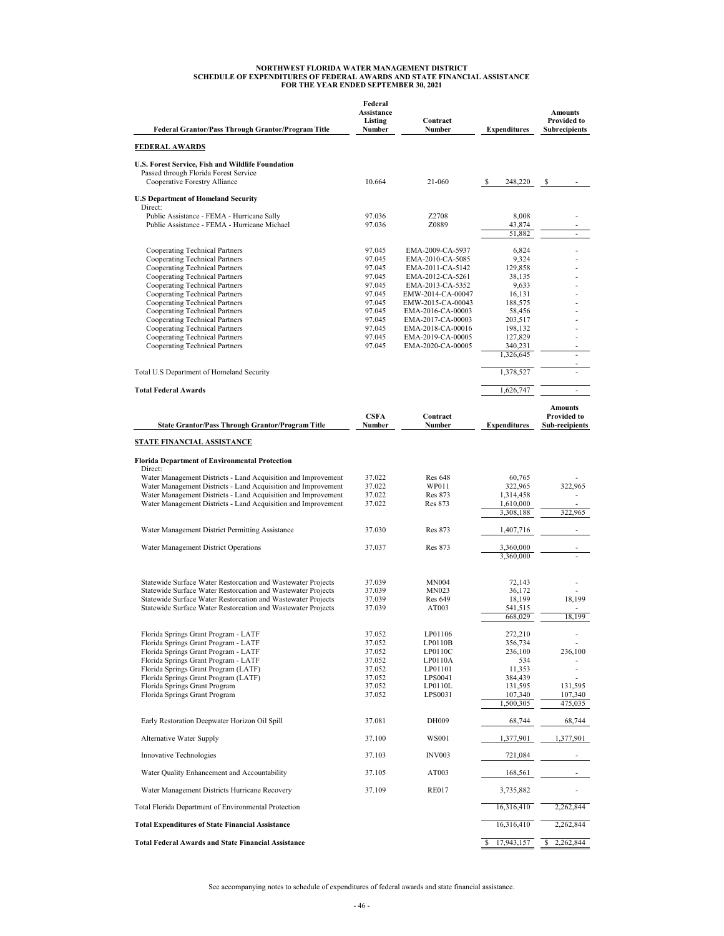# **NORTHWEST FLORIDA WATER MANAGEMENT DISTRICT SCHEDULE OF EXPENDITURES OF FEDERAL AWARDS AND STATE FINANCIAL ASSISTANCE FOR THE YEAR ENDED SEPTEMBER 30, 2021**

| <b>Federal Grantor/Pass Through Grantor/Program Title</b>                                                                    | Federal<br><b>Assistance</b><br>Listing<br>Number | Contract<br>Number                     | <b>Expenditures</b>    | <b>Amounts</b><br>Provided to<br><b>Subrecipients</b>         |
|------------------------------------------------------------------------------------------------------------------------------|---------------------------------------------------|----------------------------------------|------------------------|---------------------------------------------------------------|
| <b>FEDERAL AWARDS</b>                                                                                                        |                                                   |                                        |                        |                                                               |
| U.S. Forest Service, Fish and Wildlife Foundation                                                                            |                                                   |                                        |                        |                                                               |
| Passed through Florida Forest Service<br>Cooperative Forestry Alliance                                                       | 10.664                                            | 21-060                                 | 248,220<br>S           | \$                                                            |
| <b>U.S Department of Homeland Security</b>                                                                                   |                                                   |                                        |                        |                                                               |
| Direct:<br>Public Assistance - FEMA - Hurricane Sally                                                                        | 97.036                                            | Z2708                                  | 8,008                  |                                                               |
| Public Assistance - FEMA - Hurricane Michael                                                                                 | 97.036                                            | Z0889                                  | 43,874<br>51,882       |                                                               |
| Cooperating Technical Partners                                                                                               | 97.045                                            | EMA-2009-CA-5937                       | 6,824                  |                                                               |
| Cooperating Technical Partners<br>Cooperating Technical Partners                                                             | 97.045<br>97.045                                  | EMA-2010-CA-5085<br>EMA-2011-CA-5142   | 9,324<br>129,858       |                                                               |
| Cooperating Technical Partners                                                                                               | 97.045                                            | EMA-2012-CA-5261                       | 38,135                 |                                                               |
| Cooperating Technical Partners                                                                                               | 97.045                                            | EMA-2013-CA-5352                       | 9.633                  |                                                               |
| Cooperating Technical Partners                                                                                               | 97.045                                            | EMW-2014-CA-00047                      | 16,131                 |                                                               |
| <b>Cooperating Technical Partners</b><br>Cooperating Technical Partners                                                      | 97.045<br>97.045                                  | EMW-2015-CA-00043<br>EMA-2016-CA-00003 | 188,575<br>58,456      |                                                               |
| <b>Cooperating Technical Partners</b>                                                                                        | 97.045                                            | EMA-2017-CA-00003                      | 203,517                |                                                               |
| Cooperating Technical Partners                                                                                               | 97.045                                            | EMA-2018-CA-00016                      | 198,132                |                                                               |
| Cooperating Technical Partners<br><b>Cooperating Technical Partners</b>                                                      | 97.045<br>97.045                                  | EMA-2019-CA-00005<br>EMA-2020-CA-00005 | 127,829<br>340,231     |                                                               |
|                                                                                                                              |                                                   |                                        | 1,326,645              | L,                                                            |
| Total U.S Department of Homeland Security                                                                                    |                                                   |                                        | 1,378,527              |                                                               |
| <b>Total Federal Awards</b>                                                                                                  |                                                   |                                        | 1,626,747              | ÷,                                                            |
| <b>State Grantor/Pass Through Grantor/Program Title</b>                                                                      | <b>CSFA</b><br><b>Number</b>                      | Contract<br><b>Number</b>              | <b>Expenditures</b>    | <b>Amounts</b><br><b>Provided to</b><br><b>Sub-recipients</b> |
| <u>STATE FINANCIAL ASSISTANCE</u>                                                                                            |                                                   |                                        |                        |                                                               |
| <b>Florida Department of Environmental Protection</b>                                                                        |                                                   |                                        |                        |                                                               |
| Direct:<br>Water Management Districts - Land Acquisition and Improvement                                                     | 37.022                                            | <b>Res 648</b>                         | 60,765                 |                                                               |
| Water Management Districts - Land Acquisition and Improvement                                                                | 37.022                                            | WP011                                  | 322,965                | 322,965                                                       |
| Water Management Districts - Land Acquisition and Improvement                                                                | 37.022                                            | <b>Res 873</b>                         | 1,314,458              |                                                               |
| Water Management Districts - Land Acquisition and Improvement                                                                | 37.022                                            | <b>Res 873</b>                         | 1,610,000<br>3,308,188 | 322,965                                                       |
| Water Management District Permitting Assistance                                                                              | 37.030                                            | <b>Res 873</b>                         | 1,407,716              |                                                               |
| Water Management District Operations                                                                                         | 37.037                                            | <b>Res 873</b>                         | 3,360,000              |                                                               |
|                                                                                                                              |                                                   |                                        | 3,360,000              |                                                               |
| Statewide Surface Water Restorcation and Wastewater Projects                                                                 | 37.039                                            | <b>MN004</b>                           | 72,143                 |                                                               |
| Statewide Surface Water Restorcation and Wastewater Projects                                                                 | 37.039                                            | MN023                                  | 36.172                 |                                                               |
| Statewide Surface Water Restorcation and Wastewater Projects<br>Statewide Surface Water Restorcation and Wastewater Projects | 37.039<br>37.039                                  | <b>Res 649</b><br>AT003                | 18,199<br>541,515      | 18,199                                                        |
|                                                                                                                              |                                                   |                                        | 668,029                | 18,199                                                        |
| Florida Springs Grant Program - LATF                                                                                         | 37.052                                            | LP01106                                | 272,210                | ٠                                                             |
| Florida Springs Grant Program - LATF                                                                                         | 37.052                                            | LPO110B                                | 356,734                |                                                               |
| Florida Springs Grant Program - LATF<br>Florida Springs Grant Program - LATF                                                 | 37.052<br>37.052                                  | LP0110C<br>LP0110A                     | 236,100<br>534         | 236,100                                                       |
| Florida Springs Grant Program (LATF)                                                                                         | 37.052                                            | LP01101                                | 11,353                 |                                                               |
| Florida Springs Grant Program (LATF)                                                                                         | 37.052                                            | LPS0041                                | 384,439                |                                                               |
| Florida Springs Grant Program                                                                                                | 37.052                                            | LP0110L<br>LPS0031                     | 131,595                | 131,595                                                       |
| Florida Springs Grant Program                                                                                                | 37.052                                            |                                        | 107,340<br>1,500,305   | 107,340<br>475,035                                            |
| Early Restoration Deepwater Horizon Oil Spill                                                                                | 37.081                                            | DH009                                  | 68,744                 | 68,744                                                        |
| <b>Alternative Water Supply</b>                                                                                              | 37.100                                            | <b>WS001</b>                           | 1,377,901              | 1,377,901                                                     |
| Innovative Technologies                                                                                                      | 37.103                                            | <b>INV003</b>                          | 721,084                |                                                               |
| Water Quality Enhancement and Accountability                                                                                 | 37.105                                            | AT003                                  | 168,561                |                                                               |
| Water Management Districts Hurricane Recovery                                                                                | 37.109                                            | RE017                                  | 3,735,882              |                                                               |
| Total Florida Department of Environmental Protection                                                                         |                                                   |                                        | 16,316,410             | 2,262,844                                                     |
| <b>Total Expenditures of State Financial Assistance</b>                                                                      |                                                   |                                        | 16,316,410             | 2,262,844                                                     |
| <b>Total Federal Awards and State Financial Assistance</b>                                                                   |                                                   |                                        | 17,943,157             | 2,262,844<br>\$                                               |

See accompanying notes to schedule of expenditures of federal awards and state financial assistance.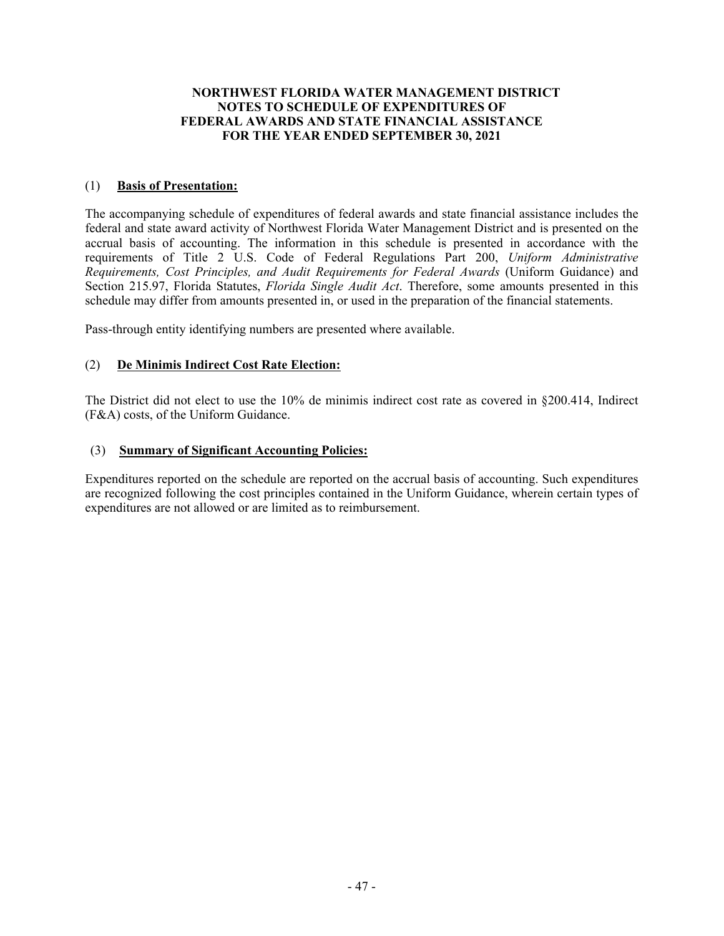#### **NORTHWEST FLORIDA WATER MANAGEMENT DISTRICT NOTES TO SCHEDULE OF EXPENDITURES OF FEDERAL AWARDS AND STATE FINANCIAL ASSISTANCE FOR THE YEAR ENDED SEPTEMBER 30, 2021**

### (1) **Basis of Presentation:**

The accompanying schedule of expenditures of federal awards and state financial assistance includes the federal and state award activity of Northwest Florida Water Management District and is presented on the accrual basis of accounting. The information in this schedule is presented in accordance with the requirements of Title 2 U.S. Code of Federal Regulations Part 200, *Uniform Administrative Requirements, Cost Principles, and Audit Requirements for Federal Awards* (Uniform Guidance) and Section 215.97, Florida Statutes, *Florida Single Audit Act*. Therefore, some amounts presented in this schedule may differ from amounts presented in, or used in the preparation of the financial statements.

Pass-through entity identifying numbers are presented where available.

#### (2) **De Minimis Indirect Cost Rate Election:**

The District did not elect to use the 10% de minimis indirect cost rate as covered in §200.414, Indirect (F&A) costs, of the Uniform Guidance.

#### (3) **Summary of Significant Accounting Policies:**

Expenditures reported on the schedule are reported on the accrual basis of accounting. Such expenditures are recognized following the cost principles contained in the Uniform Guidance, wherein certain types of expenditures are not allowed or are limited as to reimbursement.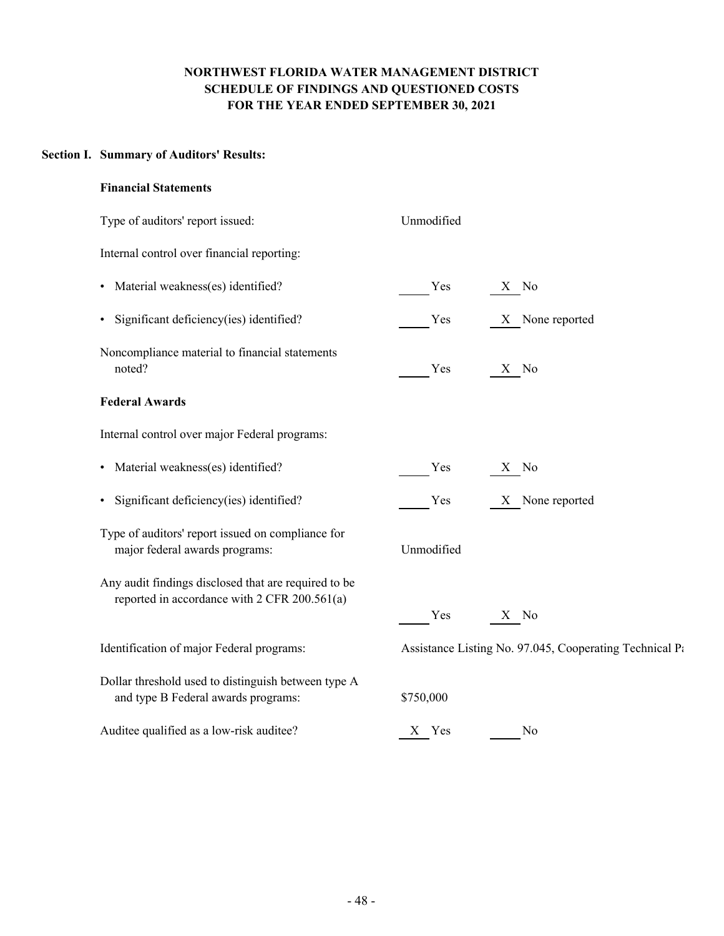# **NORTHWEST FLORIDA WATER MANAGEMENT DISTRICT SCHEDULE OF FINDINGS AND QUESTIONED COSTS FOR THE YEAR ENDED SEPTEMBER 30, 2021**

#### **Section I. Summary of Auditors' Results:**

#### **Financial Statements**

| Type of auditors' report issued:                                                                     | Unmodified |                                                         |
|------------------------------------------------------------------------------------------------------|------------|---------------------------------------------------------|
| Internal control over financial reporting:                                                           |            |                                                         |
| • Material weakness(es) identified?                                                                  | Yes        | X No                                                    |
| · Significant deficiency(ies) identified?                                                            | Yes        | X None reported                                         |
| Noncompliance material to financial statements<br>noted?                                             | Yes        | X No                                                    |
| <b>Federal Awards</b>                                                                                |            |                                                         |
| Internal control over major Federal programs:                                                        |            |                                                         |
| • Material weakness(es) identified?                                                                  | Yes        | X No                                                    |
| · Significant deficiency(ies) identified?                                                            | Yes        | X None reported                                         |
| Type of auditors' report issued on compliance for<br>major federal awards programs:                  | Unmodified |                                                         |
| Any audit findings disclosed that are required to be<br>reported in accordance with 2 CFR 200.561(a) |            |                                                         |
|                                                                                                      | Yes        | X No                                                    |
| Identification of major Federal programs:                                                            |            | Assistance Listing No. 97.045, Cooperating Technical Pa |
| Dollar threshold used to distinguish between type A<br>and type B Federal awards programs:           | \$750,000  |                                                         |
| Auditee qualified as a low-risk auditee?                                                             | X Yes      | No                                                      |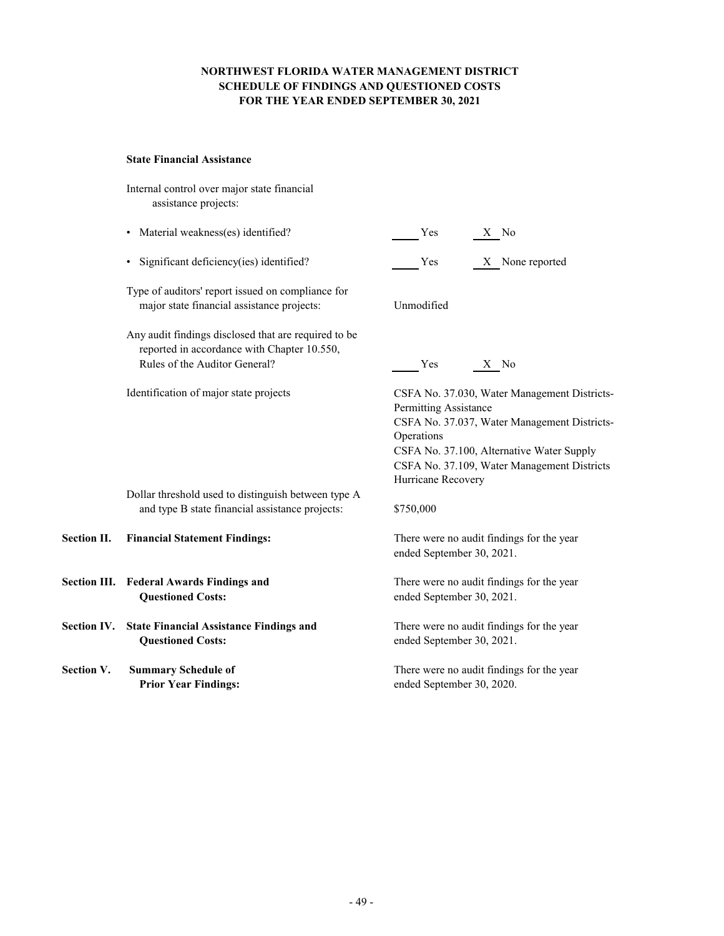#### **NORTHWEST FLORIDA WATER MANAGEMENT DISTRICT SCHEDULE OF FINDINGS AND QUESTIONED COSTS FOR THE YEAR ENDED SEPTEMBER 30, 2021**

### **State Financial Assistance**

|                    | Internal control over major state financial<br>assistance projects:                                                                  |                                                                                                                                                                                                                                                       |
|--------------------|--------------------------------------------------------------------------------------------------------------------------------------|-------------------------------------------------------------------------------------------------------------------------------------------------------------------------------------------------------------------------------------------------------|
|                    | • Material weakness(es) identified?                                                                                                  | X No<br>Yes                                                                                                                                                                                                                                           |
|                    | Significant deficiency(ies) identified?<br>$\bullet$                                                                                 | X None reported<br>Yes                                                                                                                                                                                                                                |
|                    | Type of auditors' report issued on compliance for<br>major state financial assistance projects:                                      | Unmodified                                                                                                                                                                                                                                            |
|                    | Any audit findings disclosed that are required to be<br>reported in accordance with Chapter 10.550,<br>Rules of the Auditor General? | X No<br>Yes                                                                                                                                                                                                                                           |
|                    | Identification of major state projects                                                                                               | CSFA No. 37.030, Water Management Districts-<br>Permitting Assistance<br>CSFA No. 37.037, Water Management Districts-<br>Operations<br>CSFA No. 37.100, Alternative Water Supply<br>CSFA No. 37.109, Water Management Districts<br>Hurricane Recovery |
|                    | Dollar threshold used to distinguish between type A<br>and type B state financial assistance projects:                               | \$750,000                                                                                                                                                                                                                                             |
| <b>Section II.</b> | <b>Financial Statement Findings:</b>                                                                                                 | There were no audit findings for the year<br>ended September 30, 2021.                                                                                                                                                                                |
|                    | Section III. Federal Awards Findings and<br><b>Questioned Costs:</b>                                                                 | There were no audit findings for the year<br>ended September 30, 2021.                                                                                                                                                                                |
| <b>Section IV.</b> | <b>State Financial Assistance Findings and</b><br><b>Questioned Costs:</b>                                                           | There were no audit findings for the year<br>ended September 30, 2021.                                                                                                                                                                                |
| <b>Section V.</b>  | <b>Summary Schedule of</b><br><b>Prior Year Findings:</b>                                                                            | There were no audit findings for the year<br>ended September 30, 2020.                                                                                                                                                                                |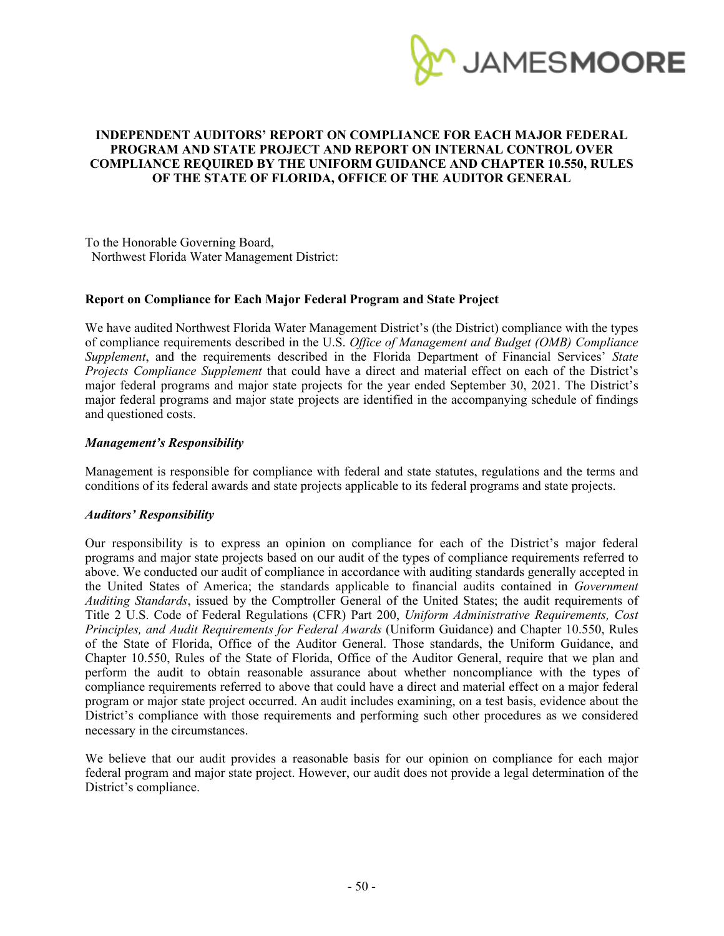

#### **INDEPENDENT AUDITORS' REPORT ON COMPLIANCE FOR EACH MAJOR FEDERAL PROGRAM AND STATE PROJECT AND REPORT ON INTERNAL CONTROL OVER COMPLIANCE REQUIRED BY THE UNIFORM GUIDANCE AND CHAPTER 10.550, RULES OF THE STATE OF FLORIDA, OFFICE OF THE AUDITOR GENERAL**

To the Honorable Governing Board, Northwest Florida Water Management District:

#### **Report on Compliance for Each Major Federal Program and State Project**

We have audited Northwest Florida Water Management District's (the District) compliance with the types of compliance requirements described in the U.S. *Office of Management and Budget (OMB) Compliance Supplement*, and the requirements described in the Florida Department of Financial Services' *State Projects Compliance Supplement* that could have a direct and material effect on each of the District's major federal programs and major state projects for the year ended September 30, 2021. The District's major federal programs and major state projects are identified in the accompanying schedule of findings and questioned costs.

#### *Management's Responsibility*

Management is responsible for compliance with federal and state statutes, regulations and the terms and conditions of its federal awards and state projects applicable to its federal programs and state projects.

#### *Auditors' Responsibility*

Our responsibility is to express an opinion on compliance for each of the District's major federal programs and major state projects based on our audit of the types of compliance requirements referred to above. We conducted our audit of compliance in accordance with auditing standards generally accepted in the United States of America; the standards applicable to financial audits contained in *Government Auditing Standards*, issued by the Comptroller General of the United States; the audit requirements of Title 2 U.S. Code of Federal Regulations (CFR) Part 200, *Uniform Administrative Requirements, Cost Principles, and Audit Requirements for Federal Awards* (Uniform Guidance) and Chapter 10.550, Rules of the State of Florida, Office of the Auditor General. Those standards, the Uniform Guidance, and Chapter 10.550, Rules of the State of Florida, Office of the Auditor General, require that we plan and perform the audit to obtain reasonable assurance about whether noncompliance with the types of compliance requirements referred to above that could have a direct and material effect on a major federal program or major state project occurred. An audit includes examining, on a test basis, evidence about the District's compliance with those requirements and performing such other procedures as we considered necessary in the circumstances.

We believe that our audit provides a reasonable basis for our opinion on compliance for each major federal program and major state project. However, our audit does not provide a legal determination of the District's compliance.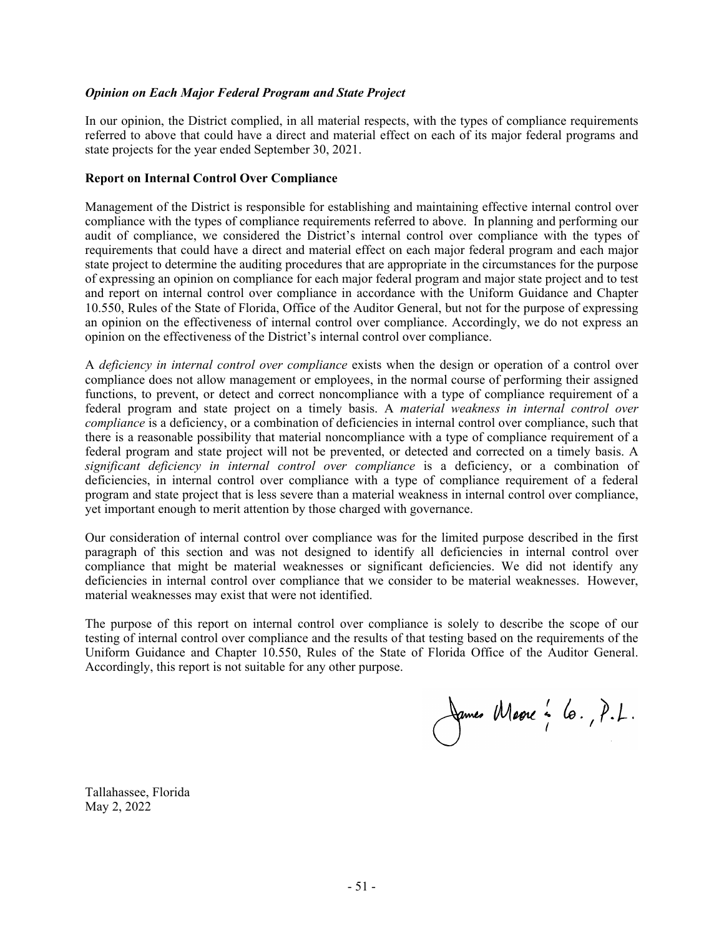#### *Opinion on Each Major Federal Program and State Project*

In our opinion, the District complied, in all material respects, with the types of compliance requirements referred to above that could have a direct and material effect on each of its major federal programs and state projects for the year ended September 30, 2021.

#### **Report on Internal Control Over Compliance**

Management of the District is responsible for establishing and maintaining effective internal control over compliance with the types of compliance requirements referred to above. In planning and performing our audit of compliance, we considered the District's internal control over compliance with the types of requirements that could have a direct and material effect on each major federal program and each major state project to determine the auditing procedures that are appropriate in the circumstances for the purpose of expressing an opinion on compliance for each major federal program and major state project and to test and report on internal control over compliance in accordance with the Uniform Guidance and Chapter 10.550, Rules of the State of Florida, Office of the Auditor General, but not for the purpose of expressing an opinion on the effectiveness of internal control over compliance. Accordingly, we do not express an opinion on the effectiveness of the District's internal control over compliance.

A *deficiency in internal control over compliance* exists when the design or operation of a control over compliance does not allow management or employees, in the normal course of performing their assigned functions, to prevent, or detect and correct noncompliance with a type of compliance requirement of a federal program and state project on a timely basis. A *material weakness in internal control over compliance* is a deficiency, or a combination of deficiencies in internal control over compliance, such that there is a reasonable possibility that material noncompliance with a type of compliance requirement of a federal program and state project will not be prevented, or detected and corrected on a timely basis. A *significant deficiency in internal control over compliance* is a deficiency, or a combination of deficiencies, in internal control over compliance with a type of compliance requirement of a federal program and state project that is less severe than a material weakness in internal control over compliance, yet important enough to merit attention by those charged with governance.

Our consideration of internal control over compliance was for the limited purpose described in the first paragraph of this section and was not designed to identify all deficiencies in internal control over compliance that might be material weaknesses or significant deficiencies. We did not identify any deficiencies in internal control over compliance that we consider to be material weaknesses. However, material weaknesses may exist that were not identified.

The purpose of this report on internal control over compliance is solely to describe the scope of our testing of internal control over compliance and the results of that testing based on the requirements of the Uniform Guidance and Chapter 10.550, Rules of the State of Florida Office of the Auditor General. Accordingly, this report is not suitable for any other purpose.

James Merre : 6., P.L.

Tallahassee, Florida May 2, 2022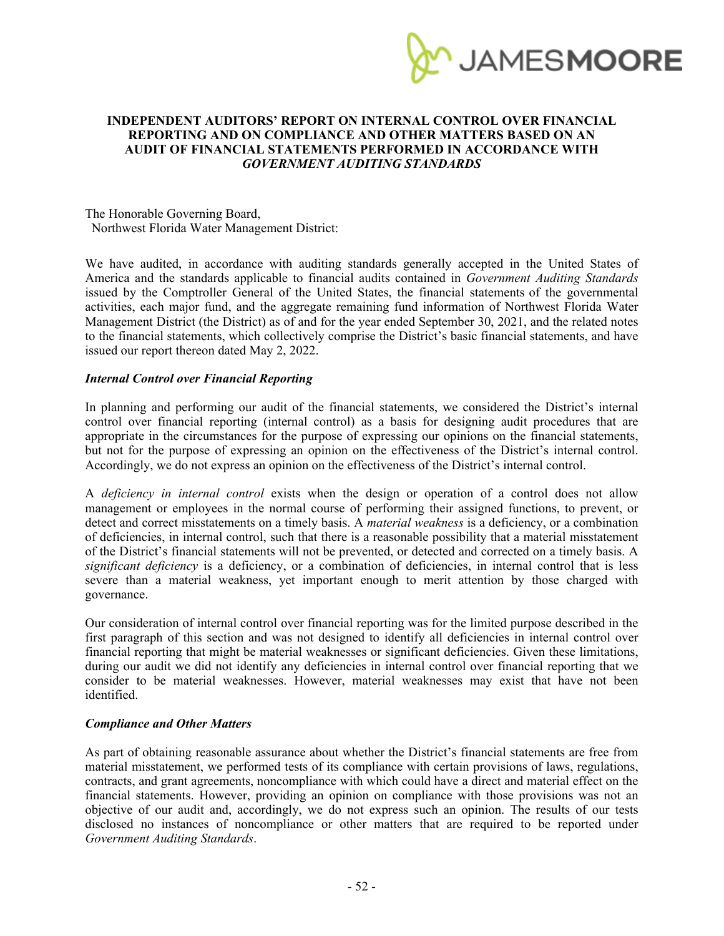

#### **INDEPENDENT AUDITORS' REPORT ON INTERNAL CONTROL OVER FINANCIAL REPORTING AND ON COMPLIANCE AND OTHER MATTERS BASED ON AN AUDIT OF FINANCIAL STATEMENTS PERFORMED IN ACCORDANCE WITH** *GOVERNMENT AUDITING STANDARDS*

The Honorable Governing Board, Northwest Florida Water Management District:

We have audited, in accordance with auditing standards generally accepted in the United States of America and the standards applicable to financial audits contained in *Government Auditing Standards* issued by the Comptroller General of the United States, the financial statements of the governmental activities, each major fund, and the aggregate remaining fund information of Northwest Florida Water Management District (the District) as of and for the year ended September 30, 2021, and the related notes to the financial statements, which collectively comprise the District's basic financial statements, and have issued our report thereon dated May 2, 2022.

#### *Internal Control over Financial Reporting*

In planning and performing our audit of the financial statements, we considered the District's internal control over financial reporting (internal control) as a basis for designing audit procedures that are appropriate in the circumstances for the purpose of expressing our opinions on the financial statements, but not for the purpose of expressing an opinion on the effectiveness of the District's internal control. Accordingly, we do not express an opinion on the effectiveness of the District's internal control.

A *deficiency in internal control* exists when the design or operation of a control does not allow management or employees in the normal course of performing their assigned functions, to prevent, or detect and correct misstatements on a timely basis. A *material weakness* is a deficiency, or a combination of deficiencies, in internal control, such that there is a reasonable possibility that a material misstatement of the District's financial statements will not be prevented, or detected and corrected on a timely basis. A *significant deficiency* is a deficiency, or a combination of deficiencies, in internal control that is less severe than a material weakness, yet important enough to merit attention by those charged with governance.

Our consideration of internal control over financial reporting was for the limited purpose described in the first paragraph of this section and was not designed to identify all deficiencies in internal control over financial reporting that might be material weaknesses or significant deficiencies. Given these limitations, during our audit we did not identify any deficiencies in internal control over financial reporting that we consider to be material weaknesses. However, material weaknesses may exist that have not been identified.

#### *Compliance and Other Matters*

As part of obtaining reasonable assurance about whether the District's financial statements are free from material misstatement, we performed tests of its compliance with certain provisions of laws, regulations, contracts, and grant agreements, noncompliance with which could have a direct and material effect on the financial statements. However, providing an opinion on compliance with those provisions was not an objective of our audit and, accordingly, we do not express such an opinion. The results of our tests disclosed no instances of noncompliance or other matters that are required to be reported under *Government Auditing Standards*.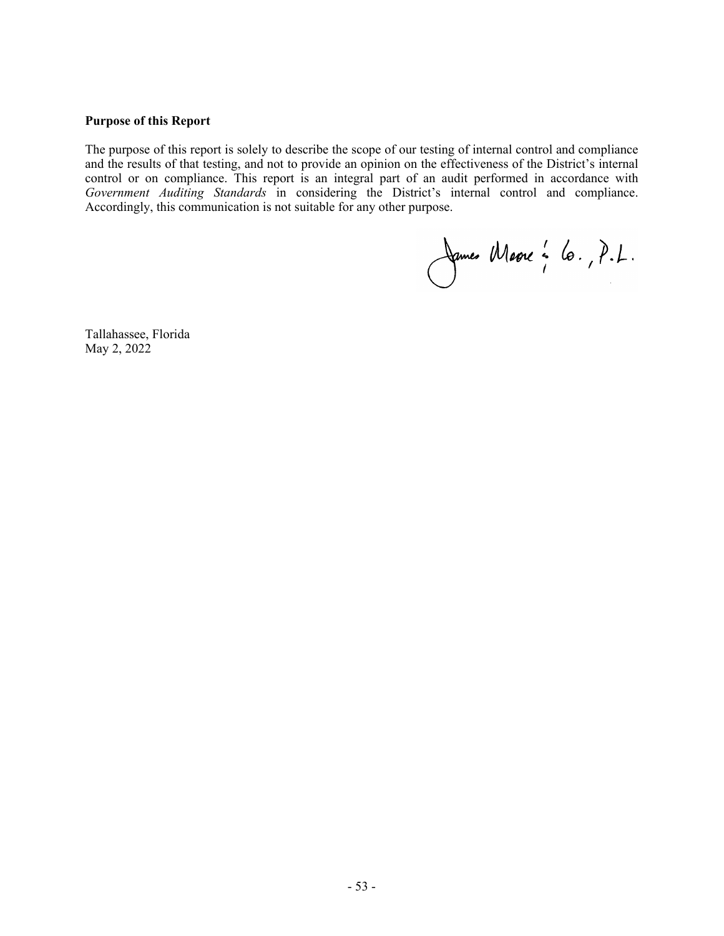#### **Purpose of this Report**

The purpose of this report is solely to describe the scope of our testing of internal control and compliance and the results of that testing, and not to provide an opinion on the effectiveness of the District's internal control or on compliance. This report is an integral part of an audit performed in accordance with *Government Auditing Standards* in considering the District's internal control and compliance. Accordingly, this communication is not suitable for any other purpose.

James Marre : 6., P.L.

Tallahassee, Florida May 2, 2022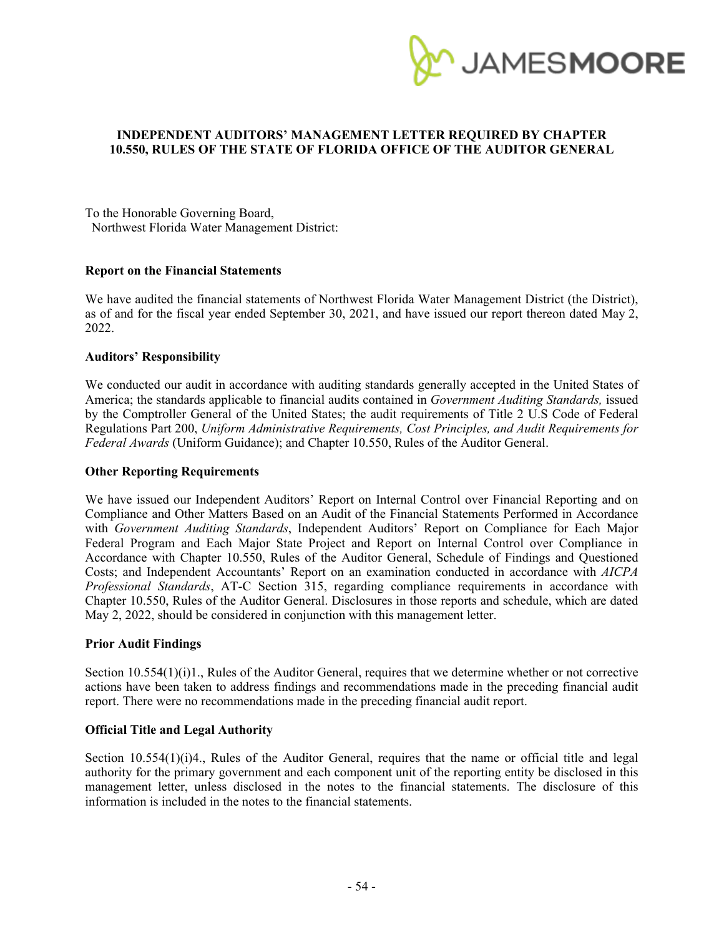

#### **INDEPENDENT AUDITORS' MANAGEMENT LETTER REQUIRED BY CHAPTER 10.550, RULES OF THE STATE OF FLORIDA OFFICE OF THE AUDITOR GENERAL**

To the Honorable Governing Board, Northwest Florida Water Management District:

#### **Report on the Financial Statements**

We have audited the financial statements of Northwest Florida Water Management District (the District), as of and for the fiscal year ended September 30, 2021, and have issued our report thereon dated May 2, 2022.

#### **Auditors' Responsibility**

We conducted our audit in accordance with auditing standards generally accepted in the United States of America; the standards applicable to financial audits contained in *Government Auditing Standards,* issued by the Comptroller General of the United States; the audit requirements of Title 2 U.S Code of Federal Regulations Part 200, *Uniform Administrative Requirements, Cost Principles, and Audit Requirements for Federal Awards* (Uniform Guidance); and Chapter 10.550, Rules of the Auditor General.

#### **Other Reporting Requirements**

We have issued our Independent Auditors' Report on Internal Control over Financial Reporting and on Compliance and Other Matters Based on an Audit of the Financial Statements Performed in Accordance with *Government Auditing Standards*, Independent Auditors' Report on Compliance for Each Major Federal Program and Each Major State Project and Report on Internal Control over Compliance in Accordance with Chapter 10.550, Rules of the Auditor General, Schedule of Findings and Questioned Costs; and Independent Accountants' Report on an examination conducted in accordance with *AICPA Professional Standards*, AT-C Section 315, regarding compliance requirements in accordance with Chapter 10.550, Rules of the Auditor General. Disclosures in those reports and schedule, which are dated May 2, 2022, should be considered in conjunction with this management letter.

#### **Prior Audit Findings**

Section 10.554(1)(i)1., Rules of the Auditor General, requires that we determine whether or not corrective actions have been taken to address findings and recommendations made in the preceding financial audit report. There were no recommendations made in the preceding financial audit report.

#### **Official Title and Legal Authority**

Section 10.554(1)(i)4., Rules of the Auditor General, requires that the name or official title and legal authority for the primary government and each component unit of the reporting entity be disclosed in this management letter, unless disclosed in the notes to the financial statements. The disclosure of this information is included in the notes to the financial statements.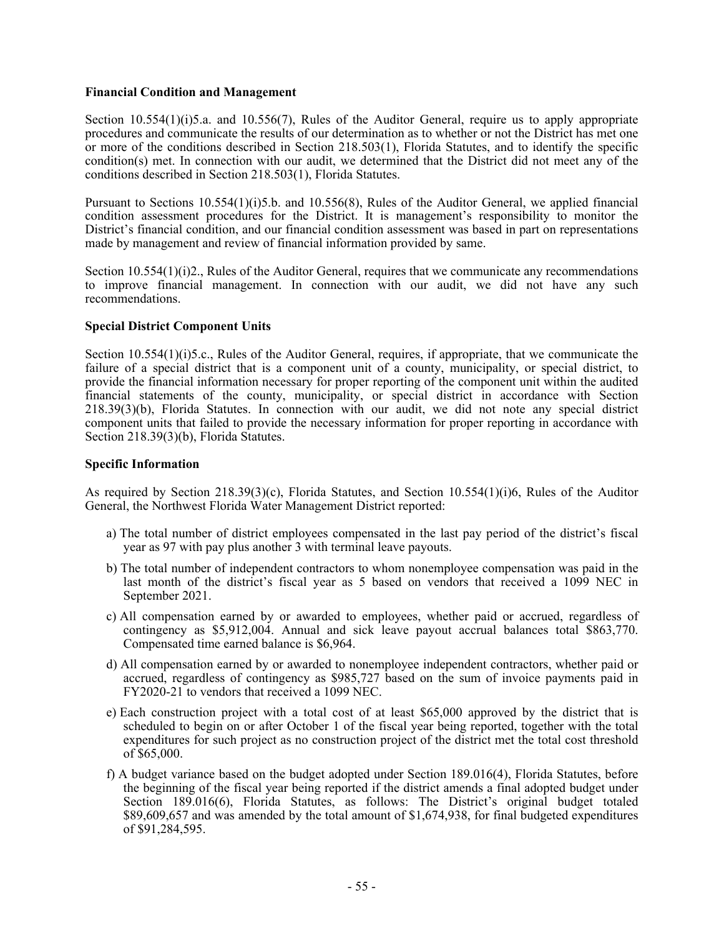#### **Financial Condition and Management**

Section 10.554(1)(i)5.a. and 10.556(7), Rules of the Auditor General, require us to apply appropriate procedures and communicate the results of our determination as to whether or not the District has met one or more of the conditions described in Section 218.503(1), Florida Statutes, and to identify the specific condition(s) met. In connection with our audit, we determined that the District did not meet any of the conditions described in Section 218.503(1), Florida Statutes.

Pursuant to Sections 10.554(1)(i)5.b. and 10.556(8), Rules of the Auditor General, we applied financial condition assessment procedures for the District. It is management's responsibility to monitor the District's financial condition, and our financial condition assessment was based in part on representations made by management and review of financial information provided by same.

Section 10.554(1)(i)2., Rules of the Auditor General, requires that we communicate any recommendations to improve financial management. In connection with our audit, we did not have any such recommendations.

#### **Special District Component Units**

Section 10.554(1)(i)5.c., Rules of the Auditor General, requires, if appropriate, that we communicate the failure of a special district that is a component unit of a county, municipality, or special district, to provide the financial information necessary for proper reporting of the component unit within the audited financial statements of the county, municipality, or special district in accordance with Section 218.39(3)(b), Florida Statutes. In connection with our audit, we did not note any special district component units that failed to provide the necessary information for proper reporting in accordance with Section 218.39(3)(b), Florida Statutes.

#### **Specific Information**

As required by Section 218.39(3)(c), Florida Statutes, and Section 10.554(1)(i)6, Rules of the Auditor General, the Northwest Florida Water Management District reported:

- a) The total number of district employees compensated in the last pay period of the district's fiscal year as 97 with pay plus another 3 with terminal leave payouts.
- b) The total number of independent contractors to whom nonemployee compensation was paid in the last month of the district's fiscal year as 5 based on vendors that received a 1099 NEC in September 2021.
- c) All compensation earned by or awarded to employees, whether paid or accrued, regardless of contingency as \$5,912,004. Annual and sick leave payout accrual balances total \$863,770. Compensated time earned balance is \$6,964.
- d) All compensation earned by or awarded to nonemployee independent contractors, whether paid or accrued, regardless of contingency as \$985,727 based on the sum of invoice payments paid in FY2020-21 to vendors that received a 1099 NEC.
- e) Each construction project with a total cost of at least \$65,000 approved by the district that is scheduled to begin on or after October 1 of the fiscal year being reported, together with the total expenditures for such project as no construction project of the district met the total cost threshold of \$65,000.
- f) A budget variance based on the budget adopted under Section 189.016(4), Florida Statutes, before the beginning of the fiscal year being reported if the district amends a final adopted budget under Section 189.016(6), Florida Statutes, as follows: The District's original budget totaled \$89,609,657 and was amended by the total amount of \$1,674,938, for final budgeted expenditures of \$91,284,595.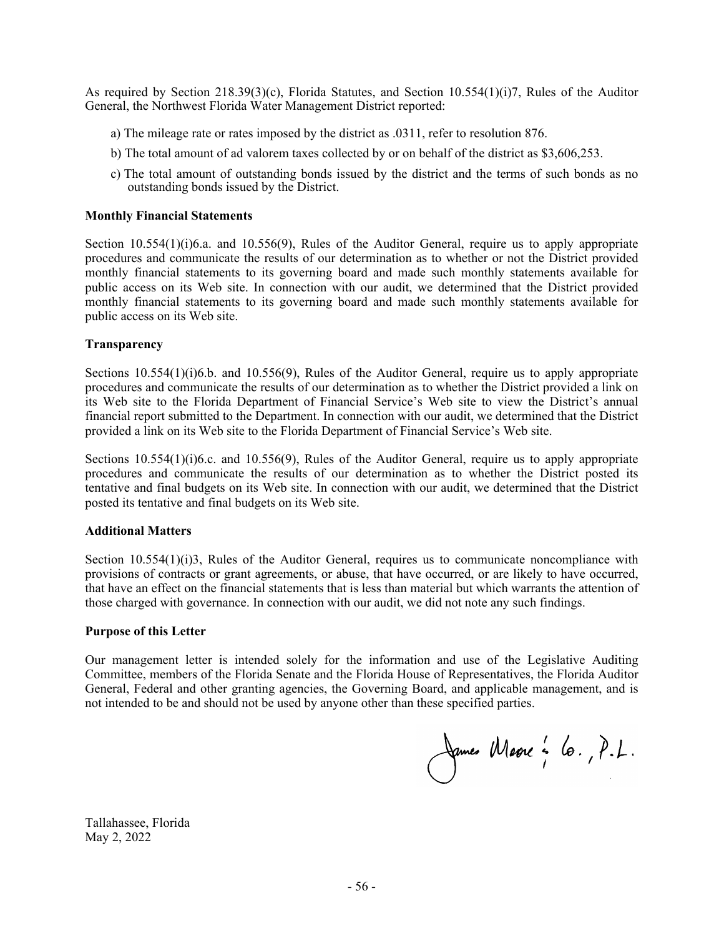As required by Section 218.39(3)(c), Florida Statutes, and Section 10.554(1)(i)7, Rules of the Auditor General, the Northwest Florida Water Management District reported:

- a) The mileage rate or rates imposed by the district as .0311, refer to resolution 876.
- b) The total amount of ad valorem taxes collected by or on behalf of the district as \$3,606,253.
- c) The total amount of outstanding bonds issued by the district and the terms of such bonds as no outstanding bonds issued by the District.

#### **Monthly Financial Statements**

Section 10.554(1)(i)6.a. and 10.556(9), Rules of the Auditor General, require us to apply appropriate procedures and communicate the results of our determination as to whether or not the District provided monthly financial statements to its governing board and made such monthly statements available for public access on its Web site. In connection with our audit, we determined that the District provided monthly financial statements to its governing board and made such monthly statements available for public access on its Web site.

#### **Transparency**

Sections 10.554(1)(i)6.b. and 10.556(9), Rules of the Auditor General, require us to apply appropriate procedures and communicate the results of our determination as to whether the District provided a link on its Web site to the Florida Department of Financial Service's Web site to view the District's annual financial report submitted to the Department. In connection with our audit, we determined that the District provided a link on its Web site to the Florida Department of Financial Service's Web site.

Sections 10.554(1)(i)6.c. and 10.556(9), Rules of the Auditor General, require us to apply appropriate procedures and communicate the results of our determination as to whether the District posted its tentative and final budgets on its Web site. In connection with our audit, we determined that the District posted its tentative and final budgets on its Web site.

#### **Additional Matters**

Section 10.554(1)(i)3, Rules of the Auditor General, requires us to communicate noncompliance with provisions of contracts or grant agreements, or abuse, that have occurred, or are likely to have occurred, that have an effect on the financial statements that is less than material but which warrants the attention of those charged with governance. In connection with our audit, we did not note any such findings.

#### **Purpose of this Letter**

Our management letter is intended solely for the information and use of the Legislative Auditing Committee, members of the Florida Senate and the Florida House of Representatives, the Florida Auditor General, Federal and other granting agencies, the Governing Board, and applicable management, and is not intended to be and should not be used by anyone other than these specified parties.

James Messe : 6., P.L.

Tallahassee, Florida May 2, 2022